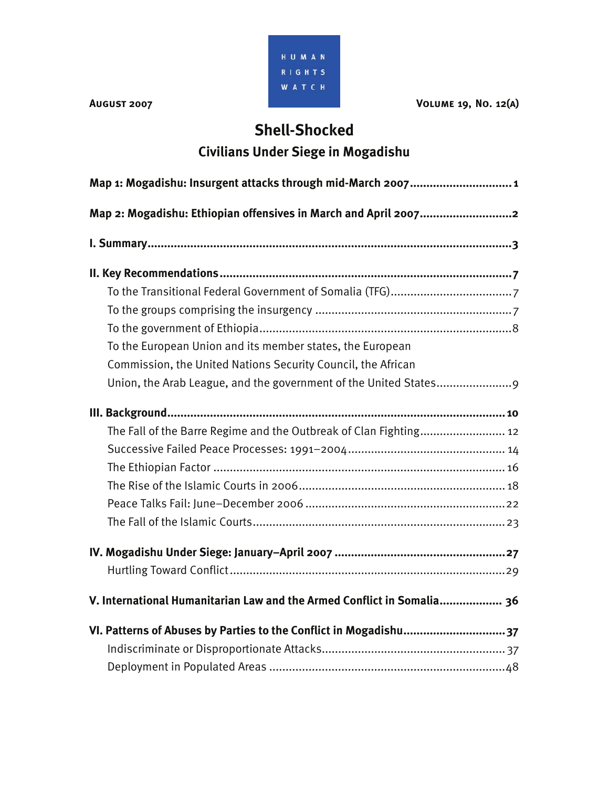

**AUGUST 2007 VOLUME 19, NO. 12(A)** 

# **Shell-Shocked**

# **Civilians Under Siege in Mogadishu**

| Map 1: Mogadishu: Insurgent attacks through mid-March 2007 1           |  |  |  |
|------------------------------------------------------------------------|--|--|--|
| Map 2: Mogadishu: Ethiopian offensives in March and April 20072        |  |  |  |
|                                                                        |  |  |  |
|                                                                        |  |  |  |
|                                                                        |  |  |  |
|                                                                        |  |  |  |
|                                                                        |  |  |  |
| To the European Union and its member states, the European              |  |  |  |
| Commission, the United Nations Security Council, the African           |  |  |  |
|                                                                        |  |  |  |
|                                                                        |  |  |  |
| The Fall of the Barre Regime and the Outbreak of Clan Fighting 12      |  |  |  |
|                                                                        |  |  |  |
|                                                                        |  |  |  |
|                                                                        |  |  |  |
|                                                                        |  |  |  |
|                                                                        |  |  |  |
|                                                                        |  |  |  |
|                                                                        |  |  |  |
| V. International Humanitarian Law and the Armed Conflict in Somalia 36 |  |  |  |
| VI. Patterns of Abuses by Parties to the Conflict in Mogadishu37       |  |  |  |
|                                                                        |  |  |  |
|                                                                        |  |  |  |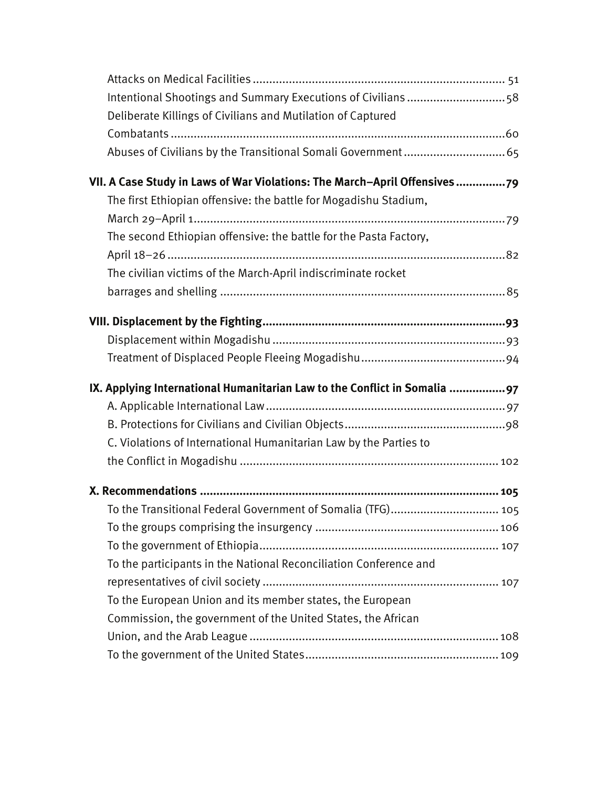| Intentional Shootings and Summary Executions of Civilians 58              |
|---------------------------------------------------------------------------|
| Deliberate Killings of Civilians and Mutilation of Captured               |
|                                                                           |
|                                                                           |
| VII. A Case Study in Laws of War Violations: The March-April Offensives79 |
| The first Ethiopian offensive: the battle for Mogadishu Stadium,          |
|                                                                           |
| The second Ethiopian offensive: the battle for the Pasta Factory,         |
|                                                                           |
| The civilian victims of the March-April indiscriminate rocket             |
|                                                                           |
|                                                                           |
|                                                                           |
|                                                                           |
|                                                                           |
|                                                                           |
| IX. Applying International Humanitarian Law to the Conflict in Somalia 97 |
|                                                                           |
|                                                                           |
| C. Violations of International Humanitarian Law by the Parties to         |
|                                                                           |
|                                                                           |
|                                                                           |
| To the Transitional Federal Government of Somalia (TFG) 105               |
|                                                                           |
|                                                                           |
| To the participants in the National Reconciliation Conference and         |
|                                                                           |
| To the European Union and its member states, the European                 |
| Commission, the government of the United States, the African              |
|                                                                           |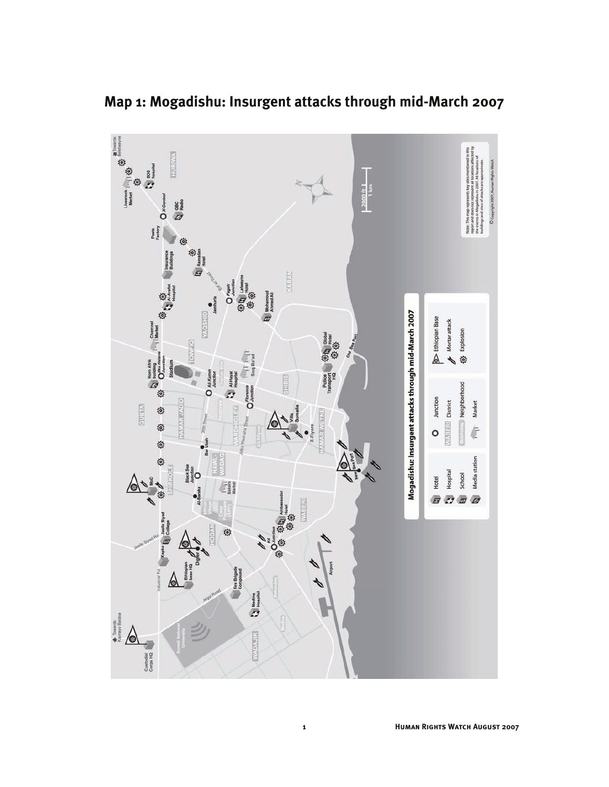

**Map 1: Mogadishu: Insurgent attacks through mid-March 2007**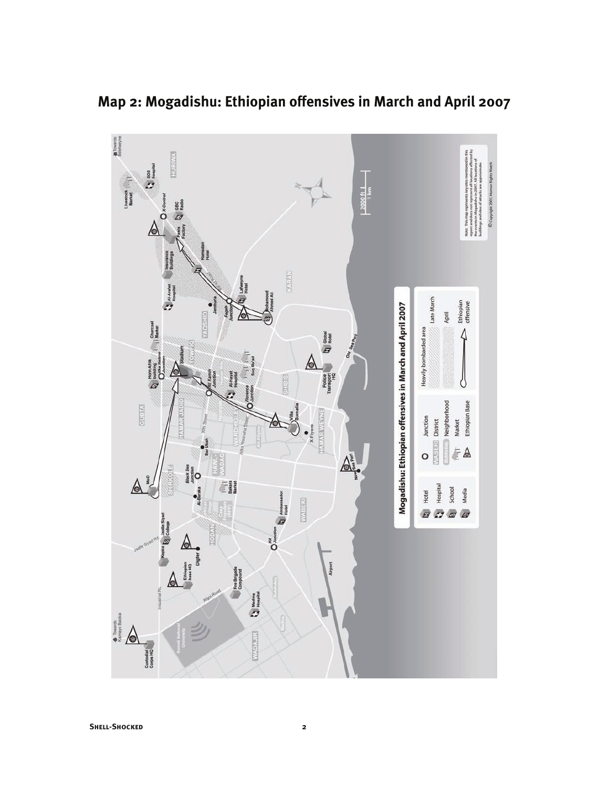

**Map 2: Mogadishu: Ethiopian offensives in March and April 2007**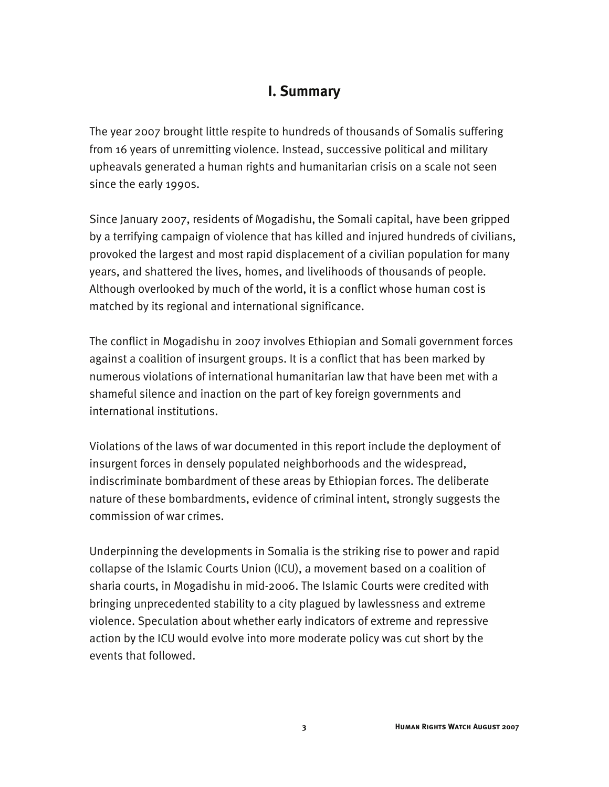## **I. Summary**

The year 2007 brought little respite to hundreds of thousands of Somalis suffering from 16 years of unremitting violence. Instead, successive political and military upheavals generated a human rights and humanitarian crisis on a scale not seen since the early 1990s.

Since January 2007, residents of Mogadishu, the Somali capital, have been gripped by a terrifying campaign of violence that has killed and injured hundreds of civilians, provoked the largest and most rapid displacement of a civilian population for many years, and shattered the lives, homes, and livelihoods of thousands of people. Although overlooked by much of the world, it is a conflict whose human cost is matched by its regional and international significance.

The conflict in Mogadishu in 2007 involves Ethiopian and Somali government forces against a coalition of insurgent groups. It is a conflict that has been marked by numerous violations of international humanitarian law that have been met with a shameful silence and inaction on the part of key foreign governments and international institutions.

Violations of the laws of war documented in this report include the deployment of insurgent forces in densely populated neighborhoods and the widespread, indiscriminate bombardment of these areas by Ethiopian forces. The deliberate nature of these bombardments, evidence of criminal intent, strongly suggests the commission of war crimes.

Underpinning the developments in Somalia is the striking rise to power and rapid collapse of the Islamic Courts Union (ICU), a movement based on a coalition of sharia courts, in Mogadishu in mid-2006. The Islamic Courts were credited with bringing unprecedented stability to a city plagued by lawlessness and extreme violence. Speculation about whether early indicators of extreme and repressive action by the ICU would evolve into more moderate policy was cut short by the events that followed.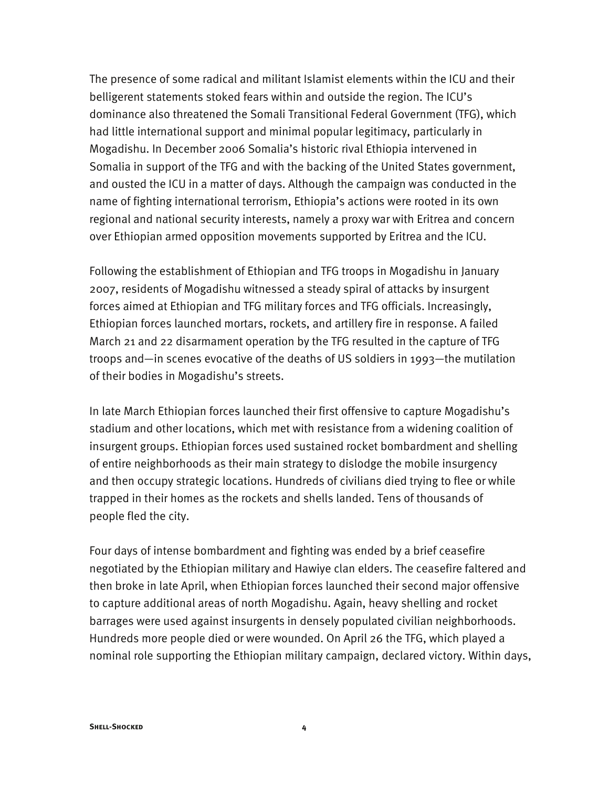The presence of some radical and militant Islamist elements within the ICU and their belligerent statements stoked fears within and outside the region. The ICU's dominance also threatened the Somali Transitional Federal Government (TFG), which had little international support and minimal popular legitimacy, particularly in Mogadishu. In December 2006 Somalia's historic rival Ethiopia intervened in Somalia in support of the TFG and with the backing of the United States government, and ousted the ICU in a matter of days. Although the campaign was conducted in the name of fighting international terrorism, Ethiopia's actions were rooted in its own regional and national security interests, namely a proxy war with Eritrea and concern over Ethiopian armed opposition movements supported by Eritrea and the ICU.

Following the establishment of Ethiopian and TFG troops in Mogadishu in January 2007, residents of Mogadishu witnessed a steady spiral of attacks by insurgent forces aimed at Ethiopian and TFG military forces and TFG officials. Increasingly, Ethiopian forces launched mortars, rockets, and artillery fire in response. A failed March 21 and 22 disarmament operation by the TFG resulted in the capture of TFG troops and—in scenes evocative of the deaths of US soldiers in 1993—the mutilation of their bodies in Mogadishu's streets.

In late March Ethiopian forces launched their first offensive to capture Mogadishu's stadium and other locations, which met with resistance from a widening coalition of insurgent groups. Ethiopian forces used sustained rocket bombardment and shelling of entire neighborhoods as their main strategy to dislodge the mobile insurgency and then occupy strategic locations. Hundreds of civilians died trying to flee or while trapped in their homes as the rockets and shells landed. Tens of thousands of people fled the city.

Four days of intense bombardment and fighting was ended by a brief ceasefire negotiated by the Ethiopian military and Hawiye clan elders. The ceasefire faltered and then broke in late April, when Ethiopian forces launched their second major offensive to capture additional areas of north Mogadishu. Again, heavy shelling and rocket barrages were used against insurgents in densely populated civilian neighborhoods. Hundreds more people died or were wounded. On April 26 the TFG, which played a nominal role supporting the Ethiopian military campaign, declared victory. Within days,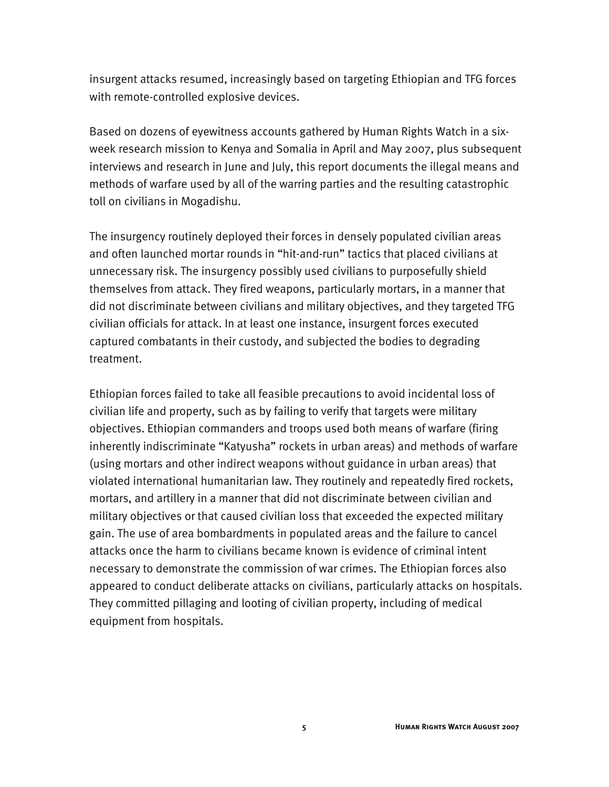insurgent attacks resumed, increasingly based on targeting Ethiopian and TFG forces with remote-controlled explosive devices.

Based on dozens of eyewitness accounts gathered by Human Rights Watch in a sixweek research mission to Kenya and Somalia in April and May 2007, plus subsequent interviews and research in June and July, this report documents the illegal means and methods of warfare used by all of the warring parties and the resulting catastrophic toll on civilians in Mogadishu.

The insurgency routinely deployed their forces in densely populated civilian areas and often launched mortar rounds in "hit-and-run" tactics that placed civilians at unnecessary risk. The insurgency possibly used civilians to purposefully shield themselves from attack. They fired weapons, particularly mortars, in a manner that did not discriminate between civilians and military objectives, and they targeted TFG civilian officials for attack. In at least one instance, insurgent forces executed captured combatants in their custody, and subjected the bodies to degrading treatment.

Ethiopian forces failed to take all feasible precautions to avoid incidental loss of civilian life and property, such as by failing to verify that targets were military objectives. Ethiopian commanders and troops used both means of warfare (firing inherently indiscriminate "Katyusha" rockets in urban areas) and methods of warfare (using mortars and other indirect weapons without guidance in urban areas) that violated international humanitarian law. They routinely and repeatedly fired rockets, mortars, and artillery in a manner that did not discriminate between civilian and military objectives or that caused civilian loss that exceeded the expected military gain. The use of area bombardments in populated areas and the failure to cancel attacks once the harm to civilians became known is evidence of criminal intent necessary to demonstrate the commission of war crimes. The Ethiopian forces also appeared to conduct deliberate attacks on civilians, particularly attacks on hospitals. They committed pillaging and looting of civilian property, including of medical equipment from hospitals.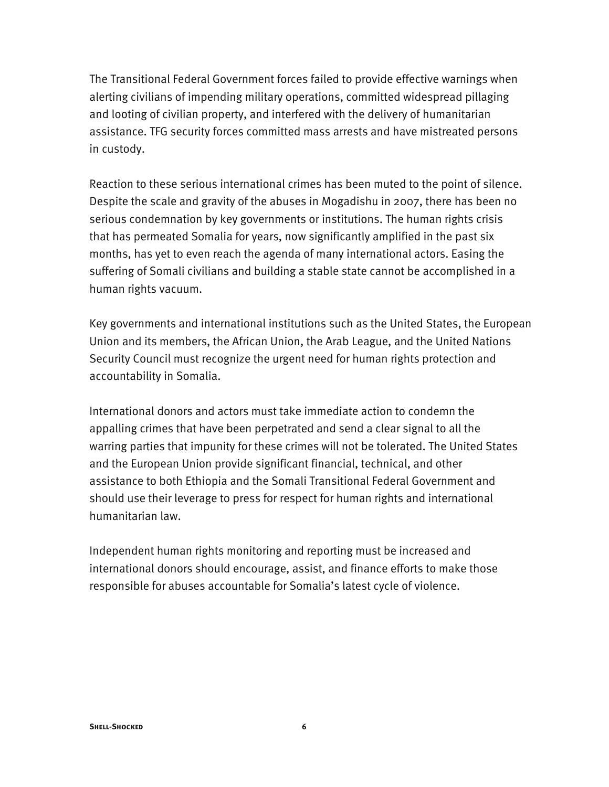The Transitional Federal Government forces failed to provide effective warnings when alerting civilians of impending military operations, committed widespread pillaging and looting of civilian property, and interfered with the delivery of humanitarian assistance. TFG security forces committed mass arrests and have mistreated persons in custody.

Reaction to these serious international crimes has been muted to the point of silence. Despite the scale and gravity of the abuses in Mogadishu in 2007, there has been no serious condemnation by key governments or institutions. The human rights crisis that has permeated Somalia for years, now significantly amplified in the past six months, has yet to even reach the agenda of many international actors. Easing the suffering of Somali civilians and building a stable state cannot be accomplished in a human rights vacuum.

Key governments and international institutions such as the United States, the European Union and its members, the African Union, the Arab League, and the United Nations Security Council must recognize the urgent need for human rights protection and accountability in Somalia.

International donors and actors must take immediate action to condemn the appalling crimes that have been perpetrated and send a clear signal to all the warring parties that impunity for these crimes will not be tolerated. The United States and the European Union provide significant financial, technical, and other assistance to both Ethiopia and the Somali Transitional Federal Government and should use their leverage to press for respect for human rights and international humanitarian law.

Independent human rights monitoring and reporting must be increased and international donors should encourage, assist, and finance efforts to make those responsible for abuses accountable for Somalia's latest cycle of violence.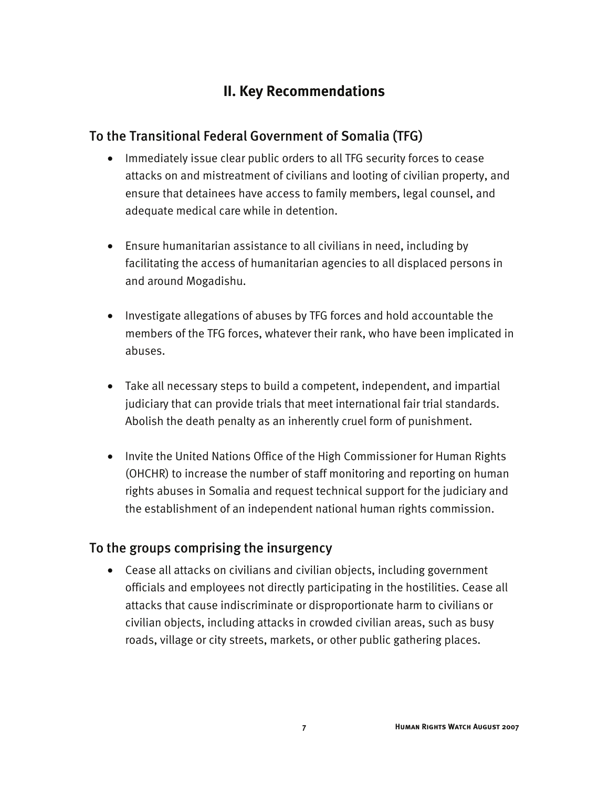# **II. Key Recommendations**

## To the Transitional Federal Government of Somalia (TFG)

- Immediately issue clear public orders to all TFG security forces to cease attacks on and mistreatment of civilians and looting of civilian property, and ensure that detainees have access to family members, legal counsel, and adequate medical care while in detention.
- Ensure humanitarian assistance to all civilians in need, including by facilitating the access of humanitarian agencies to all displaced persons in and around Mogadishu.
- Investigate allegations of abuses by TFG forces and hold accountable the members of the TFG forces, whatever their rank, who have been implicated in abuses.
- Take all necessary steps to build a competent, independent, and impartial judiciary that can provide trials that meet international fair trial standards. Abolish the death penalty as an inherently cruel form of punishment.
- Invite the United Nations Office of the High Commissioner for Human Rights (OHCHR) to increase the number of staff monitoring and reporting on human rights abuses in Somalia and request technical support for the judiciary and the establishment of an independent national human rights commission.

### To the groups comprising the insurgency

• Cease all attacks on civilians and civilian objects, including government officials and employees not directly participating in the hostilities. Cease all attacks that cause indiscriminate or disproportionate harm to civilians or civilian objects, including attacks in crowded civilian areas, such as busy roads, village or city streets, markets, or other public gathering places.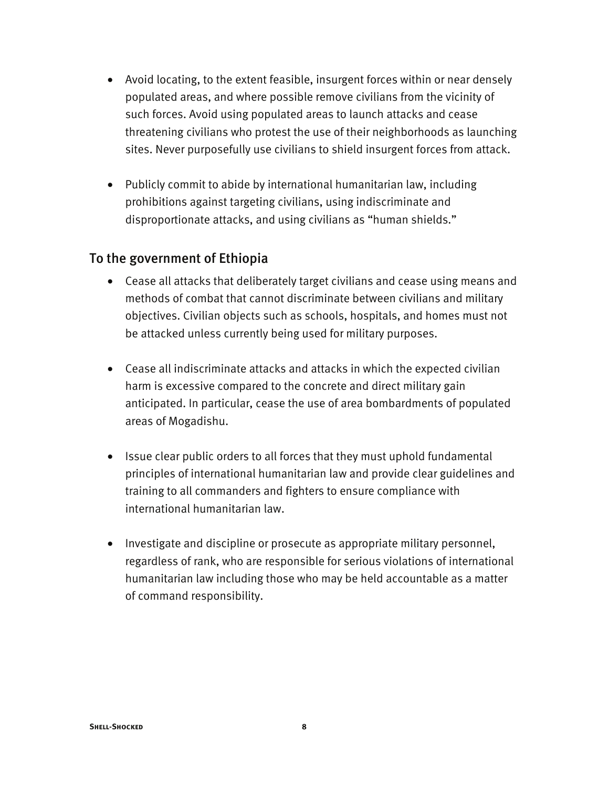- Avoid locating, to the extent feasible, insurgent forces within or near densely populated areas, and where possible remove civilians from the vicinity of such forces. Avoid using populated areas to launch attacks and cease threatening civilians who protest the use of their neighborhoods as launching sites. Never purposefully use civilians to shield insurgent forces from attack.
- Publicly commit to abide by international humanitarian law, including prohibitions against targeting civilians, using indiscriminate and disproportionate attacks, and using civilians as "human shields."

#### To the government of Ethiopia

- Cease all attacks that deliberately target civilians and cease using means and methods of combat that cannot discriminate between civilians and military objectives. Civilian objects such as schools, hospitals, and homes must not be attacked unless currently being used for military purposes.
- Cease all indiscriminate attacks and attacks in which the expected civilian harm is excessive compared to the concrete and direct military gain anticipated. In particular, cease the use of area bombardments of populated areas of Mogadishu.
- Issue clear public orders to all forces that they must uphold fundamental principles of international humanitarian law and provide clear guidelines and training to all commanders and fighters to ensure compliance with international humanitarian law.
- Investigate and discipline or prosecute as appropriate military personnel, regardless of rank, who are responsible for serious violations of international humanitarian law including those who may be held accountable as a matter of command responsibility.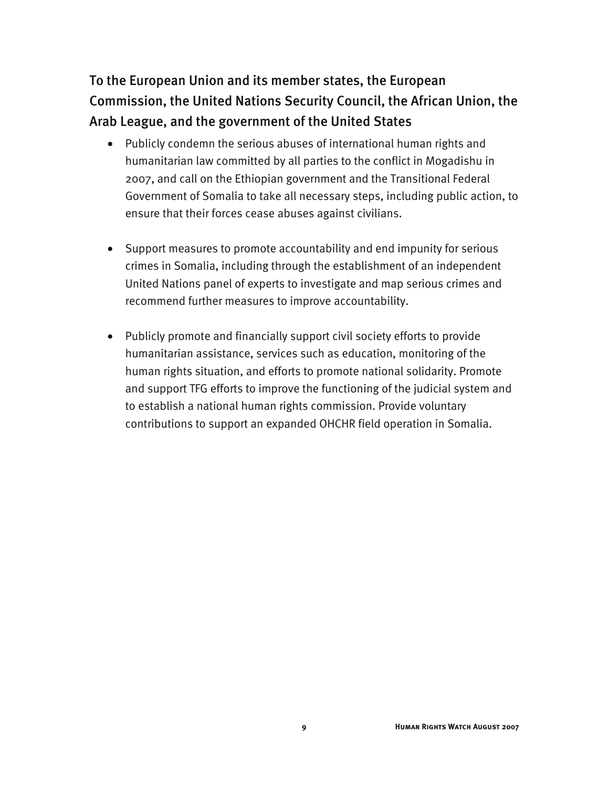To the European Union and its member states, the European Commission, the United Nations Security Council, the African Union, the Arab League, and the government of the United States

- Publicly condemn the serious abuses of international human rights and humanitarian law committed by all parties to the conflict in Mogadishu in 2007, and call on the Ethiopian government and the Transitional Federal Government of Somalia to take all necessary steps, including public action, to ensure that their forces cease abuses against civilians.
- Support measures to promote accountability and end impunity for serious crimes in Somalia, including through the establishment of an independent United Nations panel of experts to investigate and map serious crimes and recommend further measures to improve accountability.
- Publicly promote and financially support civil society efforts to provide humanitarian assistance, services such as education, monitoring of the human rights situation, and efforts to promote national solidarity. Promote and support TFG efforts to improve the functioning of the judicial system and to establish a national human rights commission. Provide voluntary contributions to support an expanded OHCHR field operation in Somalia.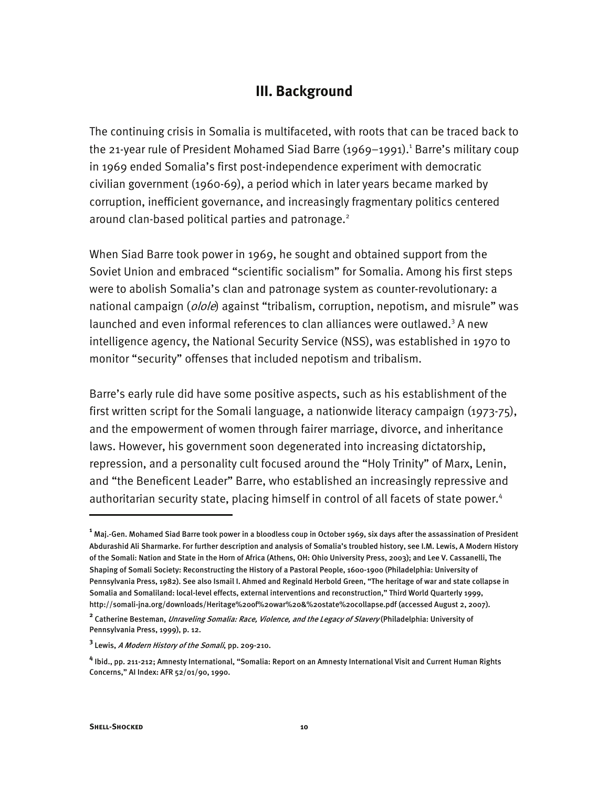### **III. Background**

The continuing crisis in Somalia is multifaceted, with roots that can be traced back to the 21-year rule of President Mohamed Siad Barre (1969–1991).<sup>1</sup> Barre's military coup in 1969 ended Somalia's first post-independence experiment with democratic civilian government (1960-69), a period which in later years became marked by corruption, inefficient governance, and increasingly fragmentary politics centered around clan-based political parties and patronage.<sup>2</sup>

When Siad Barre took power in 1969, he sought and obtained support from the Soviet Union and embraced "scientific socialism" for Somalia. Among his first steps were to abolish Somalia's clan and patronage system as counter-revolutionary: a national campaign (*olole*) against "tribalism, corruption, nepotism, and misrule" was launched and even informal references to clan alliances were outlawed.<sup>3</sup> A new intelligence agency, the National Security Service (NSS), was established in 1970 to monitor "security" offenses that included nepotism and tribalism.

Barre's early rule did have some positive aspects, such as his establishment of the first written script for the Somali language, a nationwide literacy campaign (1973-75), and the empowerment of women through fairer marriage, divorce, and inheritance laws. However, his government soon degenerated into increasing dictatorship, repression, and a personality cult focused around the "Holy Trinity" of Marx, Lenin, and "the Beneficent Leader" Barre, who established an increasingly repressive and authoritarian security state, placing himself in control of all facets of state power.<sup>4</sup>

-

**<sup>1</sup>** Maj.-Gen. Mohamed Siad Barre took power in a bloodless coup in October 1969, six days after the assassination of President Abdurashid Ali Sharmarke. For further description and analysis of Somalia's troubled history, see I.M. Lewis, A Modern History of the Somali: Nation and State in the Horn of Africa (Athens, OH: Ohio University Press, 2003); and Lee V. Cassanelli, The Shaping of Somali Society: Reconstructing the History of a Pastoral People, 1600-1900 (Philadelphia: University of Pennsylvania Press, 1982). See also Ismail I. Ahmed and Reginald Herbold Green, "The heritage of war and state collapse in Somalia and Somaliland: local-level effects, external interventions and reconstruction," Third World Quarterly 1999, http://somali-jna.org/downloads/Heritage%20of%20war%20&%20state%20collapse.pdf (accessed August 2, 2007).

**<sup>2</sup>** Catherine Besteman, Unraveling Somalia: Race, Violence, and the Legacy of Slavery (Philadelphia: University of Pennsylvania Press, 1999), p. 12.

**<sup>3</sup>** Lewis, A Modern History of the Somali, pp. 209-210.

**<sup>4</sup>** Ibid., pp. 211-212; Amnesty International, "Somalia: Report on an Amnesty International Visit and Current Human Rights Concerns," AI Index: AFR 52/01/90, 1990.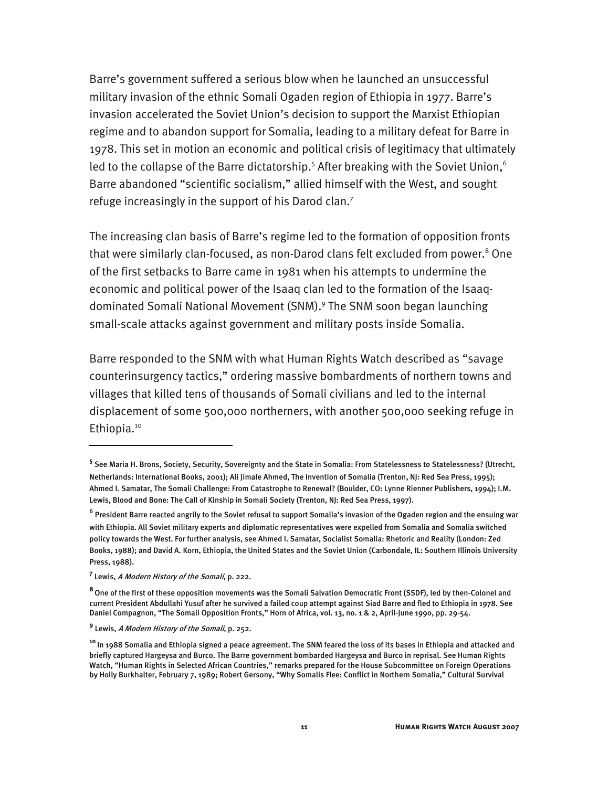Barre's government suffered a serious blow when he launched an unsuccessful military invasion of the ethnic Somali Ogaden region of Ethiopia in 1977. Barre's invasion accelerated the Soviet Union's decision to support the Marxist Ethiopian regime and to abandon support for Somalia, leading to a military defeat for Barre in 1978. This set in motion an economic and political crisis of legitimacy that ultimately led to the collapse of the Barre dictatorship.<sup>5</sup> After breaking with the Soviet Union,  $6$ Barre abandoned "scientific socialism," allied himself with the West, and sought refuge increasingly in the support of his Darod clan.<sup>7</sup>

The increasing clan basis of Barre's regime led to the formation of opposition fronts that were similarly clan-focused, as non-Darod clans felt excluded from power.<sup>8</sup> One of the first setbacks to Barre came in 1981 when his attempts to undermine the economic and political power of the Isaaq clan led to the formation of the Isaaqdominated Somali National Movement (SNM).<sup>9</sup> The SNM soon began launching small-scale attacks against government and military posts inside Somalia.

Barre responded to the SNM with what Human Rights Watch described as "savage counterinsurgency tactics," ordering massive bombardments of northern towns and villages that killed tens of thousands of Somali civilians and led to the internal displacement of some 500,000 northerners, with another 500,000 seeking refuge in Ethiopia.<sup>10</sup>

-

**<sup>5</sup>** See Maria H. Brons, Society, Security, Sovereignty and the State in Somalia: From Statelessness to Statelessness? (Utrecht, Netherlands: International Books, 2001); Ali Jimale Ahmed, The Invention of Somalia (Trenton, NJ: Red Sea Press, 1995); Ahmed I. Samatar, The Somali Challenge: From Catastrophe to Renewal? (Boulder, CO: Lynne Rienner Publishers, 1994); I.M. Lewis, Blood and Bone: The Call of Kinship in Somali Society (Trenton, NJ: Red Sea Press, 1997).

<sup>&</sup>lt;sup>6</sup> President Barre reacted angrily to the Soviet refusal to support Somalia's invasion of the Ogaden region and the ensuing war with Ethiopia. All Soviet military experts and diplomatic representatives were expelled from Somalia and Somalia switched policy towards the West. For further analysis, see Ahmed I. Samatar, Socialist Somalia: Rhetoric and Reality (London: Zed Books, 1988); and David A. Korn, Ethiopia, the United States and the Soviet Union (Carbondale, IL: Southern Illinois University Press, 1988).

**<sup>7</sup>** Lewis, A Modern History of the Somali, p. 222.

**<sup>8</sup>**One of the first of these opposition movements was the Somali Salvation Democratic Front (SSDF), led by then-Colonel and current President Abdullahi Yusuf after he survived a failed coup attempt against Siad Barre and fled to Ethiopia in 1978. See Daniel Compagnon, "The Somali Opposition Fronts," Horn of Africa, vol. 13, no. 1 & 2, April-June 1990, pp. 29-54.

**<sup>9</sup>** Lewis, A Modern History of the Somali, p. 252.

**<sup>10</sup>**In 1988 Somalia and Ethiopia signed a peace agreement. The SNM feared the loss of its bases in Ethiopia and attacked and briefly captured Hargeysa and Burco. The Barre government bombarded Hargeysa and Burco in reprisal. See Human Rights Watch, "Human Rights in Selected African Countries," remarks prepared for the House Subcommittee on Foreign Operations by Holly Burkhalter, February 7, 1989; Robert Gersony, "Why Somalis Flee: Conflict in Northern Somalia," Cultural Survival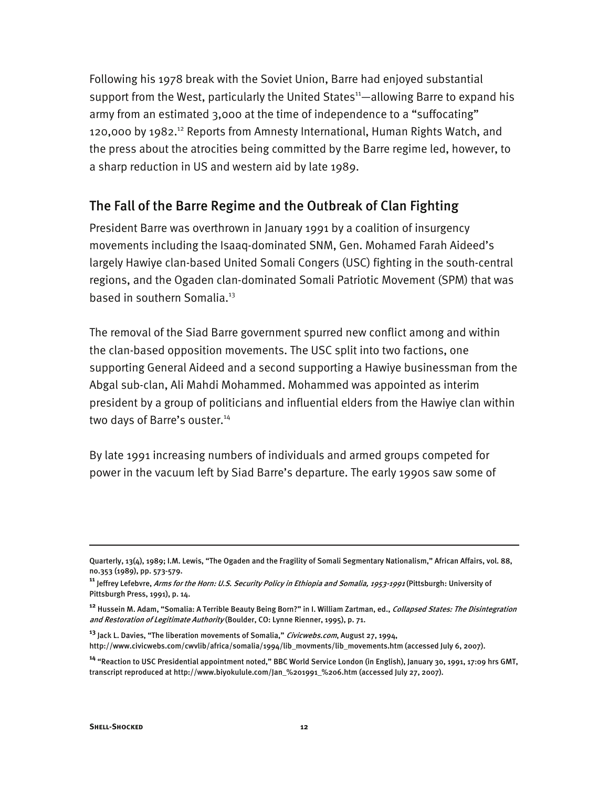Following his 1978 break with the Soviet Union, Barre had enjoyed substantial support from the West, particularly the United States<sup>11</sup>—allowing Barre to expand his army from an estimated 3,000 at the time of independence to a "suffocating" 120,000 by 1982.<sup>12</sup> Reports from Amnesty International, Human Rights Watch, and the press about the atrocities being committed by the Barre regime led, however, to a sharp reduction in US and western aid by late 1989.

#### The Fall of the Barre Regime and the Outbreak of Clan Fighting

President Barre was overthrown in January 1991 by a coalition of insurgency movements including the Isaaq-dominated SNM, Gen. Mohamed Farah Aideed's largely Hawiye clan-based United Somali Congers (USC) fighting in the south-central regions, and the Ogaden clan-dominated Somali Patriotic Movement (SPM) that was based in southern Somalia.<sup>13</sup>

The removal of the Siad Barre government spurred new conflict among and within the clan-based opposition movements. The USC split into two factions, one supporting General Aideed and a second supporting a Hawiye businessman from the Abgal sub-clan, Ali Mahdi Mohammed. Mohammed was appointed as interim president by a group of politicians and influential elders from the Hawiye clan within two days of Barre's ouster.<sup>14</sup>

By late 1991 increasing numbers of individuals and armed groups competed for power in the vacuum left by Siad Barre's departure. The early 1990s saw some of

Quarterly, 13(4), 1989; I.M. Lewis, "The Ogaden and the Fragility of Somali Segmentary Nationalism," African Affairs, vol. 88, no.353 (1989), pp. 573-579.

**<sup>11</sup>** Jeffrey Lefebvre, Arms for the Horn: U.S. Security Policy in Ethiopia and Somalia, 1953-1991 (Pittsburgh: University of Pittsburgh Press, 1991), p. 14.

**<sup>12</sup>** Hussein M. Adam, "Somalia: A Terrible Beauty Being Born?" in I. William Zartman, ed., Collapsed States: The Disintegration and Restoration of Legitimate Authority (Boulder, CO: Lynne Rienner, 1995), p. 71.

**<sup>13</sup>** Jack L. Davies, "The liberation movements of Somalia," Civicwebs.com, August 27, 1994, http://www.civicwebs.com/cwvlib/africa/somalia/1994/lib\_movments/lib\_movements.htm (accessed July 6, 2007).

**<sup>14</sup>** "Reaction to USC Presidential appointment noted," BBC World Service London (in English), January 30, 1991, 17:09 hrs GMT, transcript reproduced at http://www.biyokulule.com/Jan\_%201991\_%206.htm (accessed July 27, 2007).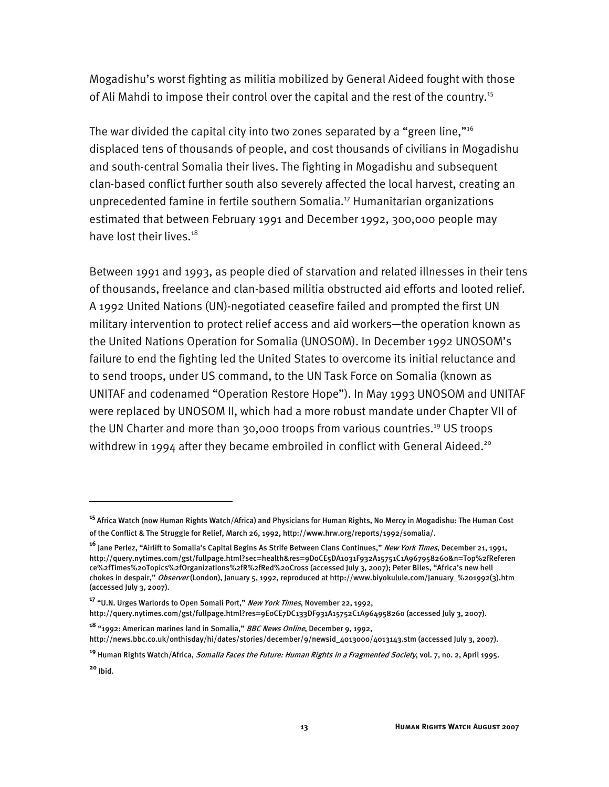Mogadishu's worst fighting as militia mobilized by General Aideed fought with those of Ali Mahdi to impose their control over the capital and the rest of the country.<sup>15</sup>

The war divided the capital city into two zones separated by a "green line,"16 displaced tens of thousands of people, and cost thousands of civilians in Mogadishu and south-central Somalia their lives. The fighting in Mogadishu and subsequent clan-based conflict further south also severely affected the local harvest, creating an unprecedented famine in fertile southern Somalia.<sup>17</sup> Humanitarian organizations estimated that between February 1991 and December 1992, 300,000 people may have lost their lives.<sup>18</sup>

Between 1991 and 1993, as people died of starvation and related illnesses in their tens of thousands, freelance and clan-based militia obstructed aid efforts and looted relief. A 1992 United Nations (UN)-negotiated ceasefire failed and prompted the first UN military intervention to protect relief access and aid workers—the operation known as the United Nations Operation for Somalia (UNOSOM). In December 1992 UNOSOM's failure to end the fighting led the United States to overcome its initial reluctance and to send troops, under US command, to the UN Task Force on Somalia (known as UNITAF and codenamed "Operation Restore Hope"). In May 1993 UNOSOM and UNITAF were replaced by UNOSOM II, which had a more robust mandate under Chapter VII of the UN Charter and more than 30,000 troops from various countries.<sup>19</sup> US troops withdrew in 1994 after they became embroiled in conflict with General Aideed.<sup>20</sup>

**<sup>15</sup>**Africa Watch (now Human Rights Watch/Africa) and Physicians for Human Rights, No Mercy in Mogadishu: The Human Cost of the Conflict & The Struggle for Relief, March 26, 1992, http://www.hrw.org/reports/1992/somalia/.

**<sup>16</sup>** Jane Perlez, "Airlift to Somalia's Capital Begins As Strife Between Clans Continues," New York Times, December 21, 1991, http://query.nytimes.com/gst/fullpage.html?sec=health&res=9D0CE5DA1031F932A15751C1A967958260&n=Top%2fReferen ce%2fTimes%20Topics%2fOrganizations%2fR%2fRed%20Cross (accessed July 3, 2007); Peter Biles, "Africa's new hell chokes in despair," Observer (London), January 5, 1992, reproduced at http://www.biyokulule.com/January\_%201992(3).htm (accessed July 3, 2007).

**<sup>17</sup>** "U.N. Urges Warlords to Open Somali Port," New York Times, November 22, 1992,

http://query.nytimes.com/gst/fullpage.html?res=9E0CE7DC133DF931A15752C1A964958260 (accessed July 3, 2007).

**<sup>18</sup>** "1992: American marines land in Somalia," BBC News Online, December 9, 1992, http://news.bbc.co.uk/onthisday/hi/dates/stories/december/9/newsid\_4013000/4013143.stm (accessed July 3, 2007).

**<sup>19</sup>** Human Rights Watch/Africa, Somalia Faces the Future: Human Rights in a Fragmented Society, vol. 7, no. 2, April 1995.

**<sup>20</sup>** Ibid.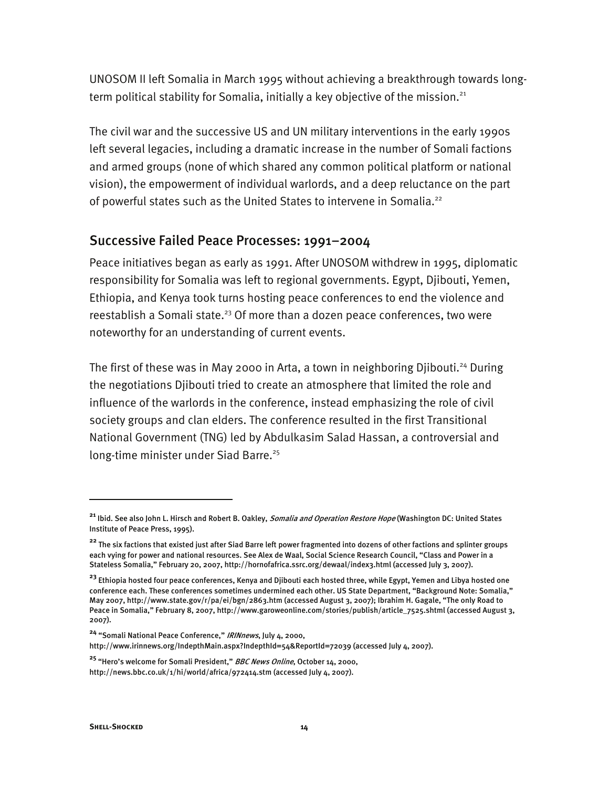UNOSOM II left Somalia in March 1995 without achieving a breakthrough towards longterm political stability for Somalia, initially a key objective of the mission.<sup>21</sup>

The civil war and the successive US and UN military interventions in the early 1990s left several legacies, including a dramatic increase in the number of Somali factions and armed groups (none of which shared any common political platform or national vision), the empowerment of individual warlords, and a deep reluctance on the part of powerful states such as the United States to intervene in Somalia.<sup>22</sup>

#### Successive Failed Peace Processes: 1991–2004

Peace initiatives began as early as 1991. After UNOSOM withdrew in 1995, diplomatic responsibility for Somalia was left to regional governments. Egypt, Djibouti, Yemen, Ethiopia, and Kenya took turns hosting peace conferences to end the violence and reestablish a Somali state.<sup>23</sup> Of more than a dozen peace conferences, two were noteworthy for an understanding of current events.

The first of these was in May 2000 in Arta, a town in neighboring Djibouti.<sup>24</sup> During the negotiations Djibouti tried to create an atmosphere that limited the role and influence of the warlords in the conference, instead emphasizing the role of civil society groups and clan elders. The conference resulted in the first Transitional National Government (TNG) led by Abdulkasim Salad Hassan, a controversial and long-time minister under Siad Barre.<sup>25</sup>

**<sup>24</sup>** "Somali National Peace Conference," IRINnews, July 4, 2000,

http://www.irinnews.org/IndepthMain.aspx?IndepthId=54&ReportId=72039 (accessed July 4, 2007).

**<sup>25</sup>** "Hero's welcome for Somali President," BBC News Online, October 14, 2000, http://news.bbc.co.uk/1/hi/world/africa/972414.stm (accessed July 4, 2007).

**<sup>21</sup>** Ibid. See also John L. Hirsch and Robert B. Oakley, Somalia and Operation Restore Hope (Washington DC: United States Institute of Peace Press, 1995).

**<sup>22</sup>** The six factions that existed just after Siad Barre left power fragmented into dozens of other factions and splinter groups each vying for power and national resources. See Alex de Waal, Social Science Research Council, "Class and Power in a Stateless Somalia," February 20, 2007, http://hornofafrica.ssrc.org/dewaal/index3.html (accessed July 3, 2007).

**<sup>23</sup>** Ethiopia hosted four peace conferences, Kenya and Djibouti each hosted three, while Egypt, Yemen and Libya hosted one conference each. These conferences sometimes undermined each other. US State Department, "Background Note: Somalia," May 2007, http://www.state.gov/r/pa/ei/bgn/2863.htm (accessed August 3, 2007); Ibrahim H. Gagale, "The only Road to Peace in Somalia," February 8, 2007, http://www.garoweonline.com/stories/publish/article\_7525.shtml (accessed August 3, 2007).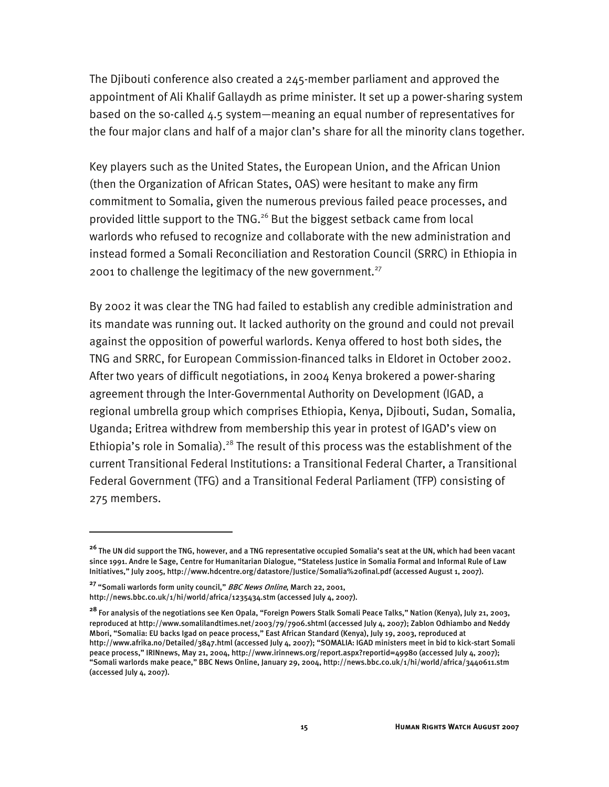The Djibouti conference also created a 245-member parliament and approved the appointment of Ali Khalif Gallaydh as prime minister. It set up a power-sharing system based on the so-called 4.5 system—meaning an equal number of representatives for the four major clans and half of a major clan's share for all the minority clans together.

Key players such as the United States, the European Union, and the African Union (then the Organization of African States, OAS) were hesitant to make any firm commitment to Somalia, given the numerous previous failed peace processes, and provided little support to the TNG.26 But the biggest setback came from local warlords who refused to recognize and collaborate with the new administration and instead formed a Somali Reconciliation and Restoration Council (SRRC) in Ethiopia in 2001 to challenge the legitimacy of the new government.<sup>27</sup>

By 2002 it was clear the TNG had failed to establish any credible administration and its mandate was running out. It lacked authority on the ground and could not prevail against the opposition of powerful warlords. Kenya offered to host both sides, the TNG and SRRC, for European Commission-financed talks in Eldoret in October 2002. After two years of difficult negotiations, in 2004 Kenya brokered a power-sharing agreement through the Inter-Governmental Authority on Development (IGAD, a regional umbrella group which comprises Ethiopia, Kenya, Djibouti, Sudan, Somalia, Uganda; Eritrea withdrew from membership this year in protest of IGAD's view on Ethiopia's role in Somalia).<sup>28</sup> The result of this process was the establishment of the current Transitional Federal Institutions: a Transitional Federal Charter, a Transitional Federal Government (TFG) and a Transitional Federal Parliament (TFP) consisting of 275 members.

**<sup>26</sup>** The UN did support the TNG, however, and a TNG representative occupied Somalia's seat at the UN, which had been vacant since 1991. Andre le Sage, Centre for Humanitarian Dialogue, "Stateless Justice in Somalia Formal and Informal Rule of Law Initiatives," July 2005, http://www.hdcentre.org/datastore/Justice/Somalia%20final.pdf (accessed August 1, 2007).

**<sup>27</sup>** "Somali warlords form unity council," BBC News Online, March 22, 2001, http://news.bbc.co.uk/1/hi/world/africa/1235434.stm (accessed July 4, 2007).

**<sup>28</sup>** For analysis of the negotiations see Ken Opala, "Foreign Powers Stalk Somali Peace Talks," Nation (Kenya), July 21, 2003, reproduced at http://www.somalilandtimes.net/2003/79/7906.shtml (accessed July 4, 2007); Zablon Odhiambo and Neddy Mbori, "Somalia: EU backs Igad on peace process," East African Standard (Kenya), July 19, 2003, reproduced at http://www.afrika.no/Detailed/3847.html (accessed July 4, 2007); "SOMALIA: IGAD ministers meet in bid to kick-start Somali peace process," IRINnews, May 21, 2004, http://www.irinnews.org/report.aspx?reportid=49980 (accessed July 4, 2007); "Somali warlords make peace," BBC News Online, January 29, 2004, http://news.bbc.co.uk/1/hi/world/africa/3440611.stm (accessed July 4, 2007).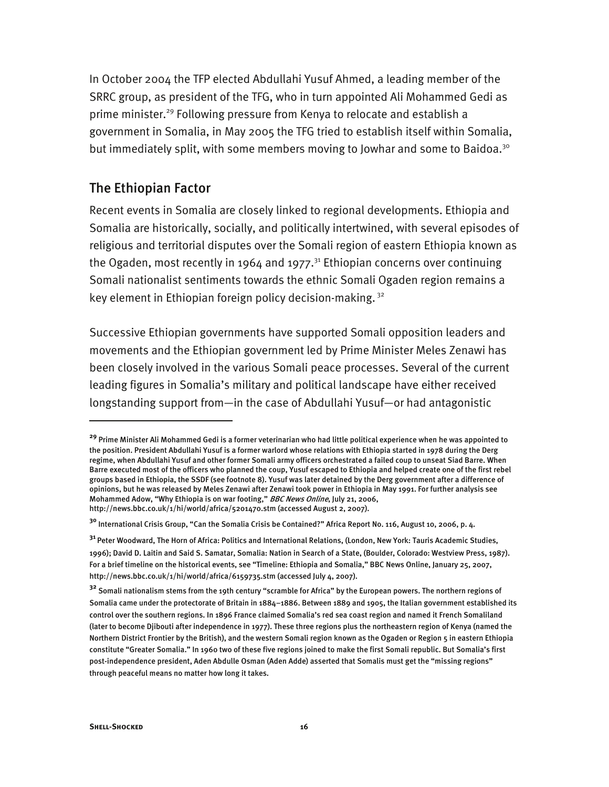In October 2004 the TFP elected Abdullahi Yusuf Ahmed, a leading member of the SRRC group, as president of the TFG, who in turn appointed Ali Mohammed Gedi as prime minister.<sup>29</sup> Following pressure from Kenya to relocate and establish a government in Somalia, in May 2005 the TFG tried to establish itself within Somalia, but immediately split, with some members moving to Jowhar and some to Baidoa.<sup>30</sup>

#### The Ethiopian Factor

Recent events in Somalia are closely linked to regional developments. Ethiopia and Somalia are historically, socially, and politically intertwined, with several episodes of religious and territorial disputes over the Somali region of eastern Ethiopia known as the Ogaden, most recently in 1964 and 1977.<sup>31</sup> Ethiopian concerns over continuing Somali nationalist sentiments towards the ethnic Somali Ogaden region remains a key element in Ethiopian foreign policy decision-making.<sup>32</sup>

Successive Ethiopian governments have supported Somali opposition leaders and movements and the Ethiopian government led by Prime Minister Meles Zenawi has been closely involved in the various Somali peace processes. Several of the current leading figures in Somalia's military and political landscape have either received longstanding support from—in the case of Abdullahi Yusuf—or had antagonistic

-

**<sup>29</sup>** Prime Minister Ali Mohammed Gedi is a former veterinarian who had little political experience when he was appointed to the position. President Abdullahi Yusuf is a former warlord whose relations with Ethiopia started in 1978 during the Derg regime, when Abdullahi Yusuf and other former Somali army officers orchestrated a failed coup to unseat Siad Barre. When Barre executed most of the officers who planned the coup, Yusuf escaped to Ethiopia and helped create one of the first rebel groups based in Ethiopia, the SSDF (see footnote 8). Yusuf was later detained by the Derg government after a difference of opinions, but he was released by Meles Zenawi after Zenawi took power in Ethiopia in May 1991. For further analysis see Mohammed Adow, "Why Ethiopia is on war footing," BBC News Online, July 21, 2006, http://news.bbc.co.uk/1/hi/world/africa/5201470.stm (accessed August 2, 2007).

**<sup>30</sup>** International Crisis Group, "Can the Somalia Crisis be Contained?" Africa Report No. 116, August 10, 2006, p. 4.

**<sup>31</sup>**Peter Woodward, The Horn of Africa: Politics and International Relations, (London, New York: Tauris Academic Studies, 1996); David D. Laitin and Said S. Samatar, Somalia: Nation in Search of a State, (Boulder, Colorado: Westview Press, 1987). For a brief timeline on the historical events, see "Timeline: Ethiopia and Somalia," BBC News Online, January 25, 2007, http://news.bbc.co.uk/1/hi/world/africa/6159735.stm (accessed July 4, 2007).

**<sup>32</sup>** Somali nationalism stems from the 19th century "scramble for Africa" by the European powers. The northern regions of Somalia came under the protectorate of Britain in 1884–1886. Between 1889 and 1905, the Italian government established its control over the southern regions. In 1896 France claimed Somalia's red sea coast region and named it French Somaliland (later to become Djibouti after independence in 1977). These three regions plus the northeastern region of Kenya (named the Northern District Frontier by the British), and the western Somali region known as the Ogaden or Region 5 in eastern Ethiopia constitute "Greater Somalia." In 1960 two of these five regions joined to make the first Somali republic. But Somalia's first post-independence president, Aden Abdulle Osman (Aden Adde) asserted that Somalis must get the "missing regions" through peaceful means no matter how long it takes.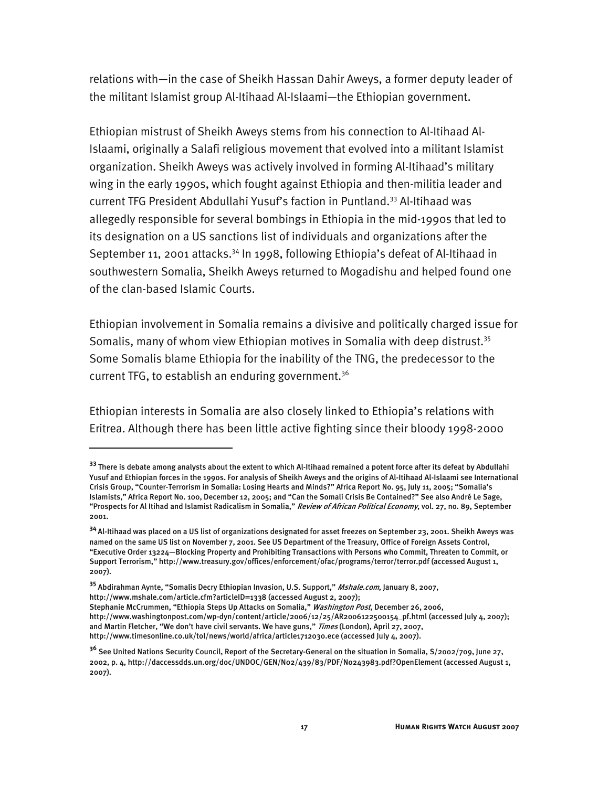relations with—in the case of Sheikh Hassan Dahir Aweys, a former deputy leader of the militant Islamist group Al-Itihaad Al-Islaami—the Ethiopian government.

Ethiopian mistrust of Sheikh Aweys stems from his connection to Al-Itihaad Al-Islaami, originally a Salafi religious movement that evolved into a militant Islamist organization. Sheikh Aweys was actively involved in forming Al-Itihaad's military wing in the early 1990s, which fought against Ethiopia and then-militia leader and current TFG President Abdullahi Yusuf's faction in Puntland.33 Al-Itihaad was allegedly responsible for several bombings in Ethiopia in the mid-1990s that led to its designation on a US sanctions list of individuals and organizations after the September 11, 2001 attacks.<sup>34</sup> In 1998, following Ethiopia's defeat of Al-Itihaad in southwestern Somalia, Sheikh Aweys returned to Mogadishu and helped found one of the clan-based Islamic Courts.

Ethiopian involvement in Somalia remains a divisive and politically charged issue for Somalis, many of whom view Ethiopian motives in Somalia with deep distrust.<sup>35</sup> Some Somalis blame Ethiopia for the inability of the TNG, the predecessor to the current TFG, to establish an enduring government.<sup>36</sup>

Ethiopian interests in Somalia are also closely linked to Ethiopia's relations with Eritrea. Although there has been little active fighting since their bloody 1998-2000

**<sup>33</sup>** There is debate among analysts about the extent to which Al-Itihaad remained a potent force after its defeat by Abdullahi Yusuf and Ethiopian forces in the 1990s. For analysis of Sheikh Aweys and the origins of Al-Itihaad Al-Islaami see International Crisis Group, "Counter-Terrorism in Somalia: Losing Hearts and Minds?" Africa Report No. 95, July 11, 2005; "Somalia's Islamists," Africa Report No. 100, December 12, 2005; and "Can the Somali Crisis Be Contained?" See also André Le Sage, "Prospects for Al Itihad and Islamist Radicalism in Somalia," Review of African Political Economy, vol. 27, no. 89, September 2001.

**<sup>34</sup>**Al-Itihaad was placed on a US list of organizations designated for asset freezes on September 23, 2001. Sheikh Aweys was named on the same US list on November 7, 2001. See US Department of the Treasury, Office of Foreign Assets Control, "Executive Order 13224—Blocking Property and Prohibiting Transactions with Persons who Commit, Threaten to Commit, or Support Terrorism," http://www.treasury.gov/offices/enforcement/ofac/programs/terror/terror.pdf (accessed August 1, 2007).

**<sup>35</sup>** Abdirahman Aynte, "Somalis Decry Ethiopian Invasion, U.S. Support," Mshale.com, January 8, 2007, http://www.mshale.com/article.cfm?articleID=1338 (accessed August 2, 2007);

Stephanie McCrummen, "Ethiopia Steps Up Attacks on Somalia," Washington Post, December 26, 2006, http://www.washingtonpost.com/wp-dyn/content/article/2006/12/25/AR2006122500154\_pf.html (accessed July 4, 2007); and Martin Fletcher, "We don't have civil servants. We have guns," Times (London), April 27, 2007, http://www.timesonline.co.uk/tol/news/world/africa/article1712030.ece (accessed July 4, 2007).

**<sup>36</sup>** See United Nations Security Council, Report of the Secretary-General on the situation in Somalia, S/2002/709, June 27, 2002, p. 4, http://daccessdds.un.org/doc/UNDOC/GEN/N02/439/83/PDF/N0243983.pdf?OpenElement (accessed August 1, 2007).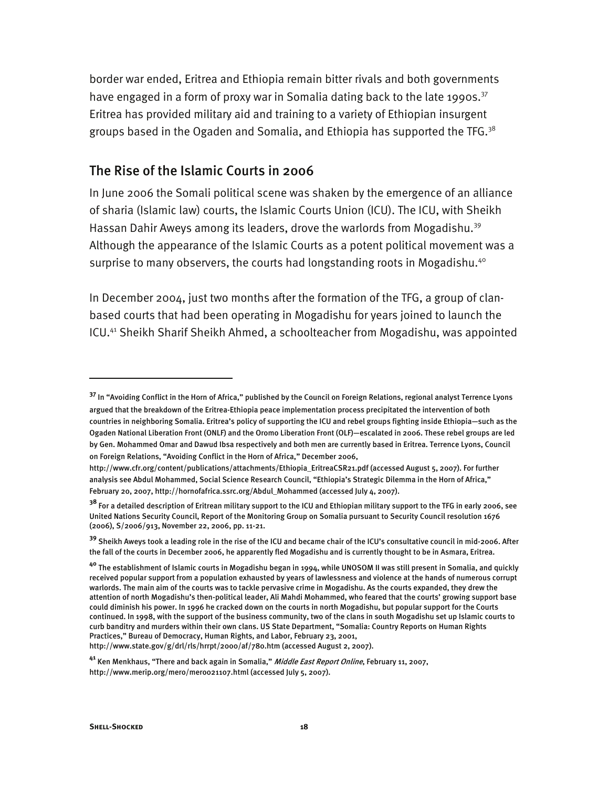border war ended, Eritrea and Ethiopia remain bitter rivals and both governments have engaged in a form of proxy war in Somalia dating back to the late 1990s.<sup>37</sup> Eritrea has provided military aid and training to a variety of Ethiopian insurgent groups based in the Ogaden and Somalia, and Ethiopia has supported the TFG. $38$ 

#### The Rise of the Islamic Courts in 2006

In June 2006 the Somali political scene was shaken by the emergence of an alliance of sharia (Islamic law) courts, the Islamic Courts Union (ICU). The ICU, with Sheikh Hassan Dahir Aweys among its leaders, drove the warlords from Mogadishu.<sup>39</sup> Although the appearance of the Islamic Courts as a potent political movement was a surprise to many observers, the courts had longstanding roots in Mogadishu.<sup>40</sup>

In December 2004, just two months after the formation of the TFG, a group of clanbased courts that had been operating in Mogadishu for years joined to launch the ICU.41 Sheikh Sharif Sheikh Ahmed, a schoolteacher from Mogadishu, was appointed

**<sup>37</sup>** In "Avoiding Conflict in the Horn of Africa," published by the Council on Foreign Relations, regional analyst Terrence Lyons argued that the breakdown of the Eritrea-Ethiopia peace implementation process precipitated the intervention of both countries in neighboring Somalia. Eritrea's policy of supporting the ICU and rebel groups fighting inside Ethiopia—such as the Ogaden National Liberation Front (ONLF) and the Oromo Liberation Front (OLF)—escalated in 2006. These rebel groups are led by Gen. Mohammed Omar and Dawud Ibsa respectively and both men are currently based in Eritrea. Terrence Lyons, Council on Foreign Relations, "Avoiding Conflict in the Horn of Africa," December 2006,

http://www.cfr.org/content/publications/attachments/Ethiopia\_EritreaCSR21.pdf (accessed August 5, 2007). For further analysis see Abdul Mohammed, Social Science Research Council, "Ethiopia's Strategic Dilemma in the Horn of Africa," February 20, 2007, http://hornofafrica.ssrc.org/Abdul\_Mohammed (accessed July 4, 2007).

**<sup>38</sup>** For a detailed description of Eritrean military support to the ICU and Ethiopian military support to the TFG in early 2006, see United Nations Security Council, Report of the Monitoring Group on Somalia pursuant to Security Council resolution 1676 (2006), S/2006/913, November 22, 2006, pp. 11-21.

**<sup>39</sup>** Sheikh Aweys took a leading role in the rise of the ICU and became chair of the ICU's consultative council in mid-2006. After the fall of the courts in December 2006, he apparently fled Mogadishu and is currently thought to be in Asmara, Eritrea.

**<sup>40</sup>** The establishment of Islamic courts in Mogadishu began in 1994, while UNOSOM II was still present in Somalia, and quickly received popular support from a population exhausted by years of lawlessness and violence at the hands of numerous corrupt warlords. The main aim of the courts was to tackle pervasive crime in Mogadishu. As the courts expanded, they drew the attention of north Mogadishu's then-political leader, Ali Mahdi Mohammed, who feared that the courts' growing support base could diminish his power. In 1996 he cracked down on the courts in north Mogadishu, but popular support for the Courts continued. In 1998, with the support of the business community, two of the clans in south Mogadishu set up Islamic courts to curb banditry and murders within their own clans. US State Department, "Somalia: Country Reports on Human Rights Practices," Bureau of Democracy, Human Rights, and Labor, February 23, 2001, http://www.state.gov/g/drl/rls/hrrpt/2000/af/780.htm (accessed August 2, 2007).

**<sup>41</sup>** Ken Menkhaus, "There and back again in Somalia," Middle East Report Online, February 11, 2007, http://www.merip.org/mero/mero021107.html (accessed July 5, 2007).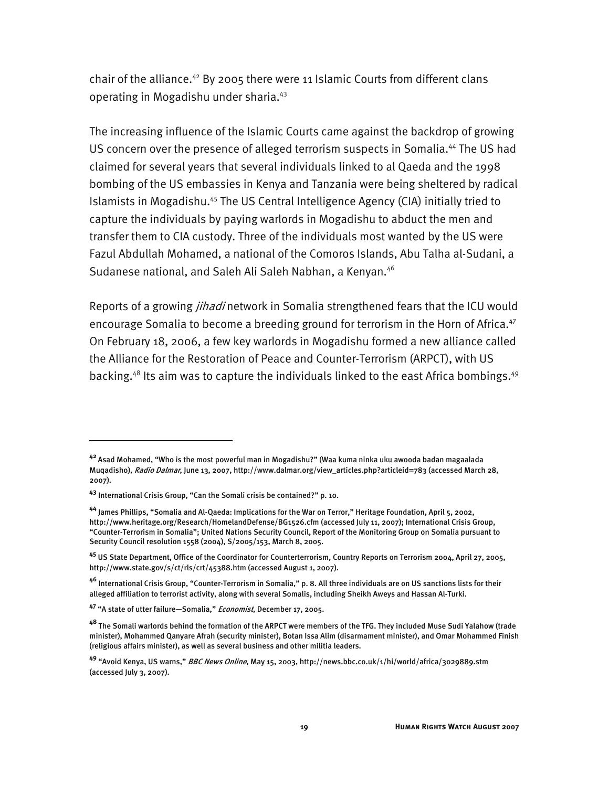chair of the alliance.<sup>42</sup> By 2005 there were 11 Islamic Courts from different clans operating in Mogadishu under sharia.43

The increasing influence of the Islamic Courts came against the backdrop of growing US concern over the presence of alleged terrorism suspects in Somalia.<sup>44</sup> The US had claimed for several years that several individuals linked to al Qaeda and the 1998 bombing of the US embassies in Kenya and Tanzania were being sheltered by radical Islamists in Mogadishu.<sup>45</sup> The US Central Intelligence Agency (CIA) initially tried to capture the individuals by paying warlords in Mogadishu to abduct the men and transfer them to CIA custody. Three of the individuals most wanted by the US were Fazul Abdullah Mohamed, a national of the Comoros Islands, Abu Talha al-Sudani, a Sudanese national, and Saleh Ali Saleh Nabhan, a Kenyan.<sup>46</sup>

Reports of a growing *jihadi* network in Somalia strengthened fears that the ICU would encourage Somalia to become a breeding ground for terrorism in the Horn of Africa.<sup>47</sup> On February 18, 2006, a few key warlords in Mogadishu formed a new alliance called the Alliance for the Restoration of Peace and Counter-Terrorism (ARPCT), with US backing.<sup>48</sup> Its aim was to capture the individuals linked to the east Africa bombings.<sup>49</sup>

-

**<sup>42</sup>**Asad Mohamed, "Who is the most powerful man in Mogadishu?" (Waa kuma ninka uku awooda badan magaalada Muqadisho), Radio Dalmar, June 13, 2007, http://www.dalmar.org/view\_articles.php?articleid=783 (accessed March 28, 2007).

**<sup>43</sup>** International Crisis Group, "Can the Somali crisis be contained?" p. 10.

**<sup>44</sup>** James Phillips, "Somalia and Al-Qaeda: Implications for the War on Terror," Heritage Foundation, April 5, 2002, http://www.heritage.org/Research/HomelandDefense/BG1526.cfm (accessed July 11, 2007); International Crisis Group, "Counter-Terrorism in Somalia"; United Nations Security Council, Report of the Monitoring Group on Somalia pursuant to Security Council resolution 1558 (2004), S/2005/153, March 8, 2005.

**<sup>45</sup>** US State Department, Office of the Coordinator for Counterterrorism, Country Reports on Terrorism 2004, April 27, 2005, http://www.state.gov/s/ct/rls/crt/45388.htm (accessed August 1, 2007).

**<sup>46</sup>** International Crisis Group, "Counter-Terrorism in Somalia," p. 8. All three individuals are on US sanctions lists for their alleged affiliation to terrorist activity, along with several Somalis, including Sheikh Aweys and Hassan Al-Turki.

**<sup>47</sup>** "A state of utter failure—Somalia," Economist, December 17, 2005.

**<sup>48</sup>** The Somali warlords behind the formation of the ARPCT were members of the TFG. They included Muse Sudi Yalahow (trade minister), Mohammed Qanyare Afrah (security minister), Botan Issa Alim (disarmament minister), and Omar Mohammed Finish (religious affairs minister), as well as several business and other militia leaders.

**<sup>49</sup>** "Avoid Kenya, US warns," BBC News Online, May 15, 2003, http://news.bbc.co.uk/1/hi/world/africa/3029889.stm (accessed July 3, 2007).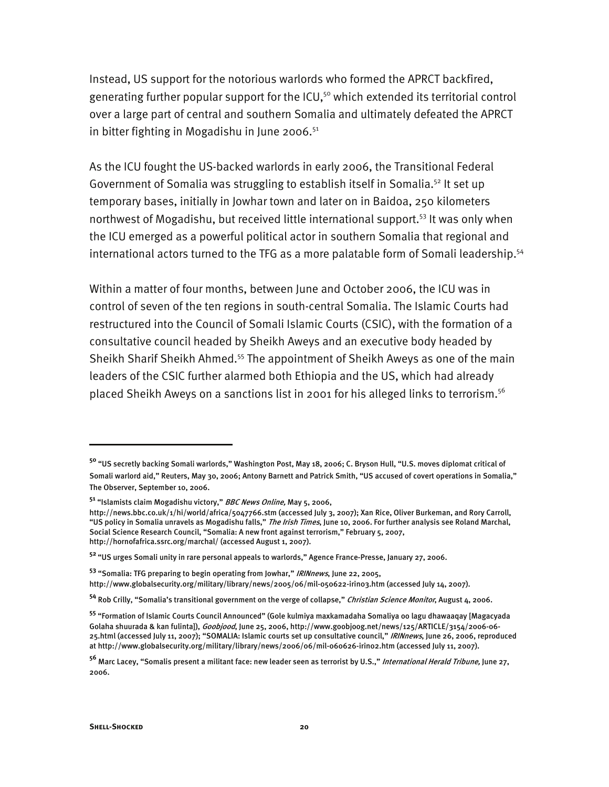Instead, US support for the notorious warlords who formed the APRCT backfired, generating further popular support for the ICU,<sup>50</sup> which extended its territorial control over a large part of central and southern Somalia and ultimately defeated the APRCT in bitter fighting in Mogadishu in June 2006. $51$ 

As the ICU fought the US-backed warlords in early 2006, the Transitional Federal Government of Somalia was struggling to establish itself in Somalia.<sup>52</sup> It set up temporary bases, initially in Jowhar town and later on in Baidoa, 250 kilometers northwest of Mogadishu, but received little international support.<sup>53</sup> It was only when the ICU emerged as a powerful political actor in southern Somalia that regional and international actors turned to the TFG as a more palatable form of Somali leadership.<sup>54</sup>

Within a matter of four months, between June and October 2006, the ICU was in control of seven of the ten regions in south-central Somalia. The Islamic Courts had restructured into the Council of Somali Islamic Courts (CSIC), with the formation of a consultative council headed by Sheikh Aweys and an executive body headed by Sheikh Sharif Sheikh Ahmed.<sup>55</sup> The appointment of Sheikh Aweys as one of the main leaders of the CSIC further alarmed both Ethiopia and the US, which had already placed Sheikh Aweys on a sanctions list in 2001 for his alleged links to terrorism.<sup>56</sup>

**<sup>53</sup>** "Somalia: TFG preparing to begin operating from Jowhar," IRINnews, June 22, 2005, http://www.globalsecurity.org/military/library/news/2005/06/mil-050622-irin03.htm (accessed July 14, 2007).

**<sup>50</sup>** "US secretly backing Somali warlords," Washington Post, May 18, 2006; C. Bryson Hull, "U.S. moves diplomat critical of Somali warlord aid," Reuters, May 30, 2006; Antony Barnett and Patrick Smith, "US accused of covert operations in Somalia," The Observer, September 10, 2006.

**<sup>51</sup>** "Islamists claim Mogadishu victory," BBC News Online, May 5, 2006,

http://news.bbc.co.uk/1/hi/world/africa/5047766.stm (accessed July 3, 2007); Xan Rice, Oliver Burkeman, and Rory Carroll, "US policy in Somalia unravels as Mogadishu falls," The Irish Times, June 10, 2006. For further analysis see Roland Marchal, Social Science Research Council, "Somalia: A new front against terrorism," February 5, 2007, http://hornofafrica.ssrc.org/marchal/ (accessed August 1, 2007).

**<sup>52</sup>**"US urges Somali unity in rare personal appeals to warlords," Agence France-Presse, January 27, 2006.

**<sup>54</sup>** Rob Crilly, "Somalia's transitional government on the verge of collapse," Christian Science Monitor, August 4, 2006.

**<sup>55</sup>** "Formation of Islamic Courts Council Announced" (Gole kulmiya maxkamadaha Somaliya oo lagu dhawaaqay [Magacyada Golaha shuurada & kan fulinta]), Goobjood, June 25, 2006, http://www.goobjoog.net/news/125/ARTICLE/3154/2006-06- 25.html (accessed July 11, 2007); "SOMALIA: Islamic courts set up consultative council," IRINnews, June 26, 2006, reproduced at http://www.globalsecurity.org/military/library/news/2006/06/mil-060626-irin02.htm (accessed July 11, 2007).

**<sup>56</sup>** Marc Lacey, "Somalis present a militant face: new leader seen as terrorist by U.S.," International Herald Tribune, June 27, 2006.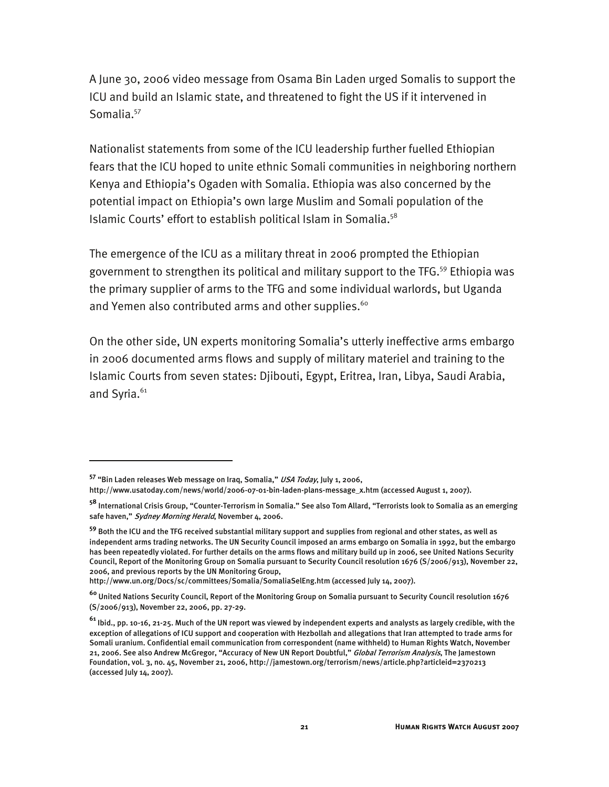A June 30, 2006 video message from Osama Bin Laden urged Somalis to support the ICU and build an Islamic state, and threatened to fight the US if it intervened in Somalia.<sup>57</sup>

Nationalist statements from some of the ICU leadership further fuelled Ethiopian fears that the ICU hoped to unite ethnic Somali communities in neighboring northern Kenya and Ethiopia's Ogaden with Somalia. Ethiopia was also concerned by the potential impact on Ethiopia's own large Muslim and Somali population of the Islamic Courts' effort to establish political Islam in Somalia.<sup>58</sup>

The emergence of the ICU as a military threat in 2006 prompted the Ethiopian government to strengthen its political and military support to the TFG.59 Ethiopia was the primary supplier of arms to the TFG and some individual warlords, but Uganda and Yemen also contributed arms and other supplies.<sup>60</sup>

On the other side, UN experts monitoring Somalia's utterly ineffective arms embargo in 2006 documented arms flows and supply of military materiel and training to the Islamic Courts from seven states: Djibouti, Egypt, Eritrea, Iran, Libya, Saudi Arabia, and Syria.<sup>61</sup>

-

http://www.un.org/Docs/sc/committees/Somalia/SomaliaSelEng.htm (accessed July 14, 2007).

**<sup>57</sup>** "Bin Laden releases Web message on Iraq, Somalia," USA Today, July 1, 2006,

http://www.usatoday.com/news/world/2006-07-01-bin-laden-plans-message\_x.htm (accessed August 1, 2007).

**<sup>58</sup>** International Crisis Group, "Counter-Terrorism in Somalia." See also Tom Allard, "Terrorists look to Somalia as an emerging safe haven," Sydney Morning Herald, November 4, 2006.

**<sup>59</sup>** Both the ICU and the TFG received substantial military support and supplies from regional and other states, as well as independent arms trading networks. The UN Security Council imposed an arms embargo on Somalia in 1992, but the embargo has been repeatedly violated. For further details on the arms flows and military build up in 2006, see United Nations Security Council, Report of the Monitoring Group on Somalia pursuant to Security Council resolution 1676 (S/2006/913), November 22, 2006, and previous reports by the UN Monitoring Group,

**<sup>60</sup>** United Nations Security Council, Report of the Monitoring Group on Somalia pursuant to Security Council resolution 1676 (S/2006/913), November 22, 2006, pp. 27-29.

**<sup>61</sup>** Ibid., pp. 10-16, 21-25. Much of the UN report was viewed by independent experts and analysts as largely credible, with the exception of allegations of ICU support and cooperation with Hezbollah and allegations that Iran attempted to trade arms for Somali uranium. Confidential email communication from correspondent (name withheld) to Human Rights Watch, November 21, 2006. See also Andrew McGregor, "Accuracy of New UN Report Doubtful," Global Terrorism Analysis, The Jamestown Foundation, vol. 3, no. 45, November 21, 2006, http://jamestown.org/terrorism/news/article.php?articleid=2370213 (accessed July 14, 2007).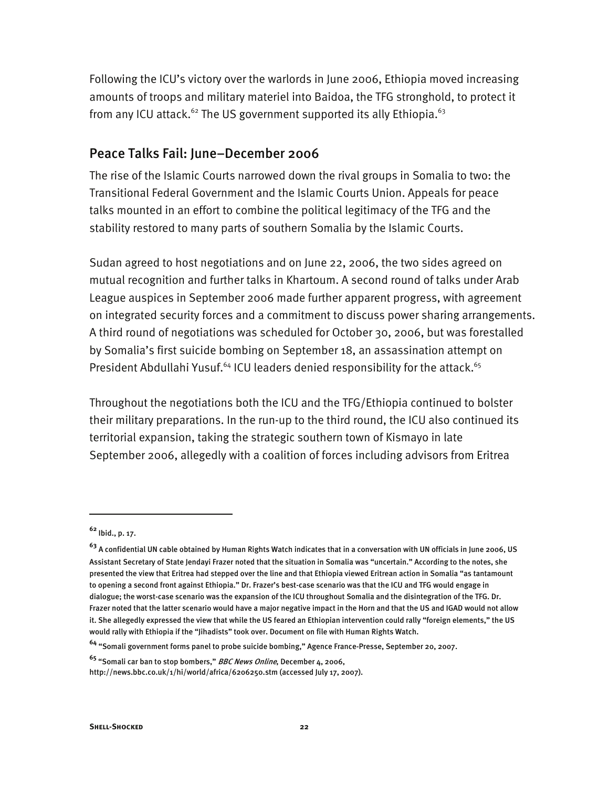Following the ICU's victory over the warlords in June 2006, Ethiopia moved increasing amounts of troops and military materiel into Baidoa, the TFG stronghold, to protect it from any ICU attack.<sup>62</sup> The US government supported its ally Ethiopia.<sup>63</sup>

#### Peace Talks Fail: June–December 2006

The rise of the Islamic Courts narrowed down the rival groups in Somalia to two: the Transitional Federal Government and the Islamic Courts Union. Appeals for peace talks mounted in an effort to combine the political legitimacy of the TFG and the stability restored to many parts of southern Somalia by the Islamic Courts.

Sudan agreed to host negotiations and on June 22, 2006, the two sides agreed on mutual recognition and further talks in Khartoum. A second round of talks under Arab League auspices in September 2006 made further apparent progress, with agreement on integrated security forces and a commitment to discuss power sharing arrangements. A third round of negotiations was scheduled for October 30, 2006, but was forestalled by Somalia's first suicide bombing on September 18, an assassination attempt on President Abdullahi Yusuf.<sup>64</sup> ICU leaders denied responsibility for the attack.<sup>65</sup>

Throughout the negotiations both the ICU and the TFG/Ethiopia continued to bolster their military preparations. In the run-up to the third round, the ICU also continued its territorial expansion, taking the strategic southern town of Kismayo in late September 2006, allegedly with a coalition of forces including advisors from Eritrea

**<sup>62</sup>** Ibid., p. 17.

**<sup>63</sup>** A confidential UN cable obtained by Human Rights Watch indicates that in a conversation with UN officials in June 2006, US Assistant Secretary of State Jendayi Frazer noted that the situation in Somalia was "uncertain." According to the notes, she presented the view that Eritrea had stepped over the line and that Ethiopia viewed Eritrean action in Somalia "as tantamount to opening a second front against Ethiopia." Dr. Frazer's best-case scenario was that the ICU and TFG would engage in dialogue; the worst-case scenario was the expansion of the ICU throughout Somalia and the disintegration of the TFG. Dr. Frazer noted that the latter scenario would have a major negative impact in the Horn and that the US and IGAD would not allow it. She allegedly expressed the view that while the US feared an Ethiopian intervention could rally "foreign elements," the US would rally with Ethiopia if the "Jihadists" took over. Document on file with Human Rights Watch.

**<sup>64</sup>** "Somali government forms panel to probe suicide bombing," Agence France-Presse, September 20, 2007.

**<sup>65</sup>** "Somali car ban to stop bombers," BBC News Online, December 4, 2006,

http://news.bbc.co.uk/1/hi/world/africa/6206250.stm (accessed July 17, 2007).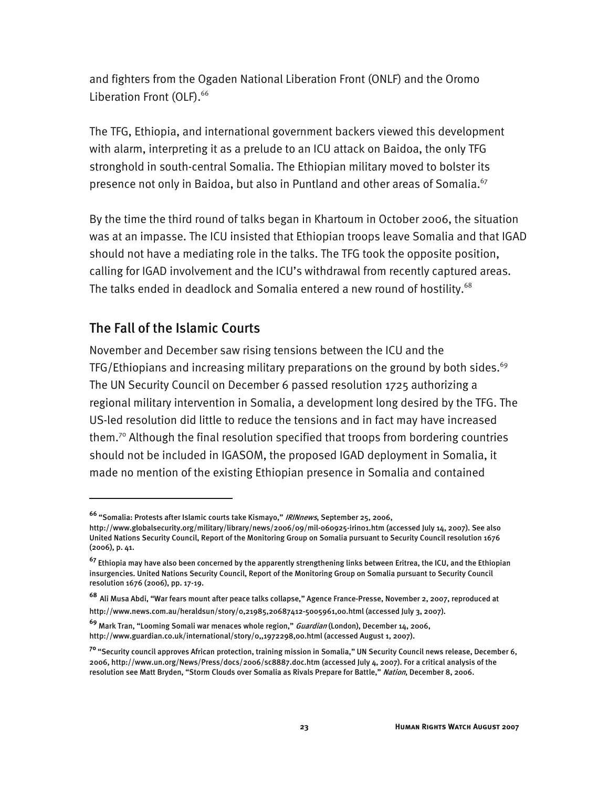and fighters from the Ogaden National Liberation Front (ONLF) and the Oromo Liberation Front (OLF).<sup>66</sup>

The TFG, Ethiopia, and international government backers viewed this development with alarm, interpreting it as a prelude to an ICU attack on Baidoa, the only TFG stronghold in south-central Somalia. The Ethiopian military moved to bolster its presence not only in Baidoa, but also in Puntland and other areas of Somalia.<sup>67</sup>

By the time the third round of talks began in Khartoum in October 2006, the situation was at an impasse. The ICU insisted that Ethiopian troops leave Somalia and that IGAD should not have a mediating role in the talks. The TFG took the opposite position, calling for IGAD involvement and the ICU's withdrawal from recently captured areas. The talks ended in deadlock and Somalia entered a new round of hostility.<sup>68</sup>

#### The Fall of the Islamic Courts

I

November and December saw rising tensions between the ICU and the TFG/Ethiopians and increasing military preparations on the ground by both sides.<sup>69</sup> The UN Security Council on December 6 passed resolution 1725 authorizing a regional military intervention in Somalia, a development long desired by the TFG. The US-led resolution did little to reduce the tensions and in fact may have increased them.70 Although the final resolution specified that troops from bordering countries should not be included in IGASOM, the proposed IGAD deployment in Somalia, it made no mention of the existing Ethiopian presence in Somalia and contained

**<sup>66</sup>** "Somalia: Protests after Islamic courts take Kismayo," IRINnews, September 25, 2006,

http://www.globalsecurity.org/military/library/news/2006/09/mil-060925-irin01.htm (accessed July 14, 2007). See also United Nations Security Council, Report of the Monitoring Group on Somalia pursuant to Security Council resolution 1676 (2006), p. 41.

**<sup>67</sup>** Ethiopia may have also been concerned by the apparently strengthening links between Eritrea, the ICU, and the Ethiopian insurgencies. United Nations Security Council, Report of the Monitoring Group on Somalia pursuant to Security Council resolution 1676 (2006), pp. 17-19.

**<sup>68</sup>** Ali Musa Abdi, "War fears mount after peace talks collapse," Agence France-Presse, November 2, 2007, reproduced at

http://www.news.com.au/heraldsun/story/0,21985,20687412-5005961,00.html (accessed July 3, 2007).

**<sup>69</sup>** Mark Tran, "Looming Somali war menaces whole region," Guardian (London), December 14, 2006, http://www.guardian.co.uk/international/story/0,,1972298,00.html (accessed August 1, 2007).

**<sup>70</sup>**"Security council approves African protection, training mission in Somalia," UN Security Council news release, December 6, 2006, http://www.un.org/News/Press/docs/2006/sc8887.doc.htm (accessed July 4, 2007). For a critical analysis of the resolution see Matt Bryden, "Storm Clouds over Somalia as Rivals Prepare for Battle," *Nation*, December 8, 2006.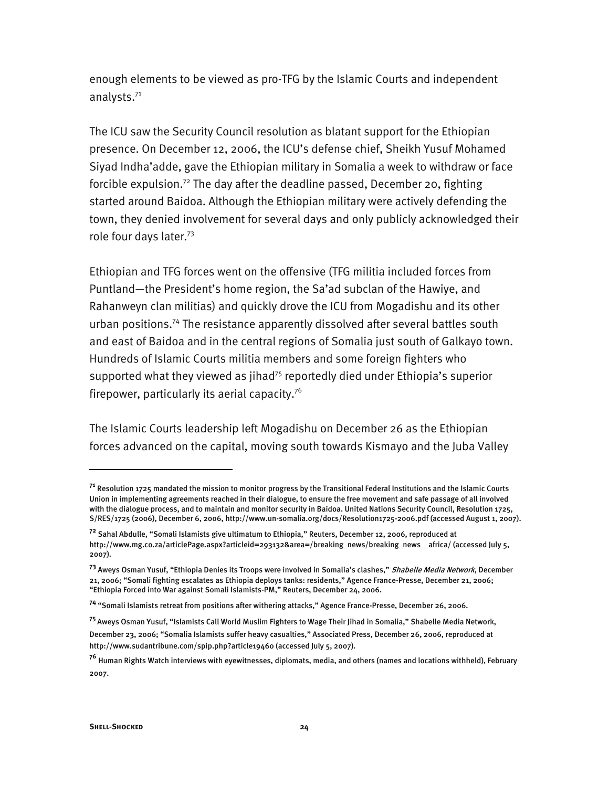enough elements to be viewed as pro-TFG by the Islamic Courts and independent analysts.<sup>71</sup>

The ICU saw the Security Council resolution as blatant support for the Ethiopian presence. On December 12, 2006, the ICU's defense chief, Sheikh Yusuf Mohamed Siyad Indha'adde, gave the Ethiopian military in Somalia a week to withdraw or face forcible expulsion.<sup>72</sup> The day after the deadline passed, December 20, fighting started around Baidoa. Although the Ethiopian military were actively defending the town, they denied involvement for several days and only publicly acknowledged their role four days later.73

Ethiopian and TFG forces went on the offensive (TFG militia included forces from Puntland—the President's home region, the Sa'ad subclan of the Hawiye, and Rahanweyn clan militias) and quickly drove the ICU from Mogadishu and its other urban positions.74 The resistance apparently dissolved after several battles south and east of Baidoa and in the central regions of Somalia just south of Galkayo town. Hundreds of Islamic Courts militia members and some foreign fighters who supported what they viewed as jihad<sup>75</sup> reportedly died under Ethiopia's superior firepower, particularly its aerial capacity.<sup>76</sup>

The Islamic Courts leadership left Mogadishu on December 26 as the Ethiopian forces advanced on the capital, moving south towards Kismayo and the Juba Valley

**<sup>71</sup>** Resolution 1725 mandated the mission to monitor progress by the Transitional Federal Institutions and the Islamic Courts Union in implementing agreements reached in their dialogue, to ensure the free movement and safe passage of all involved with the dialogue process, and to maintain and monitor security in Baidoa. United Nations Security Council, Resolution 1725, S/RES/1725 (2006), December 6, 2006, http://www.un-somalia.org/docs/Resolution1725-2006.pdf (accessed August 1, 2007).

**<sup>72</sup>** Sahal Abdulle, "Somali Islamists give ultimatum to Ethiopia," Reuters, December 12, 2006, reproduced at http://www.mg.co.za/articlePage.aspx?articleid=293132&area=/breaking\_news/breaking\_news\_\_africa/ (accessed July 5, 2007).

**<sup>73</sup>** Aweys Osman Yusuf, "Ethiopia Denies its Troops were involved in Somalia's clashes," Shabelle Media Network, December 21, 2006; "Somali fighting escalates as Ethiopia deploys tanks: residents," Agence France-Presse, December 21, 2006; "Ethiopia Forced into War against Somali Islamists-PM," Reuters, December 24, 2006.

**<sup>74</sup>** "Somali Islamists retreat from positions after withering attacks," Agence France-Presse, December 26, 2006.

**<sup>75</sup>**Aweys Osman Yusuf, "Islamists Call World Muslim Fighters to Wage Their Jihad in Somalia," Shabelle Media Network, December 23, 2006; "Somalia Islamists suffer heavy casualties," Associated Press, December 26, 2006, reproduced at http://www.sudantribune.com/spip.php?article19460 (accessed July 5, 2007).

**<sup>76</sup>** Human Rights Watch interviews with eyewitnesses, diplomats, media, and others (names and locations withheld), February 2007.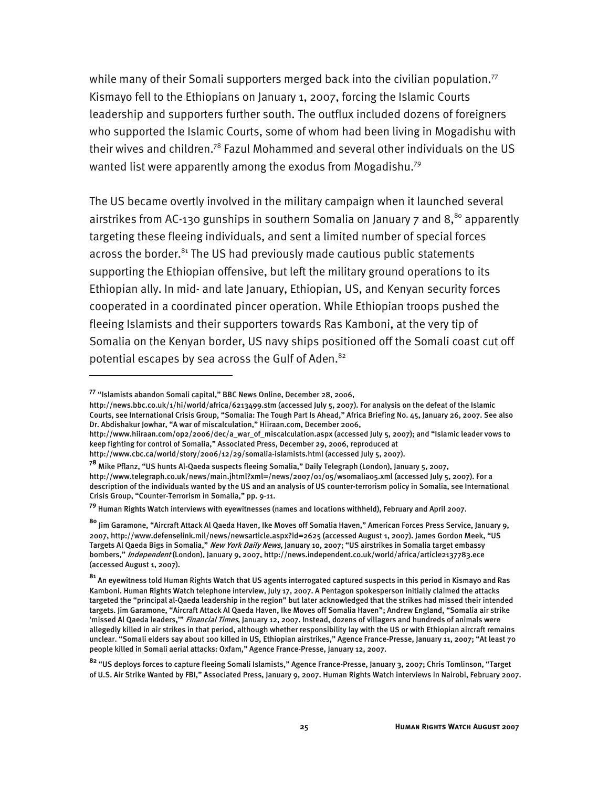while many of their Somali supporters merged back into the civilian population.<sup>77</sup> Kismayo fell to the Ethiopians on January 1, 2007, forcing the Islamic Courts leadership and supporters further south. The outflux included dozens of foreigners who supported the Islamic Courts, some of whom had been living in Mogadishu with their wives and children.<sup>78</sup> Fazul Mohammed and several other individuals on the US wanted list were apparently among the exodus from Mogadishu.<sup>79</sup>

The US became overtly involved in the military campaign when it launched several airstrikes from AC-130 gunships in southern Somalia on January  $7$  and  $8$ <sup>80</sup> apparently targeting these fleeing individuals, and sent a limited number of special forces across the border. $81$ <sup>the US</sup> had previously made cautious public statements supporting the Ethiopian offensive, but left the military ground operations to its Ethiopian ally. In mid- and late January, Ethiopian, US, and Kenyan security forces cooperated in a coordinated pincer operation. While Ethiopian troops pushed the fleeing Islamists and their supporters towards Ras Kamboni, at the very tip of Somalia on the Kenyan border, US navy ships positioned off the Somali coast cut off potential escapes by sea across the Gulf of Aden.<sup>82</sup>

I

http://news.bbc.co.uk/1/hi/world/africa/6213499.stm (accessed July 5, 2007). For analysis on the defeat of the Islamic Courts, see International Crisis Group, "Somalia: The Tough Part Is Ahead," Africa Briefing No. 45, January 26, 2007. See also Dr. Abdishakur Jowhar, "A war of miscalculation," Hiiraan.com, December 2006,

http://www.hiiraan.com/op2/2006/dec/a\_war\_of\_miscalculation.aspx (accessed July 5, 2007); and "Islamic leader vows to keep fighting for control of Somalia," Associated Press, December 29, 2006, reproduced at

**<sup>79</sup>** Human Rights Watch interviews with eyewitnesses (names and locations withheld), February and April 2007.

**<sup>77</sup>** "Islamists abandon Somali capital," BBC News Online, December 28, 2006,

http://www.cbc.ca/world/story/2006/12/29/somalia-islamists.html (accessed July 5, 2007).

**<sup>78</sup>** Mike Pflanz, "US hunts Al-Qaeda suspects fleeing Somalia," Daily Telegraph (London), January 5, 2007, http://www.telegraph.co.uk/news/main.jhtml?xml=/news/2007/01/05/wsomalia05.xml (accessed July 5, 2007). For a description of the individuals wanted by the US and an analysis of US counter-terrorism policy in Somalia, see International Crisis Group, "Counter-Terrorism in Somalia," pp. 9-11.

**<sup>80</sup>** Jim Garamone, "Aircraft Attack Al Qaeda Haven, Ike Moves off Somalia Haven," American Forces Press Service, January 9, 2007, http://www.defenselink.mil/news/newsarticle.aspx?id=2625 (accessed August 1, 2007). James Gordon Meek, "US Targets Al Qaeda Bigs in Somalia," New York Daily News, January 10, 2007; "US airstrikes in Somalia target embassy bombers," Independent (London), January 9, 2007, http://news.independent.co.uk/world/africa/article2137783.ece (accessed August 1, 2007).

**<sup>81</sup>** An eyewitness told Human Rights Watch that US agents interrogated captured suspects in this period in Kismayo and Ras Kamboni. Human Rights Watch telephone interview, July 17, 2007. A Pentagon spokesperson initially claimed the attacks targeted the "principal al-Qaeda leadership in the region" but later acknowledged that the strikes had missed their intended targets. Jim Garamone, "Aircraft Attack Al Qaeda Haven, Ike Moves off Somalia Haven"; Andrew England, "Somalia air strike 'missed Al Qaeda leaders,'" Financial Times, January 12, 2007. Instead, dozens of villagers and hundreds of animals were allegedly killed in air strikes in that period, although whether responsibility lay with the US or with Ethiopian aircraft remains unclear. "Somali elders say about 100 killed in US, Ethiopian airstrikes," Agence France-Presse, January 11, 2007; "At least 70 people killed in Somali aerial attacks: Oxfam," Agence France-Presse, January 12, 2007.

**<sup>82</sup>** "US deploys forces to capture fleeing Somali Islamists," Agence France-Presse, January 3, 2007; Chris Tomlinson, "Target of U.S. Air Strike Wanted by FBI," Associated Press, January 9, 2007. Human Rights Watch interviews in Nairobi, February 2007.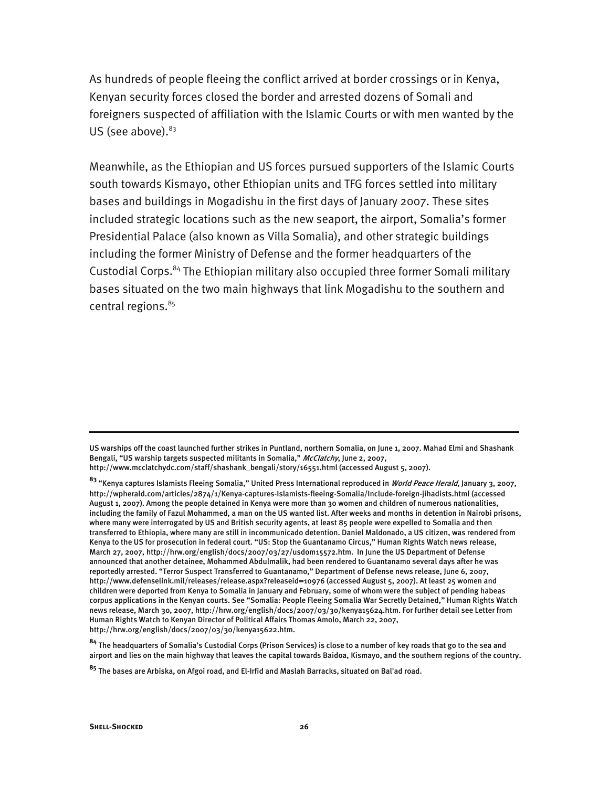As hundreds of people fleeing the conflict arrived at border crossings or in Kenya, Kenyan security forces closed the border and arrested dozens of Somali and foreigners suspected of affiliation with the Islamic Courts or with men wanted by the US (see above). $83$ 

Meanwhile, as the Ethiopian and US forces pursued supporters of the Islamic Courts south towards Kismayo, other Ethiopian units and TFG forces settled into military bases and buildings in Mogadishu in the first days of January 2007. These sites included strategic locations such as the new seaport, the airport, Somalia's former Presidential Palace (also known as Villa Somalia), and other strategic buildings including the former Ministry of Defense and the former headquarters of the Custodial Corps.84 The Ethiopian military also occupied three former Somali military bases situated on the two main highways that link Mogadishu to the southern and central regions.<sup>85</sup>

**<sup>84</sup>** The headquarters of Somalia's Custodial Corps (Prison Services) is close to a number of key roads that go to the sea and airport and lies on the main highway that leaves the capital towards Baidoa, Kismayo, and the southern regions of the country.

j

US warships off the coast launched further strikes in Puntland, northern Somalia, on June 1, 2007. Mahad Elmi and Shashank Bengali, "US warship targets suspected militants in Somalia," McClatchy, June 2, 2007,

http://www.mcclatchydc.com/staff/shashank\_bengali/story/16551.html (accessed August 5, 2007).

**<sup>83</sup>** "Kenya captures Islamists Fleeing Somalia," United Press International reproduced in World Peace Herald, January 3, 2007, http://wpherald.com/articles/2874/1/Kenya-captures-Islamists-fleeing-Somalia/Include-foreign-jihadists.html (accessed August 1, 2007). Among the people detained in Kenya were more than 30 women and children of numerous nationalities, including the family of Fazul Mohammed, a man on the US wanted list. After weeks and months in detention in Nairobi prisons, where many were interrogated by US and British security agents, at least 85 people were expelled to Somalia and then transferred to Ethiopia, where many are still in incommunicado detention. Daniel Maldonado, a US citizen, was rendered from Kenya to the US for prosecution in federal court. "US: Stop the Guantanamo Circus," Human Rights Watch news release, March 27, 2007, http://hrw.org/english/docs/2007/03/27/usdom15572.htm. In June the US Department of Defense announced that another detainee, Mohammed Abdulmalik, had been rendered to Guantanamo several days after he was reportedly arrested. "Terror Suspect Transferred to Guantanamo," Department of Defense news release, June 6, 2007, http://www.defenselink.mil/releases/release.aspx?releaseid=10976 (accessed August 5, 2007). At least 25 women and children were deported from Kenya to Somalia in January and February, some of whom were the subject of pending habeas corpus applications in the Kenyan courts. See "Somalia: People Fleeing Somalia War Secretly Detained," Human Rights Watch news release, March 30, 2007, http://hrw.org/english/docs/2007/03/30/kenya15624.htm. For further detail see Letter from Human Rights Watch to Kenyan Director of Political Affairs Thomas Amolo, March 22, 2007, http://hrw.org/english/docs/2007/03/30/kenya15622.htm.

**<sup>85</sup>** The bases are Arbiska, on Afgoi road, and El-Irfid and Maslah Barracks, situated on Bal'ad road.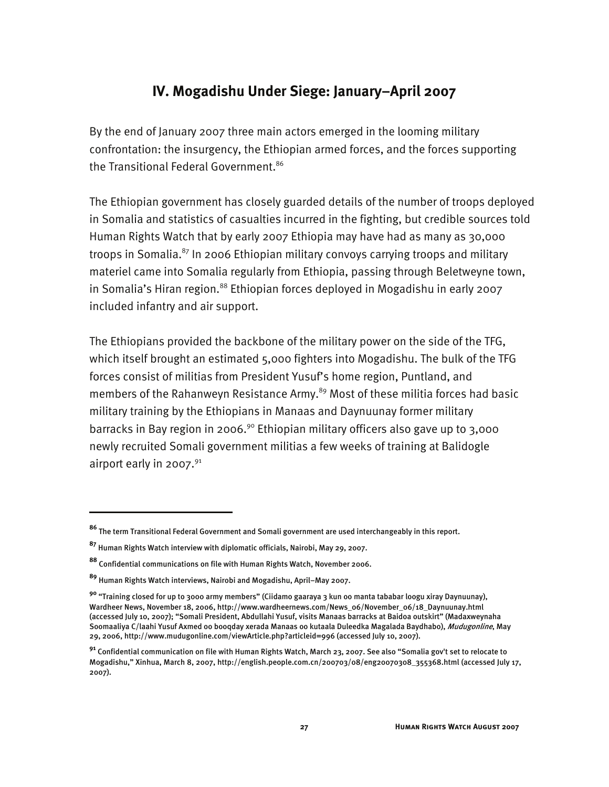## **IV. Mogadishu Under Siege: January–April 2007**

By the end of January 2007 three main actors emerged in the looming military confrontation: the insurgency, the Ethiopian armed forces, and the forces supporting the Transitional Federal Government.<sup>86</sup>

The Ethiopian government has closely guarded details of the number of troops deployed in Somalia and statistics of casualties incurred in the fighting, but credible sources told Human Rights Watch that by early 2007 Ethiopia may have had as many as 30,000 troops in Somalia.<sup>87</sup> In 2006 Ethiopian military convoys carrying troops and military materiel came into Somalia regularly from Ethiopia, passing through Beletweyne town, in Somalia's Hiran region.<sup>88</sup> Ethiopian forces deployed in Mogadishu in early 2007 included infantry and air support.

The Ethiopians provided the backbone of the military power on the side of the TFG, which itself brought an estimated 5,000 fighters into Mogadishu. The bulk of the TFG forces consist of militias from President Yusuf's home region, Puntland, and members of the Rahanweyn Resistance Army.<sup>89</sup> Most of these militia forces had basic military training by the Ethiopians in Manaas and Daynuunay former military barracks in Bay region in 2006.<sup>90</sup> Ethiopian military officers also gave up to 3,000 newly recruited Somali government militias a few weeks of training at Balidogle airport early in 2007. $91$ 

-

**<sup>86</sup>** The term Transitional Federal Government and Somali government are used interchangeably in this report.

**<sup>87</sup>** Human Rights Watch interview with diplomatic officials, Nairobi, May 29, 2007.

**<sup>88</sup>** Confidential communications on file with Human Rights Watch, November 2006.

**<sup>89</sup>** Human Rights Watch interviews, Nairobi and Mogadishu, April–May 2007.

**<sup>90</sup>** "Training closed for up to 3000 army members" (Ciidamo gaaraya 3 kun oo manta tababar loogu xiray Daynuunay), Wardheer News, November 18, 2006, http://www.wardheernews.com/News\_06/November\_06/18\_Daynuunay.html (accessed July 10, 2007); "Somali President, Abdullahi Yusuf, visits Manaas barracks at Baidoa outskirt" (Madaxweynaha Soomaaliya C/laahi Yusuf Axmed oo booqday xerada Manaas oo kutaala Duleedka Magalada Baydhabo), *Mudugonline*, May 29, 2006, http://www.mudugonline.com/viewArticle.php?articleid=996 (accessed July 10, 2007).

**<sup>91</sup>** Confidential communication on file with Human Rights Watch, March 23, 2007. See also "Somalia gov't set to relocate to Mogadishu," Xinhua, March 8, 2007, http://english.people.com.cn/200703/08/eng20070308\_355368.html (accessed July 17, 2007).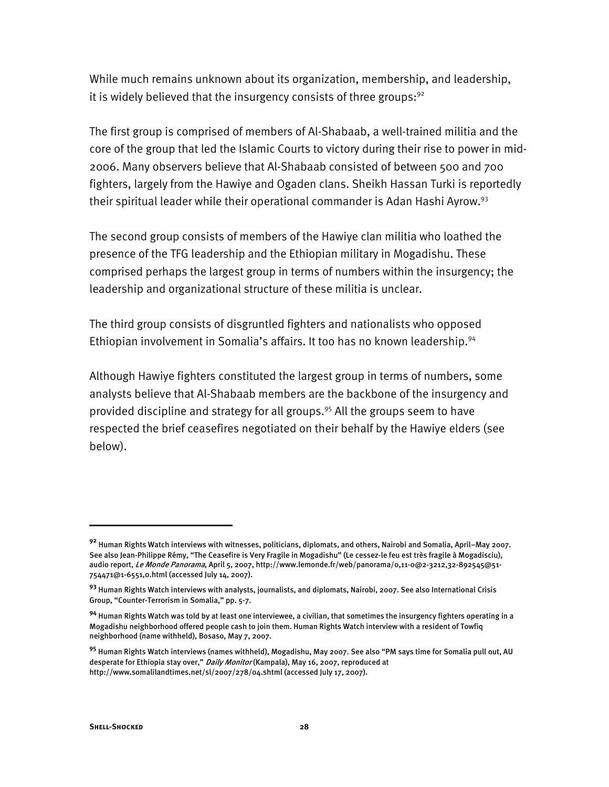While much remains unknown about its organization, membership, and leadership, it is widely believed that the insurgency consists of three groups: $92$ 

The first group is comprised of members of Al-Shabaab, a well-trained militia and the core of the group that led the Islamic Courts to victory during their rise to power in mid-2006. Many observers believe that Al-Shabaab consisted of between 500 and 700 fighters, largely from the Hawiye and Ogaden clans. Sheikh Hassan Turki is reportedly their spiritual leader while their operational commander is Adan Hashi Ayrow.<sup>93</sup>

The second group consists of members of the Hawiye clan militia who loathed the presence of the TFG leadership and the Ethiopian military in Mogadishu. These comprised perhaps the largest group in terms of numbers within the insurgency; the leadership and organizational structure of these militia is unclear.

The third group consists of disgruntled fighters and nationalists who opposed Ethiopian involvement in Somalia's affairs. It too has no known leadership.<sup>94</sup>

Although Hawiye fighters constituted the largest group in terms of numbers, some analysts believe that Al-Shabaab members are the backbone of the insurgency and provided discipline and strategy for all groups.95 All the groups seem to have respected the brief ceasefires negotiated on their behalf by the Hawiye elders (see below).

**<sup>92</sup>** Human Rights Watch interviews with witnesses, politicians, diplomats, and others, Nairobi and Somalia, April–May 2007. See also Jean-Philippe Rémy, "The Ceasefire is Very Fragile in Mogadishu" (Le cessez-le feu est très fragile à Mogadisciu), audio report, Le Monde Panorama, April 5, 2007, http://www.lemonde.fr/web/panorama/0,11-0@2-3212,32-892545@51-754471@1-6551,0.html (accessed July 14, 2007).

**<sup>93</sup>** Human Rights Watch interviews with analysts, journalists, and diplomats, Nairobi, 2007. See also International Crisis Group, "Counter-Terrorism in Somalia," pp. 5-7.

**<sup>94</sup>** Human Rights Watch was told by at least one interviewee, a civilian, that sometimes the insurgency fighters operating in a Mogadishu neighborhood offered people cash to join them. Human Rights Watch interview with a resident of Towfiq neighborhood (name withheld), Bosaso, May 7, 2007.

**<sup>95</sup>** Human Rights Watch interviews (names withheld), Mogadishu, May 2007. See also "PM says time for Somalia pull out, AU desperate for Ethiopia stay over," *Daily Monitor* (Kampala), May 16, 2007, reproduced at http://www.somalilandtimes.net/sl/2007/278/04.shtml (accessed July 17, 2007).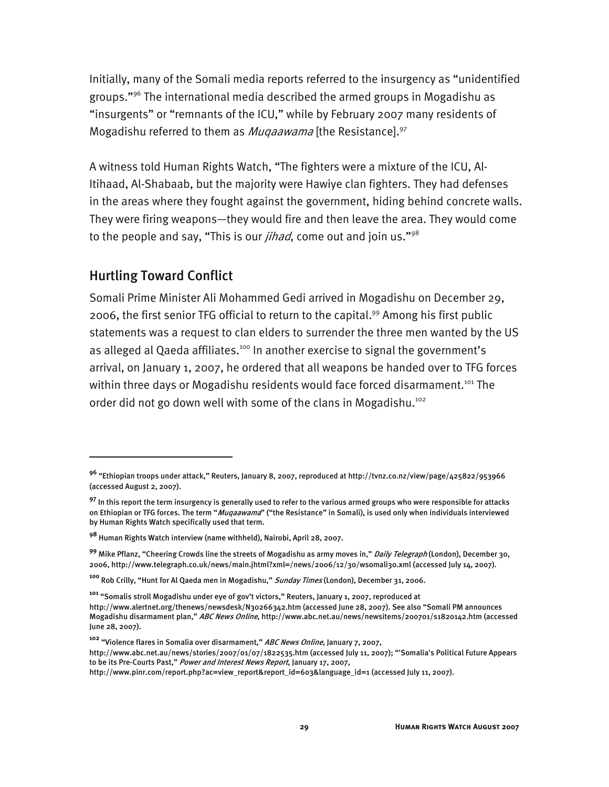Initially, many of the Somali media reports referred to the insurgency as "unidentified groups."96 The international media described the armed groups in Mogadishu as "insurgents" or "remnants of the ICU," while by February 2007 many residents of Mogadishu referred to them as *Muqaawama* [the Resistance].<sup>97</sup>

A witness told Human Rights Watch, "The fighters were a mixture of the ICU, Al-Itihaad, Al-Shabaab, but the majority were Hawiye clan fighters. They had defenses in the areas where they fought against the government, hiding behind concrete walls. They were firing weapons—they would fire and then leave the area. They would come to the people and say, "This is our *jihad*, come out and join us."<sup>98</sup>

#### Hurtling Toward Conflict

j

Somali Prime Minister Ali Mohammed Gedi arrived in Mogadishu on December 29, 2006, the first senior TFG official to return to the capital.<sup>99</sup> Among his first public statements was a request to clan elders to surrender the three men wanted by the US as alleged al Qaeda affiliates.<sup>100</sup> In another exercise to signal the government's arrival, on January 1, 2007, he ordered that all weapons be handed over to TFG forces within three days or Mogadishu residents would face forced disarmament.<sup>101</sup> The order did not go down well with some of the clans in Mogadishu.<sup>102</sup>

**<sup>96</sup>** "Ethiopian troops under attack," Reuters, January 8, 2007, reproduced at http://tvnz.co.nz/view/page/425822/953966 (accessed August 2, 2007).

**<sup>97</sup>** In this report the term insurgency is generally used to refer to the various armed groups who were responsible for attacks on Ethiopian or TFG forces. The term "Muqaawama" ("the Resistance" in Somali), is used only when individuals interviewed by Human Rights Watch specifically used that term.

**<sup>98</sup>** Human Rights Watch interview (name withheld), Nairobi, April 28, 2007.

**<sup>99</sup>** Mike Pflanz, "Cheering Crowds line the streets of Mogadishu as army moves in," Daily Telegraph (London), December 30, 2006, http://www.telegraph.co.uk/news/main.jhtml?xml=/news/2006/12/30/wsomali30.xml (accessed July 14, 2007).

**<sup>100</sup>** Rob Crilly, "Hunt for Al Qaeda men in Mogadishu," Sunday Times (London), December 31, 2006.

**<sup>101</sup>** "Somalis stroll Mogadishu under eye of gov't victors," Reuters, January 1, 2007, reproduced at

http://www.alertnet.org/thenews/newsdesk/N30266342.htm (accessed June 28, 2007). See also "Somali PM announces Mogadishu disarmament plan," ABC News Online, http://www.abc.net.au/news/newsitems/200701/s1820142.htm (accessed June 28, 2007).

**<sup>102</sup>** "Violence flares in Somalia over disarmament," ABC News Online, January 7, 2007,

http://www.abc.net.au/news/stories/2007/01/07/1822535.htm (accessed July 11, 2007); "'Somalia's Political Future Appears to be its Pre-Courts Past," Power and Interest News Report, January 17, 2007,

http://www.pinr.com/report.php?ac=view\_report&report\_id=603&language\_id=1 (accessed July 11, 2007).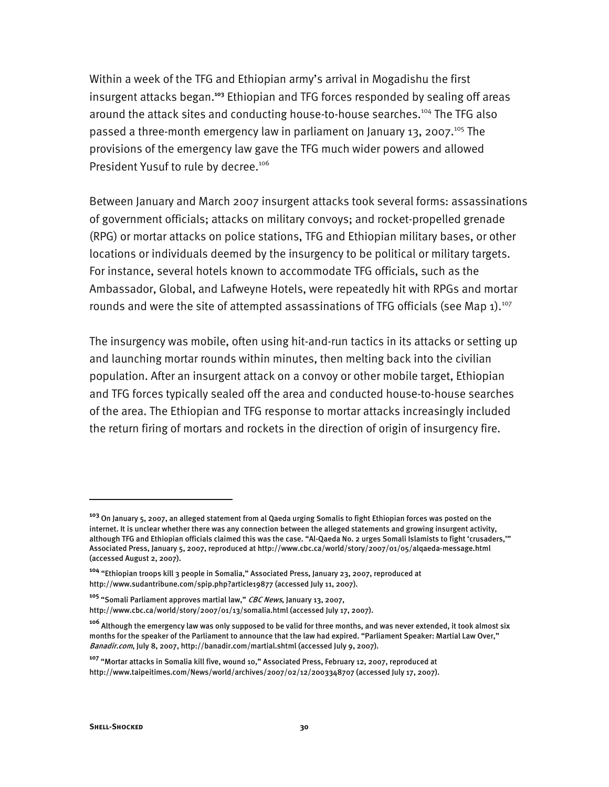Within a week of the TFG and Ethiopian army's arrival in Mogadishu the first insurgent attacks began.**<sup>103</sup>** Ethiopian and TFG forces responded by sealing off areas around the attack sites and conducting house-to-house searches.<sup>104</sup> The TFG also passed a three-month emergency law in parliament on January 13, 2007.<sup>105</sup> The provisions of the emergency law gave the TFG much wider powers and allowed President Yusuf to rule by decree.<sup>106</sup>

Between January and March 2007 insurgent attacks took several forms: assassinations of government officials; attacks on military convoys; and rocket-propelled grenade (RPG) or mortar attacks on police stations, TFG and Ethiopian military bases, or other locations or individuals deemed by the insurgency to be political or military targets. For instance, several hotels known to accommodate TFG officials, such as the Ambassador, Global, and Lafweyne Hotels, were repeatedly hit with RPGs and mortar rounds and were the site of attempted assassinations of TFG officials (see Map  $1$ ).<sup>107</sup>

The insurgency was mobile, often using hit-and-run tactics in its attacks or setting up and launching mortar rounds within minutes, then melting back into the civilian population. After an insurgent attack on a convoy or other mobile target, Ethiopian and TFG forces typically sealed off the area and conducted house-to-house searches of the area. The Ethiopian and TFG response to mortar attacks increasingly included the return firing of mortars and rockets in the direction of origin of insurgency fire.

**<sup>103</sup>** On January 5, 2007, an alleged statement from al Qaeda urging Somalis to fight Ethiopian forces was posted on the internet. It is unclear whether there was any connection between the alleged statements and growing insurgent activity, although TFG and Ethiopian officials claimed this was the case. "Al-Qaeda No. 2 urges Somali Islamists to fight 'crusaders,'" Associated Press, January 5, 2007, reproduced at http://www.cbc.ca/world/story/2007/01/05/alqaeda-message.html (accessed August 2, 2007).

**<sup>104</sup>** "Ethiopian troops kill 3 people in Somalia," Associated Press, January 23, 2007, reproduced at http://www.sudantribune.com/spip.php?article19877 (accessed July 11, 2007).

**<sup>105</sup>** "Somali Parliament approves martial law," CBC News, January 13, 2007,

http://www.cbc.ca/world/story/2007/01/13/somalia.html (accessed July 17, 2007).

**<sup>106</sup>** Although the emergency law was only supposed to be valid for three months, and was never extended, it took almost six months for the speaker of the Parliament to announce that the law had expired. "Parliament Speaker: Martial Law Over," Banadir.com, July 8, 2007, http://banadir.com/martial.shtml (accessed July 9, 2007).

**<sup>107</sup>** "Mortar attacks in Somalia kill five, wound 10," Associated Press, February 12, 2007, reproduced at http://www.taipeitimes.com/News/world/archives/2007/02/12/2003348707 (accessed July 17, 2007).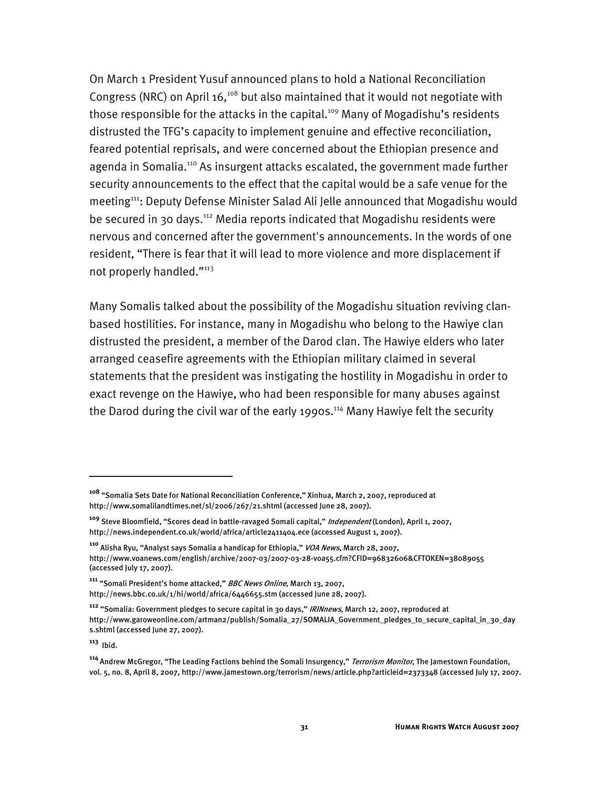On March 1 President Yusuf announced plans to hold a National Reconciliation Congress (NRC) on April 16,<sup>108</sup> but also maintained that it would not negotiate with those responsible for the attacks in the capital.<sup>109</sup> Many of Mogadishu's residents distrusted the TFG's capacity to implement genuine and effective reconciliation, feared potential reprisals, and were concerned about the Ethiopian presence and agenda in Somalia.<sup>110</sup> As insurgent attacks escalated, the government made further security announcements to the effect that the capital would be a safe venue for the meeting<sup>111</sup>: Deputy Defense Minister Salad Ali Jelle announced that Mogadishu would be secured in 30 days.112 Media reports indicated that Mogadishu residents were nervous and concerned after the government's announcements. In the words of one resident, "There is fear that it will lead to more violence and more displacement if not properly handled."113

Many Somalis talked about the possibility of the Mogadishu situation reviving clanbased hostilities. For instance, many in Mogadishu who belong to the Hawiye clan distrusted the president, a member of the Darod clan. The Hawiye elders who later arranged ceasefire agreements with the Ethiopian military claimed in several statements that the president was instigating the hostility in Mogadishu in order to exact revenge on the Hawiye, who had been responsible for many abuses against the Darod during the civil war of the early 1990s.<sup>114</sup> Many Hawiye felt the security

-

**<sup>108</sup>** "Somalia Sets Date for National Reconciliation Conference," Xinhua, March 2, 2007, reproduced at http://www.somalilandtimes.net/sl/2006/267/21.shtml (accessed June 28, 2007).

**<sup>109</sup>** Steve Bloomfield, "Scores dead in battle-ravaged Somali capital," Independent (London), April 1, 2007, http://news.independent.co.uk/world/africa/article2411404.ece (accessed August 1, 2007).

**<sup>110</sup>** Alisha Ryu, "Analyst says Somalia a handicap for Ethiopia," VOA News, March 28, 2007, http://www.voanews.com/english/archive/2007-03/2007-03-28-voa55.cfm?CFID=96832606&CFTOKEN=38089055 (accessed July 17, 2007).

**<sup>111</sup>** "Somali President's home attacked," BBC News Online, March 13, 2007, http://news.bbc.co.uk/1/hi/world/africa/6446655.stm (accessed June 28, 2007).

**<sup>112</sup>** "Somalia: Government pledges to secure capital in 30 days," IRINnews, March 12, 2007, reproduced at http://www.garoweonline.com/artman2/publish/Somalia\_27/SOMALIA\_Government\_pledges\_to\_secure\_capital\_in\_30\_day s.shtml (accessed June 27, 2007).

**<sup>113</sup>** Ibid.

**<sup>114</sup>**Andrew McGregor, "The Leading Factions behind the Somali Insurgency," Terrorism Monitor, The Jamestown Foundation, vol. 5, no. 8, April 8, 2007, http://www.jamestown.org/terrorism/news/article.php?articleid=2373348 (accessed July 17, 2007.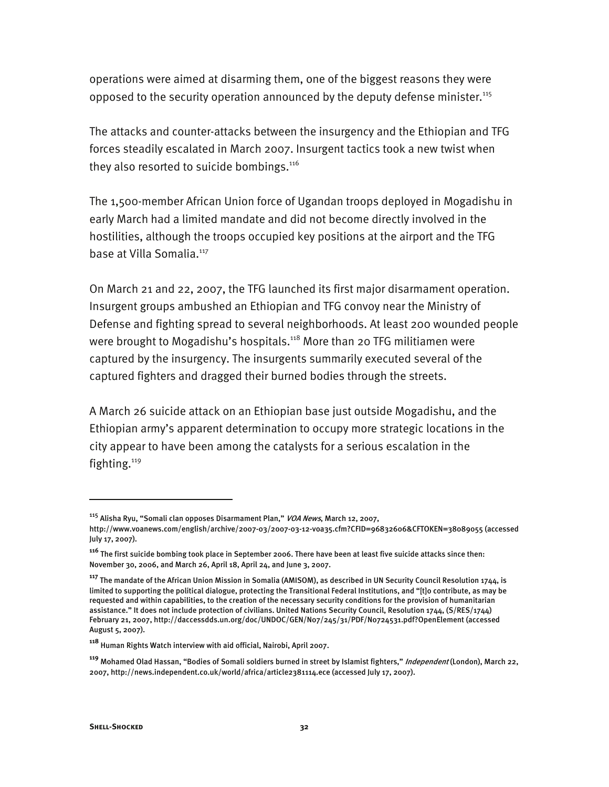operations were aimed at disarming them, one of the biggest reasons they were opposed to the security operation announced by the deputy defense minister.<sup>115</sup>

The attacks and counter-attacks between the insurgency and the Ethiopian and TFG forces steadily escalated in March 2007. Insurgent tactics took a new twist when they also resorted to suicide bombings.<sup>116</sup>

The 1,500-member African Union force of Ugandan troops deployed in Mogadishu in early March had a limited mandate and did not become directly involved in the hostilities, although the troops occupied key positions at the airport and the TFG base at Villa Somalia.<sup>117</sup>

On March 21 and 22, 2007, the TFG launched its first major disarmament operation. Insurgent groups ambushed an Ethiopian and TFG convoy near the Ministry of Defense and fighting spread to several neighborhoods. At least 200 wounded people were brought to Mogadishu's hospitals.<sup>118</sup> More than 20 TFG militiamen were captured by the insurgency. The insurgents summarily executed several of the captured fighters and dragged their burned bodies through the streets.

A March 26 suicide attack on an Ethiopian base just outside Mogadishu, and the Ethiopian army's apparent determination to occupy more strategic locations in the city appear to have been among the catalysts for a serious escalation in the fighting. $119$ 

<sup>&</sup>lt;sup>115</sup> Alisha Ryu, "Somali clan opposes Disarmament Plan," *VOA News*, March 12, 2007,

http://www.voanews.com/english/archive/2007-03/2007-03-12-voa35.cfm?CFID=96832606&CFTOKEN=38089055 (accessed July 17, 2007).

**<sup>116</sup>** The first suicide bombing took place in September 2006. There have been at least five suicide attacks since then: November 30, 2006, and March 26, April 18, April 24, and June 3, 2007.

**<sup>117</sup>** The mandate of the African Union Mission in Somalia (AMISOM), as described in UN Security Council Resolution 1744, is limited to supporting the political dialogue, protecting the Transitional Federal Institutions, and "[t]o contribute, as may be requested and within capabilities, to the creation of the necessary security conditions for the provision of humanitarian assistance." It does not include protection of civilians. United Nations Security Council, Resolution 1744, (S/RES/1744) February 21, 2007, http://daccessdds.un.org/doc/UNDOC/GEN/N07/245/31/PDF/N0724531.pdf?OpenElement (accessed August 5, 2007).

**<sup>118</sup>** Human Rights Watch interview with aid official, Nairobi, April 2007.

**<sup>119</sup>** Mohamed Olad Hassan, "Bodies of Somali soldiers burned in street by Islamist fighters," Independent (London), March 22, 2007, http://news.independent.co.uk/world/africa/article2381114.ece (accessed July 17, 2007).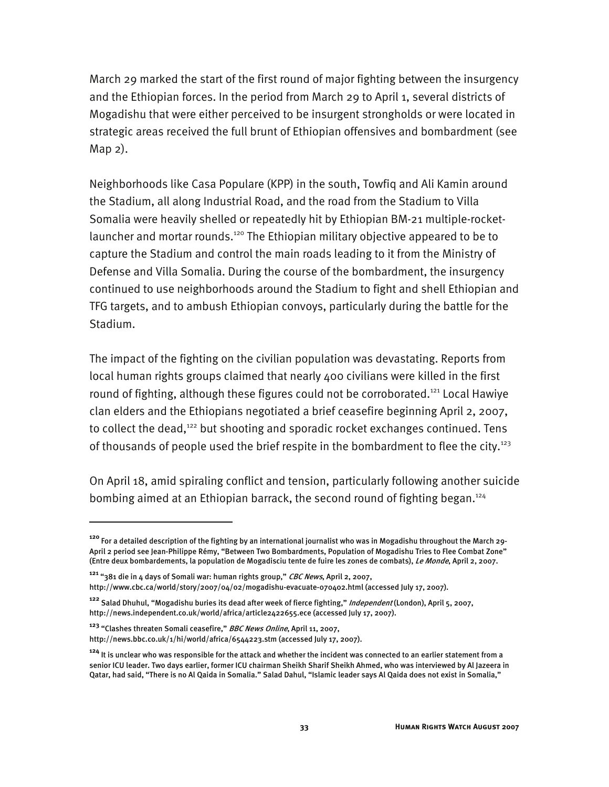March 29 marked the start of the first round of major fighting between the insurgency and the Ethiopian forces. In the period from March 29 to April 1, several districts of Mogadishu that were either perceived to be insurgent strongholds or were located in strategic areas received the full brunt of Ethiopian offensives and bombardment (see Map 2).

Neighborhoods like Casa Populare (KPP) in the south, Towfiq and Ali Kamin around the Stadium, all along Industrial Road, and the road from the Stadium to Villa Somalia were heavily shelled or repeatedly hit by Ethiopian BM-21 multiple-rocketlauncher and mortar rounds.<sup>120</sup> The Ethiopian military objective appeared to be to capture the Stadium and control the main roads leading to it from the Ministry of Defense and Villa Somalia. During the course of the bombardment, the insurgency continued to use neighborhoods around the Stadium to fight and shell Ethiopian and TFG targets, and to ambush Ethiopian convoys, particularly during the battle for the Stadium.

The impact of the fighting on the civilian population was devastating. Reports from local human rights groups claimed that nearly 400 civilians were killed in the first round of fighting, although these figures could not be corroborated.<sup>121</sup> Local Hawiye clan elders and the Ethiopians negotiated a brief ceasefire beginning April 2, 2007, to collect the dead,<sup>122</sup> but shooting and sporadic rocket exchanges continued. Tens of thousands of people used the brief respite in the bombardment to flee the city.<sup>123</sup>

On April 18, amid spiraling conflict and tension, particularly following another suicide bombing aimed at an Ethiopian barrack, the second round of fighting began.<sup>124</sup>

**<sup>120</sup>** For a detailed description of the fighting by an international journalist who was in Mogadishu throughout the March 29- April 2 period see Jean-Philippe Rémy, "Between Two Bombardments, Population of Mogadishu Tries to Flee Combat Zone" (Entre deux bombardements, la population de Mogadisciu tente de fuire les zones de combats), Le Monde, April 2, 2007.

**<sup>121</sup>** "381 die in 4 days of Somali war: human rights group," CBC News, April 2, 2007,

http://www.cbc.ca/world/story/2007/04/02/mogadishu-evacuate-070402.html (accessed July 17, 2007).

**<sup>122</sup>** Salad Dhuhul, "Mogadishu buries its dead after week of fierce fighting," Independent (London), April 5, 2007, http://news.independent.co.uk/world/africa/article2422655.ece (accessed July 17, 2007).

**<sup>123</sup>** "Clashes threaten Somali ceasefire," BBC News Online, April 11, 2007,

http://news.bbc.co.uk/1/hi/world/africa/6544223.stm (accessed July 17, 2007).

**<sup>124</sup>** It is unclear who was responsible for the attack and whether the incident was connected to an earlier statement from a senior ICU leader. Two days earlier, former ICU chairman Sheikh Sharif Sheikh Ahmed, who was interviewed by Al Jazeera in Qatar, had said, "There is no Al Qaida in Somalia." Salad Dahul, "Islamic leader says Al Qaida does not exist in Somalia,"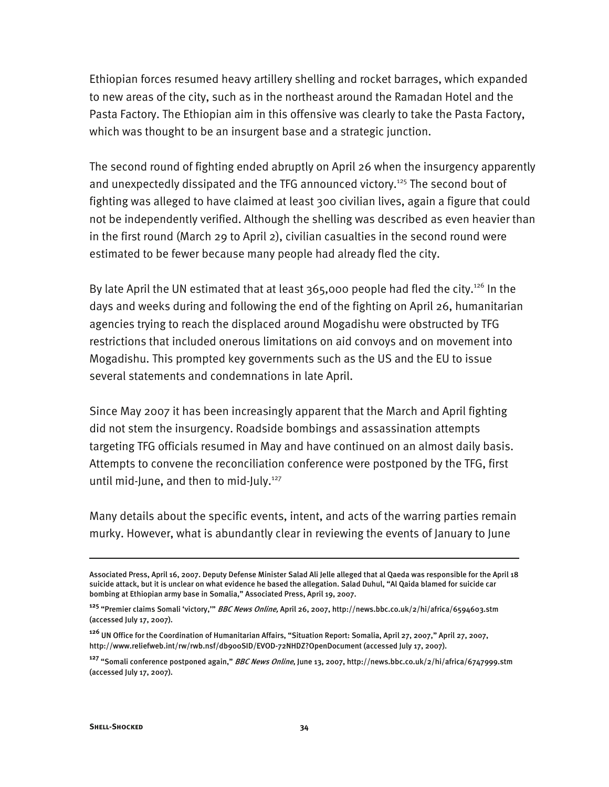Ethiopian forces resumed heavy artillery shelling and rocket barrages, which expanded to new areas of the city, such as in the northeast around the Ramadan Hotel and the Pasta Factory. The Ethiopian aim in this offensive was clearly to take the Pasta Factory, which was thought to be an insurgent base and a strategic junction.

The second round of fighting ended abruptly on April 26 when the insurgency apparently and unexpectedly dissipated and the TFG announced victory.<sup>125</sup> The second bout of fighting was alleged to have claimed at least 300 civilian lives, again a figure that could not be independently verified. Although the shelling was described as even heavier than in the first round (March 29 to April 2), civilian casualties in the second round were estimated to be fewer because many people had already fled the city.

By late April the UN estimated that at least  $365,000$  people had fled the city.<sup>126</sup> In the days and weeks during and following the end of the fighting on April 26, humanitarian agencies trying to reach the displaced around Mogadishu were obstructed by TFG restrictions that included onerous limitations on aid convoys and on movement into Mogadishu. This prompted key governments such as the US and the EU to issue several statements and condemnations in late April.

Since May 2007 it has been increasingly apparent that the March and April fighting did not stem the insurgency. Roadside bombings and assassination attempts targeting TFG officials resumed in May and have continued on an almost daily basis. Attempts to convene the reconciliation conference were postponed by the TFG, first until mid-June, and then to mid-July.<sup>127</sup>

Many details about the specific events, intent, and acts of the warring parties remain murky. However, what is abundantly clear in reviewing the events of January to June

Associated Press, April 16, 2007. Deputy Defense Minister Salad Ali Jelle alleged that al Qaeda was responsible for the April 18 suicide attack, but it is unclear on what evidence he based the allegation. Salad Duhul, "Al Qaida blamed for suicide car bombing at Ethiopian army base in Somalia," Associated Press, April 19, 2007.

**<sup>125</sup>** "Premier claims Somali 'victory,'" BBC News Online, April 26, 2007, http://news.bbc.co.uk/2/hi/africa/6594603.stm (accessed July 17, 2007).

**<sup>126</sup>** UN Office for the Coordination of Humanitarian Affairs, "Situation Report: Somalia, April 27, 2007," April 27, 2007, http://www.reliefweb.int/rw/rwb.nsf/db900SID/EVOD-72NHDZ?OpenDocument (accessed July 17, 2007).

**<sup>127</sup>** "Somali conference postponed again," BBC News Online, June 13, 2007, http://news.bbc.co.uk/2/hi/africa/6747999.stm (accessed July 17, 2007).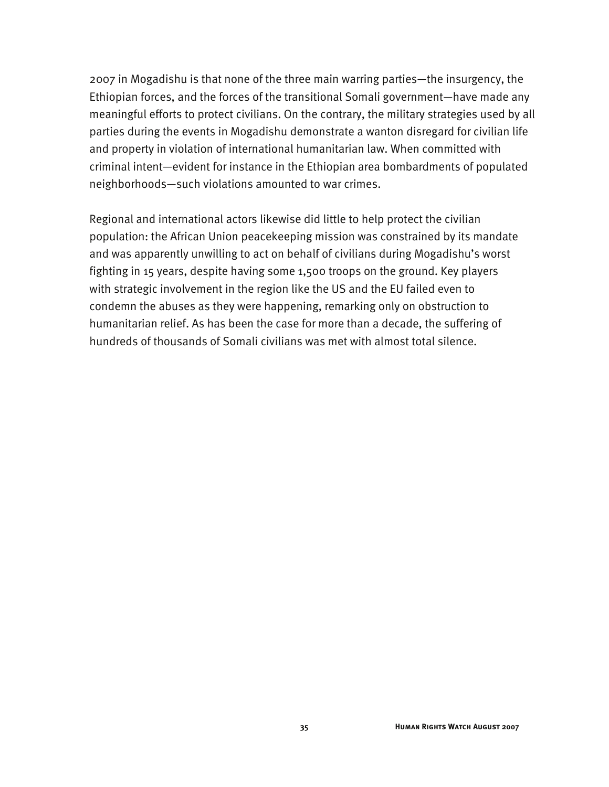2007 in Mogadishu is that none of the three main warring parties—the insurgency, the Ethiopian forces, and the forces of the transitional Somali government—have made any meaningful efforts to protect civilians. On the contrary, the military strategies used by all parties during the events in Mogadishu demonstrate a wanton disregard for civilian life and property in violation of international humanitarian law. When committed with criminal intent—evident for instance in the Ethiopian area bombardments of populated neighborhoods—such violations amounted to war crimes.

Regional and international actors likewise did little to help protect the civilian population: the African Union peacekeeping mission was constrained by its mandate and was apparently unwilling to act on behalf of civilians during Mogadishu's worst fighting in 15 years, despite having some 1,500 troops on the ground. Key players with strategic involvement in the region like the US and the EU failed even to condemn the abuses as they were happening, remarking only on obstruction to humanitarian relief. As has been the case for more than a decade, the suffering of hundreds of thousands of Somali civilians was met with almost total silence.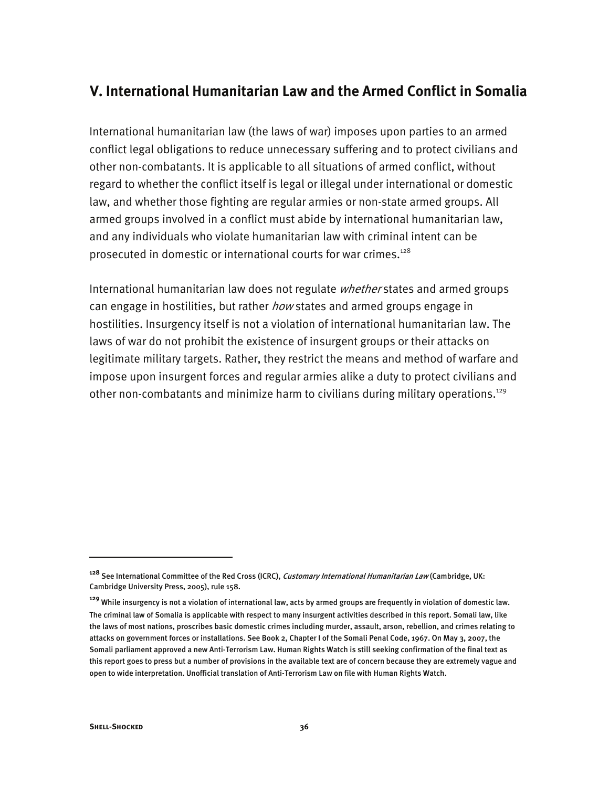# **V. International Humanitarian Law and the Armed Conflict in Somalia**

International humanitarian law (the laws of war) imposes upon parties to an armed conflict legal obligations to reduce unnecessary suffering and to protect civilians and other non-combatants. It is applicable to all situations of armed conflict, without regard to whether the conflict itself is legal or illegal under international or domestic law, and whether those fighting are regular armies or non-state armed groups. All armed groups involved in a conflict must abide by international humanitarian law, and any individuals who violate humanitarian law with criminal intent can be prosecuted in domestic or international courts for war crimes.<sup>128</sup>

International humanitarian law does not regulate *whether* states and armed groups can engage in hostilities, but rather *how* states and armed groups engage in hostilities. Insurgency itself is not a violation of international humanitarian law. The laws of war do not prohibit the existence of insurgent groups or their attacks on legitimate military targets. Rather, they restrict the means and method of warfare and impose upon insurgent forces and regular armies alike a duty to protect civilians and other non-combatants and minimize harm to civilians during military operations.<sup>129</sup>

j

**<sup>128</sup>** See International Committee of the Red Cross (ICRC), Customary International Humanitarian Law (Cambridge, UK: Cambridge University Press, 2005), rule 158.

**<sup>129</sup>** While insurgency is not a violation of international law, acts by armed groups are frequently in violation of domestic law. The criminal law of Somalia is applicable with respect to many insurgent activities described in this report. Somali law, like the laws of most nations, proscribes basic domestic crimes including murder, assault, arson, rebellion, and crimes relating to attacks on government forces or installations. See Book 2, Chapter I of the Somali Penal Code, 1967. On May 3, 2007, the Somali parliament approved a new Anti-Terrorism Law. Human Rights Watch is still seeking confirmation of the final text as this report goes to press but a number of provisions in the available text are of concern because they are extremely vague and open to wide interpretation. Unofficial translation of Anti-Terrorism Law on file with Human Rights Watch.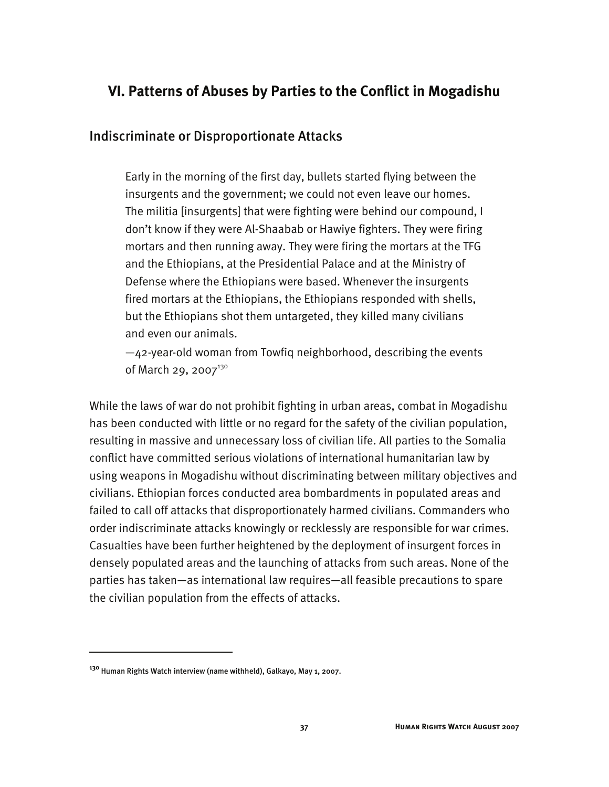# **VI. Patterns of Abuses by Parties to the Conflict in Mogadishu**

## Indiscriminate or Disproportionate Attacks

Early in the morning of the first day, bullets started flying between the insurgents and the government; we could not even leave our homes. The militia [insurgents] that were fighting were behind our compound, I don't know if they were Al-Shaabab or Hawiye fighters. They were firing mortars and then running away. They were firing the mortars at the TFG and the Ethiopians, at the Presidential Palace and at the Ministry of Defense where the Ethiopians were based. Whenever the insurgents fired mortars at the Ethiopians, the Ethiopians responded with shells, but the Ethiopians shot them untargeted, they killed many civilians and even our animals.

—42-year-old woman from Towfiq neighborhood, describing the events of March 29, 2007 $130$ 

While the laws of war do not prohibit fighting in urban areas, combat in Mogadishu has been conducted with little or no regard for the safety of the civilian population, resulting in massive and unnecessary loss of civilian life. All parties to the Somalia conflict have committed serious violations of international humanitarian law by using weapons in Mogadishu without discriminating between military objectives and civilians. Ethiopian forces conducted area bombardments in populated areas and failed to call off attacks that disproportionately harmed civilians. Commanders who order indiscriminate attacks knowingly or recklessly are responsible for war crimes. Casualties have been further heightened by the deployment of insurgent forces in densely populated areas and the launching of attacks from such areas. None of the parties has taken—as international law requires—all feasible precautions to spare the civilian population from the effects of attacks.

**<sup>130</sup>** Human Rights Watch interview (name withheld), Galkayo, May 1, 2007.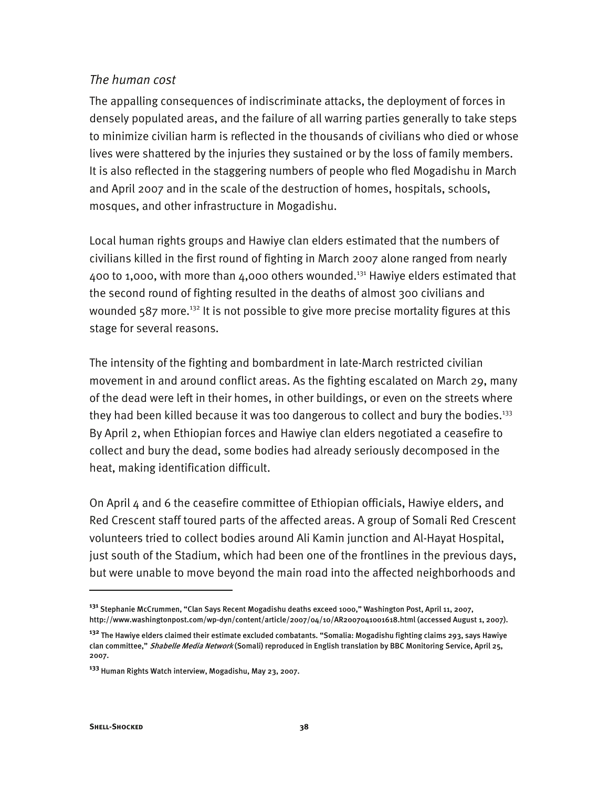### *The human cost*

The appalling consequences of indiscriminate attacks, the deployment of forces in densely populated areas, and the failure of all warring parties generally to take steps to minimize civilian harm is reflected in the thousands of civilians who died or whose lives were shattered by the injuries they sustained or by the loss of family members. It is also reflected in the staggering numbers of people who fled Mogadishu in March and April 2007 and in the scale of the destruction of homes, hospitals, schools, mosques, and other infrastructure in Mogadishu.

Local human rights groups and Hawiye clan elders estimated that the numbers of civilians killed in the first round of fighting in March 2007 alone ranged from nearly 400 to 1,000, with more than 4,000 others wounded.<sup>131</sup> Hawiye elders estimated that the second round of fighting resulted in the deaths of almost 300 civilians and wounded  $587$  more.<sup>132</sup> It is not possible to give more precise mortality figures at this stage for several reasons.

The intensity of the fighting and bombardment in late-March restricted civilian movement in and around conflict areas. As the fighting escalated on March 29, many of the dead were left in their homes, in other buildings, or even on the streets where they had been killed because it was too dangerous to collect and bury the bodies.<sup>133</sup> By April 2, when Ethiopian forces and Hawiye clan elders negotiated a ceasefire to collect and bury the dead, some bodies had already seriously decomposed in the heat, making identification difficult.

On April 4 and 6 the ceasefire committee of Ethiopian officials, Hawiye elders, and Red Crescent staff toured parts of the affected areas. A group of Somali Red Crescent volunteers tried to collect bodies around Ali Kamin junction and Al-Hayat Hospital, just south of the Stadium, which had been one of the frontlines in the previous days, but were unable to move beyond the main road into the affected neighborhoods and

**<sup>131</sup>** Stephanie McCrummen, "Clan Says Recent Mogadishu deaths exceed 1000," Washington Post, April 11, 2007, http://www.washingtonpost.com/wp-dyn/content/article/2007/04/10/AR2007041001618.html (accessed August 1, 2007).

**<sup>132</sup>** The Hawiye elders claimed their estimate excluded combatants. "Somalia: Mogadishu fighting claims 293, says Hawiye clan committee," *Shabelle Media Network* (Somali) reproduced in English translation by BBC Monitoring Service, April 25, 2007.

**<sup>133</sup>** Human Rights Watch interview, Mogadishu, May 23, 2007.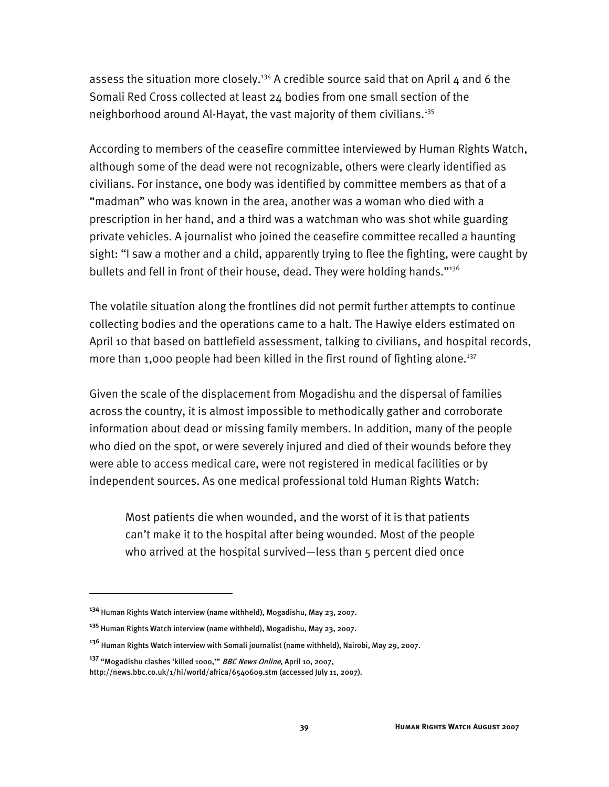assess the situation more closely.<sup>134</sup> A credible source said that on April  $4$  and 6 the Somali Red Cross collected at least 24 bodies from one small section of the neighborhood around Al-Hayat, the vast majority of them civilians.<sup>135</sup>

According to members of the ceasefire committee interviewed by Human Rights Watch, although some of the dead were not recognizable, others were clearly identified as civilians. For instance, one body was identified by committee members as that of a "madman" who was known in the area, another was a woman who died with a prescription in her hand, and a third was a watchman who was shot while guarding private vehicles. A journalist who joined the ceasefire committee recalled a haunting sight: "I saw a mother and a child, apparently trying to flee the fighting, were caught by bullets and fell in front of their house, dead. They were holding hands."136

The volatile situation along the frontlines did not permit further attempts to continue collecting bodies and the operations came to a halt. The Hawiye elders estimated on April 10 that based on battlefield assessment, talking to civilians, and hospital records, more than 1,000 people had been killed in the first round of fighting alone.<sup>137</sup>

Given the scale of the displacement from Mogadishu and the dispersal of families across the country, it is almost impossible to methodically gather and corroborate information about dead or missing family members. In addition, many of the people who died on the spot, or were severely injured and died of their wounds before they were able to access medical care, were not registered in medical facilities or by independent sources. As one medical professional told Human Rights Watch:

Most patients die when wounded, and the worst of it is that patients can't make it to the hospital after being wounded. Most of the people who arrived at the hospital survived—less than 5 percent died once

**<sup>134</sup>** Human Rights Watch interview (name withheld), Mogadishu, May 23, 2007.

**<sup>135</sup>** Human Rights Watch interview (name withheld), Mogadishu, May 23, 2007.

**<sup>136</sup>** Human Rights Watch interview with Somali journalist (name withheld), Nairobi, May 29, 2007.

**<sup>137</sup>** "Mogadishu clashes 'killed 1000,'" BBC News Online, April 10, 2007,

http://news.bbc.co.uk/1/hi/world/africa/6540609.stm (accessed July 11, 2007).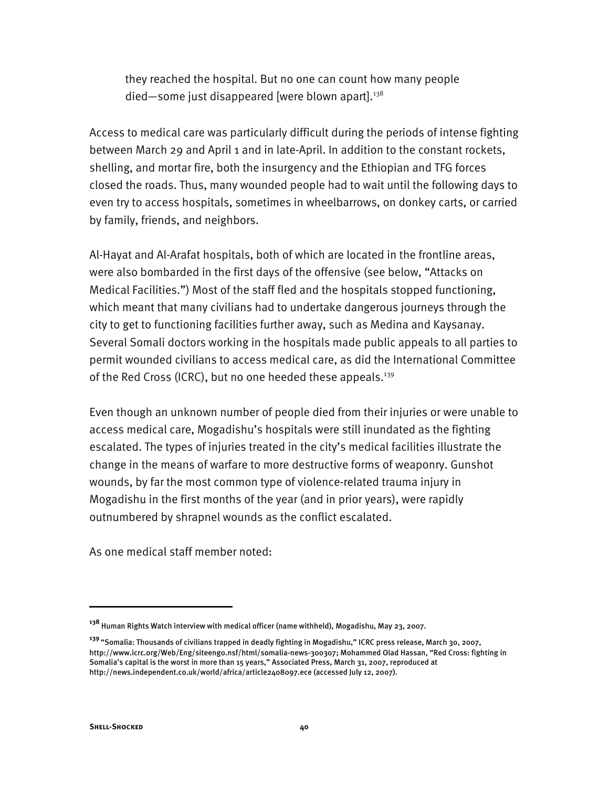they reached the hospital. But no one can count how many people died—some just disappeared [were blown apart]. $138$ 

Access to medical care was particularly difficult during the periods of intense fighting between March 29 and April 1 and in late-April. In addition to the constant rockets, shelling, and mortar fire, both the insurgency and the Ethiopian and TFG forces closed the roads. Thus, many wounded people had to wait until the following days to even try to access hospitals, sometimes in wheelbarrows, on donkey carts, or carried by family, friends, and neighbors.

Al-Hayat and Al-Arafat hospitals, both of which are located in the frontline areas, were also bombarded in the first days of the offensive (see below, "Attacks on Medical Facilities.") Most of the staff fled and the hospitals stopped functioning, which meant that many civilians had to undertake dangerous journeys through the city to get to functioning facilities further away, such as Medina and Kaysanay. Several Somali doctors working in the hospitals made public appeals to all parties to permit wounded civilians to access medical care, as did the International Committee of the Red Cross (ICRC), but no one heeded these appeals.<sup>139</sup>

Even though an unknown number of people died from their injuries or were unable to access medical care, Mogadishu's hospitals were still inundated as the fighting escalated. The types of injuries treated in the city's medical facilities illustrate the change in the means of warfare to more destructive forms of weaponry. Gunshot wounds, by far the most common type of violence-related trauma injury in Mogadishu in the first months of the year (and in prior years), were rapidly outnumbered by shrapnel wounds as the conflict escalated.

As one medical staff member noted:

**<sup>138</sup>** Human Rights Watch interview with medical officer (name withheld), Mogadishu, May 23, 2007.

**<sup>139</sup>**"Somalia: Thousands of civilians trapped in deadly fighting in Mogadishu," ICRC press release, March 30, 2007, http://www.icrc.org/Web/Eng/siteeng0.nsf/html/somalia-news-300307; Mohammed Olad Hassan, "Red Cross: fighting in Somalia's capital is the worst in more than 15 years," Associated Press, March 31, 2007, reproduced at http://news.independent.co.uk/world/africa/article2408097.ece (accessed July 12, 2007).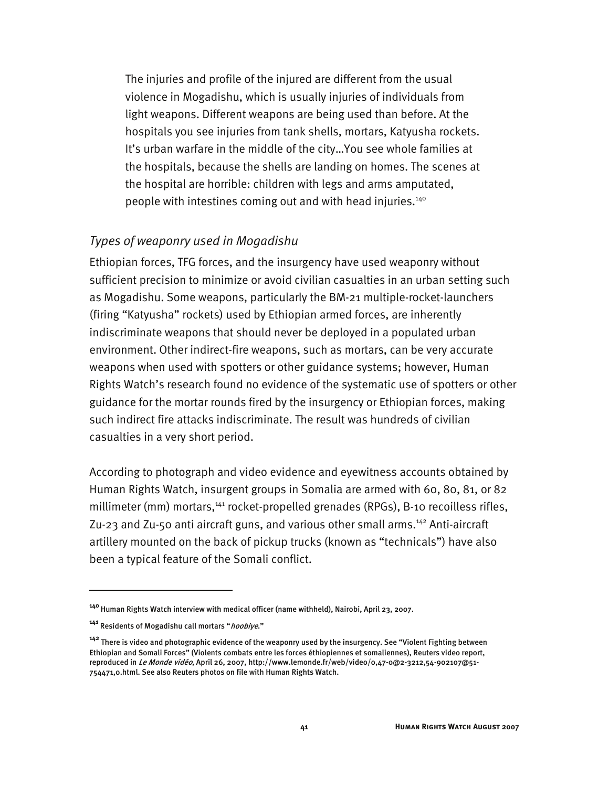The injuries and profile of the injured are different from the usual violence in Mogadishu, which is usually injuries of individuals from light weapons. Different weapons are being used than before. At the hospitals you see injuries from tank shells, mortars, Katyusha rockets. It's urban warfare in the middle of the city…You see whole families at the hospitals, because the shells are landing on homes. The scenes at the hospital are horrible: children with legs and arms amputated, people with intestines coming out and with head injuries.<sup>140</sup>

### *Types of weaponry used in Mogadishu*

Ethiopian forces, TFG forces, and the insurgency have used weaponry without sufficient precision to minimize or avoid civilian casualties in an urban setting such as Mogadishu. Some weapons, particularly the BM-21 multiple-rocket-launchers (firing "Katyusha" rockets) used by Ethiopian armed forces, are inherently indiscriminate weapons that should never be deployed in a populated urban environment. Other indirect-fire weapons, such as mortars, can be very accurate weapons when used with spotters or other guidance systems; however, Human Rights Watch's research found no evidence of the systematic use of spotters or other guidance for the mortar rounds fired by the insurgency or Ethiopian forces, making such indirect fire attacks indiscriminate. The result was hundreds of civilian casualties in a very short period.

According to photograph and video evidence and eyewitness accounts obtained by Human Rights Watch, insurgent groups in Somalia are armed with 60, 80, 81, or 82 millimeter (mm) mortars, $141$  rocket-propelled grenades (RPGs), B-10 recoilless rifles, Zu-23 and Zu-50 anti aircraft guns, and various other small arms.<sup>142</sup> Anti-aircraft artillery mounted on the back of pickup trucks (known as "technicals") have also been a typical feature of the Somali conflict.

**<sup>140</sup>**Human Rights Watch interview with medical officer (name withheld), Nairobi, April 23, 2007.

**<sup>141</sup>** Residents of Mogadishu call mortars "hoobiye."

**<sup>142</sup>** There is video and photographic evidence of the weaponry used by the insurgency. See "Violent Fighting between Ethiopian and Somali Forces" (Violents combats entre les forces éthiopiennes et somaliennes), Reuters video report, reproduced in Le Monde vidéo, April 26, 2007, http://www.lemonde.fr/web/video/0,47-0@2-3212,54-902107@51- 754471,0.html. See also Reuters photos on file with Human Rights Watch.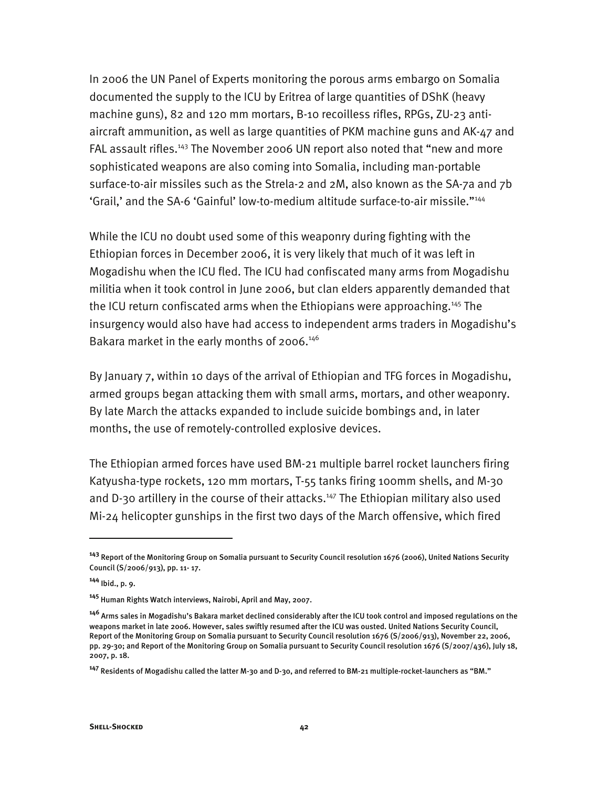In 2006 the UN Panel of Experts monitoring the porous arms embargo on Somalia documented the supply to the ICU by Eritrea of large quantities of DShK (heavy machine guns), 82 and 120 mm mortars, B-10 recoilless rifles, RPGs, ZU-23 antiaircraft ammunition, as well as large quantities of PKM machine guns and AK-47 and FAL assault rifles.<sup>143</sup> The November 2006 UN report also noted that "new and more sophisticated weapons are also coming into Somalia, including man-portable surface-to-air missiles such as the Strela-2 and 2M, also known as the SA-7a and 7b 'Grail,' and the SA-6 'Gainful' low-to-medium altitude surface-to-air missile."144

While the ICU no doubt used some of this weaponry during fighting with the Ethiopian forces in December 2006, it is very likely that much of it was left in Mogadishu when the ICU fled. The ICU had confiscated many arms from Mogadishu militia when it took control in June 2006, but clan elders apparently demanded that the ICU return confiscated arms when the Ethiopians were approaching.145 The insurgency would also have had access to independent arms traders in Mogadishu's Bakara market in the early months of 2006.<sup>146</sup>

By January 7, within 10 days of the arrival of Ethiopian and TFG forces in Mogadishu, armed groups began attacking them with small arms, mortars, and other weaponry. By late March the attacks expanded to include suicide bombings and, in later months, the use of remotely-controlled explosive devices.

The Ethiopian armed forces have used BM-21 multiple barrel rocket launchers firing Katyusha-type rockets, 120 mm mortars, T-55 tanks firing 100mm shells, and M-30 and D-30 artillery in the course of their attacks.<sup>147</sup> The Ethiopian military also used Mi-24 helicopter gunships in the first two days of the March offensive, which fired

j

**<sup>143</sup>** Report of the Monitoring Group on Somalia pursuant to Security Council resolution 1676 (2006), United Nations Security Council (S/2006/913), pp. 11- 17.

**<sup>144</sup>** Ibid., p. 9.

**<sup>145</sup>** Human Rights Watch interviews, Nairobi, April and May, 2007.

**<sup>146</sup>** Arms sales in Mogadishu's Bakara market declined considerably after the ICU took control and imposed regulations on the weapons market in late 2006. However, sales swiftly resumed after the ICU was ousted. United Nations Security Council, Report of the Monitoring Group on Somalia pursuant to Security Council resolution 1676 (S/2006/913), November 22, 2006, pp. 29-30; and Report of the Monitoring Group on Somalia pursuant to Security Council resolution 1676 (S/2007/436), July 18, 2007, p. 18.

**<sup>147</sup>** Residents of Mogadishu called the latter M-30 and D-30, and referred to BM-21 multiple-rocket-launchers as "BM."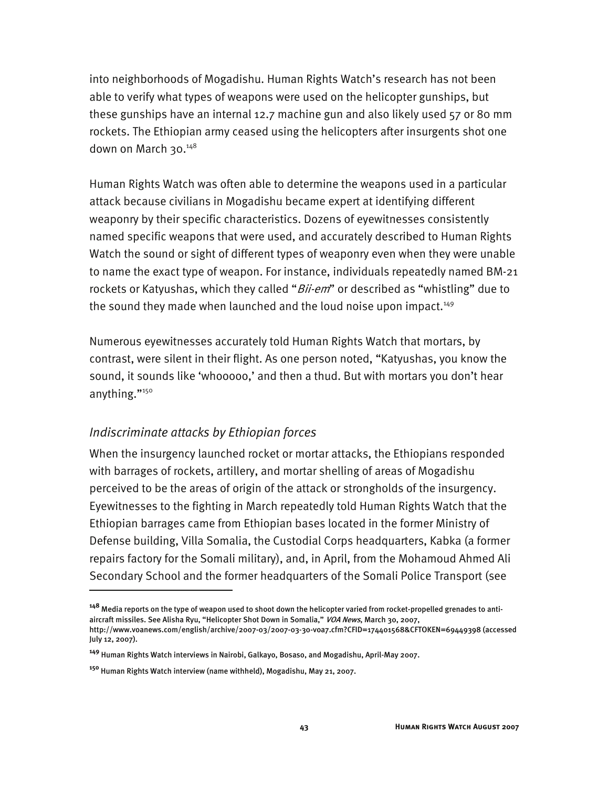into neighborhoods of Mogadishu. Human Rights Watch's research has not been able to verify what types of weapons were used on the helicopter gunships, but these gunships have an internal 12.7 machine gun and also likely used 57 or 80 mm rockets. The Ethiopian army ceased using the helicopters after insurgents shot one down on March 30.148

Human Rights Watch was often able to determine the weapons used in a particular attack because civilians in Mogadishu became expert at identifying different weaponry by their specific characteristics. Dozens of eyewitnesses consistently named specific weapons that were used, and accurately described to Human Rights Watch the sound or sight of different types of weaponry even when they were unable to name the exact type of weapon. For instance, individuals repeatedly named BM-21 rockets or Katyushas, which they called "*Bii-em*" or described as "whistling" due to the sound they made when launched and the loud noise upon impact.<sup>149</sup>

Numerous eyewitnesses accurately told Human Rights Watch that mortars, by contrast, were silent in their flight. As one person noted, "Katyushas, you know the sound, it sounds like 'whooooo,' and then a thud. But with mortars you don't hear anything."<sup>150</sup>

## *Indiscriminate attacks by Ethiopian forces*

I

When the insurgency launched rocket or mortar attacks, the Ethiopians responded with barrages of rockets, artillery, and mortar shelling of areas of Mogadishu perceived to be the areas of origin of the attack or strongholds of the insurgency. Eyewitnesses to the fighting in March repeatedly told Human Rights Watch that the Ethiopian barrages came from Ethiopian bases located in the former Ministry of Defense building, Villa Somalia, the Custodial Corps headquarters, Kabka (a former repairs factory for the Somali military), and, in April, from the Mohamoud Ahmed Ali Secondary School and the former headquarters of the Somali Police Transport (see

**<sup>148</sup>** Media reports on the type of weapon used to shoot down the helicopter varied from rocket-propelled grenades to antiaircraft missiles. See Alisha Ryu, "Helicopter Shot Down in Somalia," VOA News, March 30, 2007,

http://www.voanews.com/english/archive/2007-03/2007-03-30-voa7.cfm?CFID=174401568&CFTOKEN=69449398 (accessed July 12, 2007).

**<sup>149</sup>** Human Rights Watch interviews in Nairobi, Galkayo, Bosaso, and Mogadishu, April-May 2007.

**<sup>150</sup>** Human Rights Watch interview (name withheld), Mogadishu, May 21, 2007.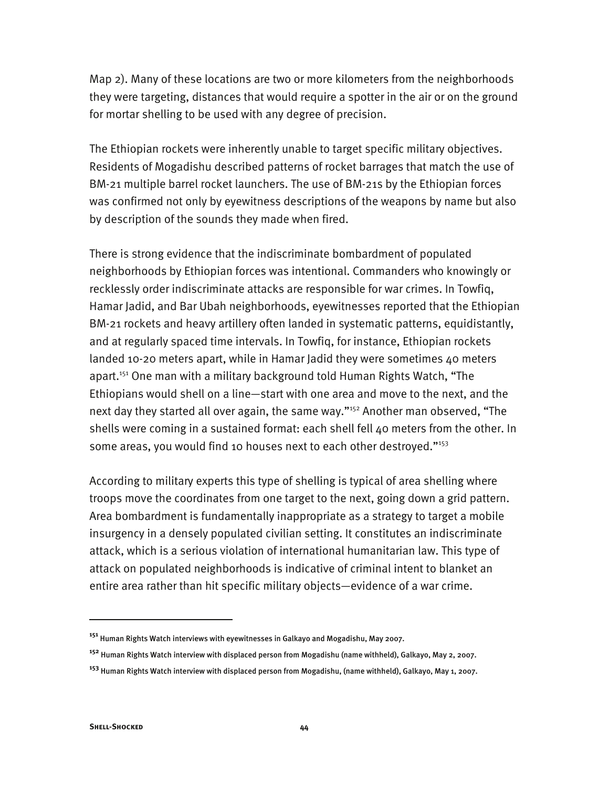Map 2). Many of these locations are two or more kilometers from the neighborhoods they were targeting, distances that would require a spotter in the air or on the ground for mortar shelling to be used with any degree of precision.

The Ethiopian rockets were inherently unable to target specific military objectives. Residents of Mogadishu described patterns of rocket barrages that match the use of BM-21 multiple barrel rocket launchers. The use of BM-21s by the Ethiopian forces was confirmed not only by eyewitness descriptions of the weapons by name but also by description of the sounds they made when fired.

There is strong evidence that the indiscriminate bombardment of populated neighborhoods by Ethiopian forces was intentional. Commanders who knowingly or recklessly order indiscriminate attacks are responsible for war crimes. In Towfiq, Hamar Jadid, and Bar Ubah neighborhoods, eyewitnesses reported that the Ethiopian BM-21 rockets and heavy artillery often landed in systematic patterns, equidistantly, and at regularly spaced time intervals. In Towfiq, for instance, Ethiopian rockets landed 10-20 meters apart, while in Hamar Jadid they were sometimes 40 meters apart.<sup>151</sup> One man with a military background told Human Rights Watch, "The Ethiopians would shell on a line—start with one area and move to the next, and the next day they started all over again, the same way."<sup>152</sup> Another man observed, "The shells were coming in a sustained format: each shell fell 40 meters from the other. In some areas, you would find 10 houses next to each other destroyed."<sup>153</sup>

According to military experts this type of shelling is typical of area shelling where troops move the coordinates from one target to the next, going down a grid pattern. Area bombardment is fundamentally inappropriate as a strategy to target a mobile insurgency in a densely populated civilian setting. It constitutes an indiscriminate attack, which is a serious violation of international humanitarian law. This type of attack on populated neighborhoods is indicative of criminal intent to blanket an entire area rather than hit specific military objects—evidence of a war crime.

**<sup>151</sup>** Human Rights Watch interviews with eyewitnesses in Galkayo and Mogadishu, May 2007.

**<sup>152</sup>** Human Rights Watch interview with displaced person from Mogadishu (name withheld), Galkayo, May 2, 2007.

**<sup>153</sup>** Human Rights Watch interview with displaced person from Mogadishu, (name withheld), Galkayo, May 1, 2007.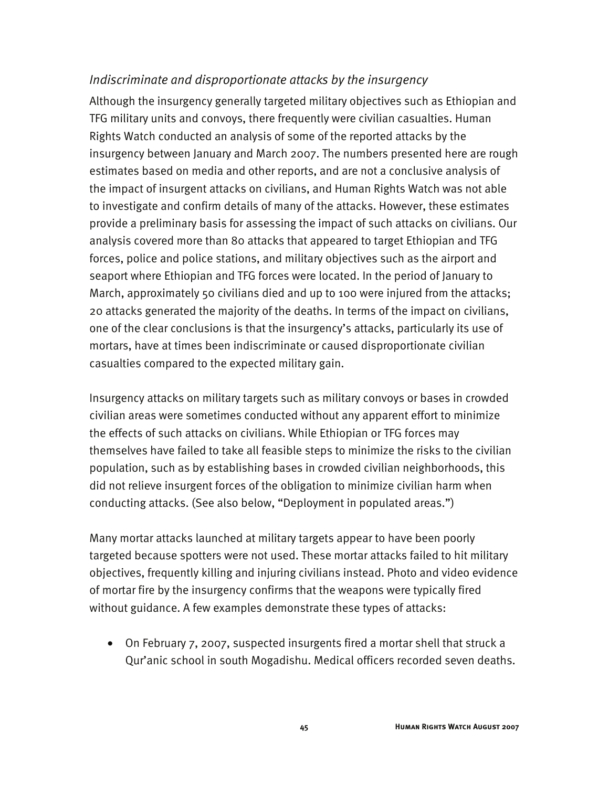## *Indiscriminate and disproportionate attacks by the insurgency*

Although the insurgency generally targeted military objectives such as Ethiopian and TFG military units and convoys, there frequently were civilian casualties. Human Rights Watch conducted an analysis of some of the reported attacks by the insurgency between January and March 2007. The numbers presented here are rough estimates based on media and other reports, and are not a conclusive analysis of the impact of insurgent attacks on civilians, and Human Rights Watch was not able to investigate and confirm details of many of the attacks. However, these estimates provide a preliminary basis for assessing the impact of such attacks on civilians. Our analysis covered more than 80 attacks that appeared to target Ethiopian and TFG forces, police and police stations, and military objectives such as the airport and seaport where Ethiopian and TFG forces were located. In the period of January to March, approximately 50 civilians died and up to 100 were injured from the attacks; 20 attacks generated the majority of the deaths. In terms of the impact on civilians, one of the clear conclusions is that the insurgency's attacks, particularly its use of mortars, have at times been indiscriminate or caused disproportionate civilian casualties compared to the expected military gain.

Insurgency attacks on military targets such as military convoys or bases in crowded civilian areas were sometimes conducted without any apparent effort to minimize the effects of such attacks on civilians. While Ethiopian or TFG forces may themselves have failed to take all feasible steps to minimize the risks to the civilian population, such as by establishing bases in crowded civilian neighborhoods, this did not relieve insurgent forces of the obligation to minimize civilian harm when conducting attacks. (See also below, "Deployment in populated areas.")

Many mortar attacks launched at military targets appear to have been poorly targeted because spotters were not used. These mortar attacks failed to hit military objectives, frequently killing and injuring civilians instead. Photo and video evidence of mortar fire by the insurgency confirms that the weapons were typically fired without guidance. A few examples demonstrate these types of attacks:

• On February 7, 2007, suspected insurgents fired a mortar shell that struck a Qur'anic school in south Mogadishu. Medical officers recorded seven deaths.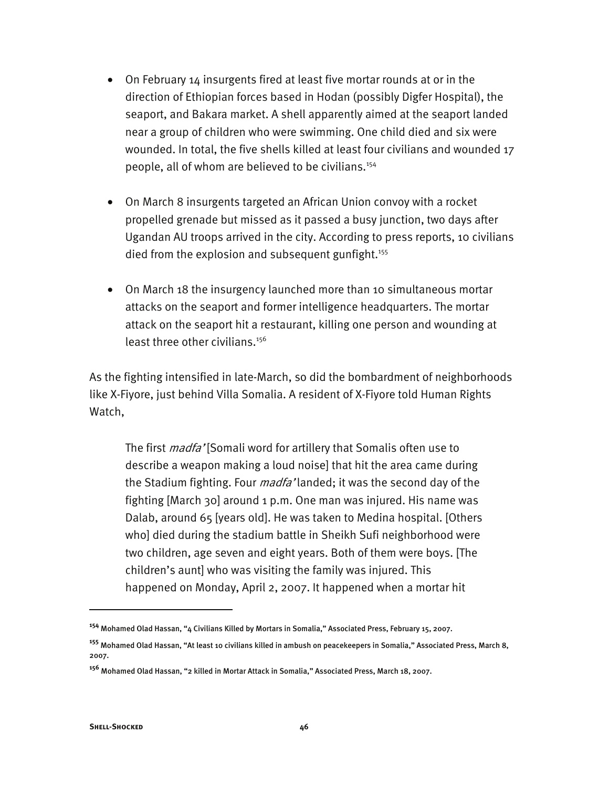- On February 14 insurgents fired at least five mortar rounds at or in the direction of Ethiopian forces based in Hodan (possibly Digfer Hospital), the seaport, and Bakara market. A shell apparently aimed at the seaport landed near a group of children who were swimming. One child died and six were wounded. In total, the five shells killed at least four civilians and wounded 17 people, all of whom are believed to be civilians.<sup>154</sup>
- On March 8 insurgents targeted an African Union convoy with a rocket propelled grenade but missed as it passed a busy junction, two days after Ugandan AU troops arrived in the city. According to press reports, 10 civilians died from the explosion and subsequent gunfight.<sup>155</sup>
- On March 18 the insurgency launched more than 10 simultaneous mortar attacks on the seaport and former intelligence headquarters. The mortar attack on the seaport hit a restaurant, killing one person and wounding at least three other civilians.<sup>156</sup>

As the fighting intensified in late-March, so did the bombardment of neighborhoods like X-Fiyore, just behind Villa Somalia. A resident of X-Fiyore told Human Rights Watch,

The first *madfa'* [Somali word for artillery that Somalis often use to describe a weapon making a loud noise] that hit the area came during the Stadium fighting. Four *madfa'* landed; it was the second day of the fighting [March 30] around 1 p.m. One man was injured. His name was Dalab, around 65 [years old]. He was taken to Medina hospital. [Others who] died during the stadium battle in Sheikh Sufi neighborhood were two children, age seven and eight years. Both of them were boys. [The children's aunt] who was visiting the family was injured. This happened on Monday, April 2, 2007. It happened when a mortar hit

**<sup>154</sup>** Mohamed Olad Hassan, "4 Civilians Killed by Mortars in Somalia," Associated Press, February 15, 2007.

**<sup>155</sup>** Mohamed Olad Hassan, "At least 10 civilians killed in ambush on peacekeepers in Somalia," Associated Press, March 8, 2007.

**<sup>156</sup>** Mohamed Olad Hassan, "2 killed in Mortar Attack in Somalia," Associated Press, March 18, 2007.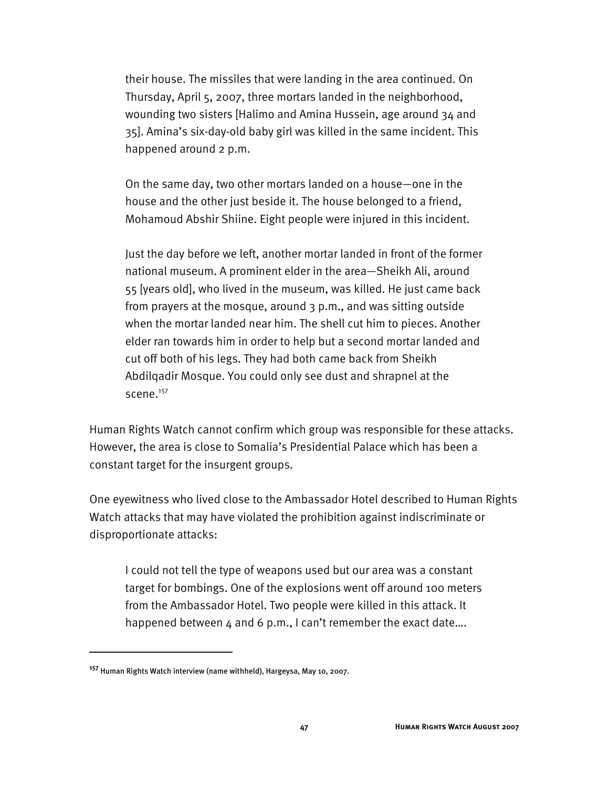their house. The missiles that were landing in the area continued. On Thursday, April 5, 2007, three mortars landed in the neighborhood, wounding two sisters [Halimo and Amina Hussein, age around 34 and 35]. Amina's six-day-old baby girl was killed in the same incident. This happened around 2 p.m.

On the same day, two other mortars landed on a house—one in the house and the other just beside it. The house belonged to a friend, Mohamoud Abshir Shiine. Eight people were injured in this incident.

Just the day before we left, another mortar landed in front of the former national museum. A prominent elder in the area—Sheikh Ali, around 55 [years old], who lived in the museum, was killed. He just came back from prayers at the mosque, around 3 p.m., and was sitting outside when the mortar landed near him. The shell cut him to pieces. Another elder ran towards him in order to help but a second mortar landed and cut off both of his legs. They had both came back from Sheikh Abdilqadir Mosque. You could only see dust and shrapnel at the scene.<sup>157</sup>

Human Rights Watch cannot confirm which group was responsible for these attacks. However, the area is close to Somalia's Presidential Palace which has been a constant target for the insurgent groups.

One eyewitness who lived close to the Ambassador Hotel described to Human Rights Watch attacks that may have violated the prohibition against indiscriminate or disproportionate attacks:

I could not tell the type of weapons used but our area was a constant target for bombings. One of the explosions went off around 100 meters from the Ambassador Hotel. Two people were killed in this attack. It happened between 4 and 6 p.m., I can't remember the exact date....

**<sup>157</sup>** Human Rights Watch interview (name withheld), Hargeysa, May 10, 2007.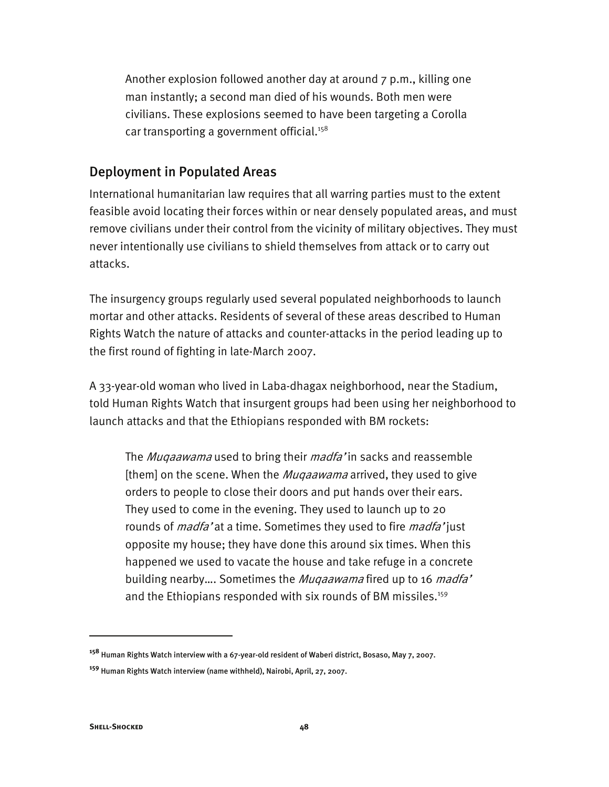Another explosion followed another day at around 7 p.m., killing one man instantly; a second man died of his wounds. Both men were civilians. These explosions seemed to have been targeting a Corolla car transporting a government official.<sup>158</sup>

### Deployment in Populated Areas

International humanitarian law requires that all warring parties must to the extent feasible avoid locating their forces within or near densely populated areas, and must remove civilians under their control from the vicinity of military objectives. They must never intentionally use civilians to shield themselves from attack or to carry out attacks.

The insurgency groups regularly used several populated neighborhoods to launch mortar and other attacks. Residents of several of these areas described to Human Rights Watch the nature of attacks and counter-attacks in the period leading up to the first round of fighting in late-March 2007.

A 33-year-old woman who lived in Laba-dhagax neighborhood, near the Stadium, told Human Rights Watch that insurgent groups had been using her neighborhood to launch attacks and that the Ethiopians responded with BM rockets:

The *Muqaawama* used to bring their *madfa*' in sacks and reassemble [them] on the scene. When the *Muqaawama* arrived, they used to give orders to people to close their doors and put hands over their ears. They used to come in the evening. They used to launch up to 20 rounds of *madfa*' at a time. Sometimes they used to fire *madfa*' just opposite my house; they have done this around six times. When this happened we used to vacate the house and take refuge in a concrete building nearby.... Sometimes the Muqaawama fired up to 16 madfa' and the Ethiopians responded with six rounds of BM missiles.<sup>159</sup>

**<sup>158</sup>** Human Rights Watch interview with a 67-year-old resident of Waberi district, Bosaso, May 7, 2007.

**<sup>159</sup>** Human Rights Watch interview (name withheld), Nairobi, April, 27, 2007.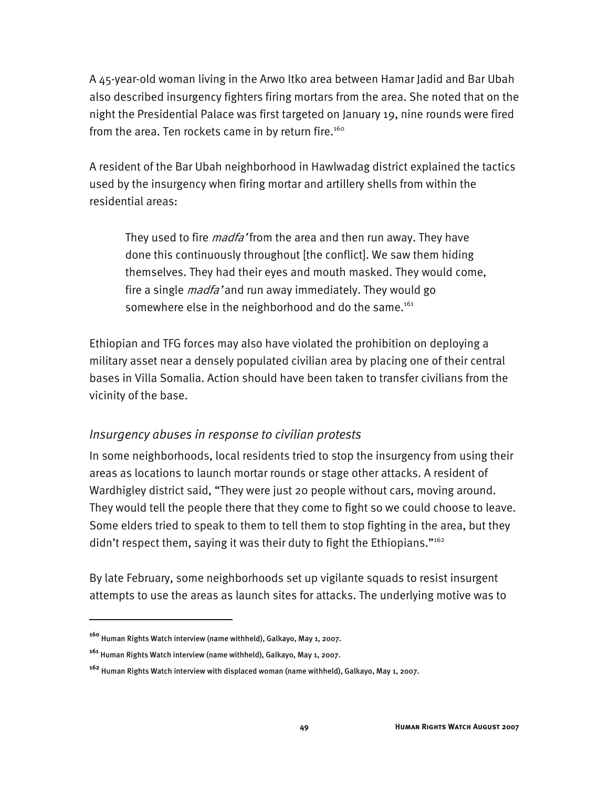A 45-year-old woman living in the Arwo Itko area between Hamar Jadid and Bar Ubah also described insurgency fighters firing mortars from the area. She noted that on the night the Presidential Palace was first targeted on January 19, nine rounds were fired from the area. Ten rockets came in by return fire.<sup>160</sup>

A resident of the Bar Ubah neighborhood in Hawlwadag district explained the tactics used by the insurgency when firing mortar and artillery shells from within the residential areas:

They used to fire *madfa* 'from the area and then run away. They have done this continuously throughout [the conflict]. We saw them hiding themselves. They had their eyes and mouth masked. They would come, fire a single *madfa'* and run away immediately. They would go somewhere else in the neighborhood and do the same.<sup>161</sup>

Ethiopian and TFG forces may also have violated the prohibition on deploying a military asset near a densely populated civilian area by placing one of their central bases in Villa Somalia. Action should have been taken to transfer civilians from the vicinity of the base.

#### *Insurgency abuses in response to civilian protests*

In some neighborhoods, local residents tried to stop the insurgency from using their areas as locations to launch mortar rounds or stage other attacks. A resident of Wardhigley district said, "They were just 20 people without cars, moving around. They would tell the people there that they come to fight so we could choose to leave. Some elders tried to speak to them to tell them to stop fighting in the area, but they didn't respect them, saying it was their duty to fight the Ethiopians."<sup>162</sup>

By late February, some neighborhoods set up vigilante squads to resist insurgent attempts to use the areas as launch sites for attacks. The underlying motive was to

**<sup>160</sup>** Human Rights Watch interview (name withheld), Galkayo, May 1, 2007.

**<sup>161</sup>** Human Rights Watch interview (name withheld), Galkayo, May 1, 2007.

**<sup>162</sup>** Human Rights Watch interview with displaced woman (name withheld), Galkayo, May 1, 2007.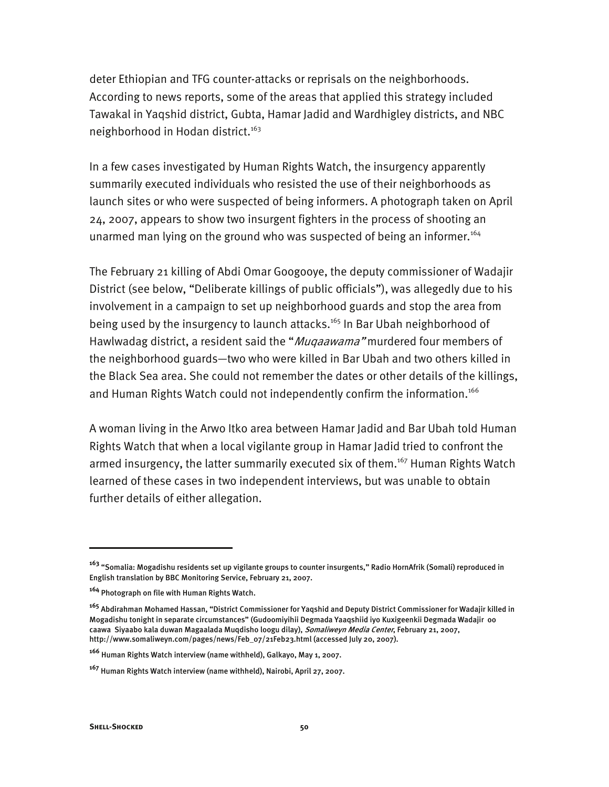deter Ethiopian and TFG counter-attacks or reprisals on the neighborhoods. According to news reports, some of the areas that applied this strategy included Tawakal in Yaqshid district, Gubta, Hamar Jadid and Wardhigley districts, and NBC neighborhood in Hodan district.<sup>163</sup>

In a few cases investigated by Human Rights Watch, the insurgency apparently summarily executed individuals who resisted the use of their neighborhoods as launch sites or who were suspected of being informers. A photograph taken on April 24, 2007, appears to show two insurgent fighters in the process of shooting an unarmed man lying on the ground who was suspected of being an informer.<sup>164</sup>

The February 21 killing of Abdi Omar Googooye, the deputy commissioner of Wadajir District (see below, "Deliberate killings of public officials"), was allegedly due to his involvement in a campaign to set up neighborhood guards and stop the area from being used by the insurgency to launch attacks.<sup>165</sup> In Bar Ubah neighborhood of Hawlwadag district, a resident said the "Muqaawama" murdered four members of the neighborhood guards—two who were killed in Bar Ubah and two others killed in the Black Sea area. She could not remember the dates or other details of the killings, and Human Rights Watch could not independently confirm the information.<sup>166</sup>

A woman living in the Arwo Itko area between Hamar Jadid and Bar Ubah told Human Rights Watch that when a local vigilante group in Hamar Jadid tried to confront the armed insurgency, the latter summarily executed six of them.<sup>167</sup> Human Rights Watch learned of these cases in two independent interviews, but was unable to obtain further details of either allegation.

j

**<sup>163</sup>** "Somalia: Mogadishu residents set up vigilante groups to counter insurgents," Radio HornAfrik (Somali) reproduced in English translation by BBC Monitoring Service, February 21, 2007.

**<sup>164</sup>** Photograph on file with Human Rights Watch.

**<sup>165</sup>** Abdirahman Mohamed Hassan, "District Commissioner for Yaqshid and Deputy District Commissioner for Wadajir killed in Mogadishu tonight in separate circumstances" (Gudoomiyihii Degmada Yaaqshiid iyo Kuxigeenkii Degmada Wadajir oo caawa Siyaabo kala duwan Magaalada Muqdisho loogu dilay), Somaliweyn Media Center, February 21, 2007, http://www.somaliweyn.com/pages/news/Feb\_07/21Feb23.html (accessed July 20, 2007).

**<sup>166</sup>** Human Rights Watch interview (name withheld), Galkayo, May 1, 2007.

**<sup>167</sup>** Human Rights Watch interview (name withheld), Nairobi, April 27, 2007.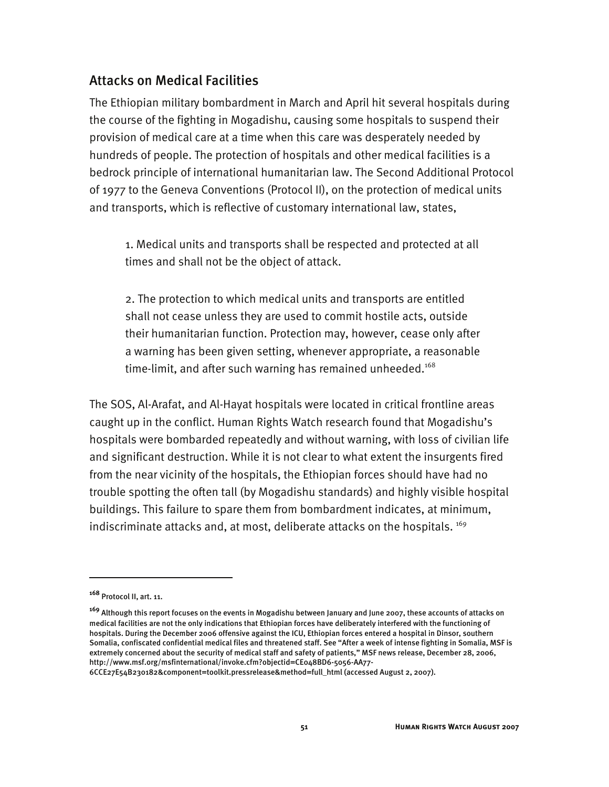## Attacks on Medical Facilities

The Ethiopian military bombardment in March and April hit several hospitals during the course of the fighting in Mogadishu, causing some hospitals to suspend their provision of medical care at a time when this care was desperately needed by hundreds of people. The protection of hospitals and other medical facilities is a bedrock principle of international humanitarian law. The Second Additional Protocol of 1977 to the Geneva Conventions (Protocol II), on the protection of medical units and transports, which is reflective of customary international law, states,

1. Medical units and transports shall be respected and protected at all times and shall not be the object of attack.

2. The protection to which medical units and transports are entitled shall not cease unless they are used to commit hostile acts, outside their humanitarian function. Protection may, however, cease only after a warning has been given setting, whenever appropriate, a reasonable time-limit, and after such warning has remained unheeded.<sup>168</sup>

The SOS, Al-Arafat, and Al-Hayat hospitals were located in critical frontline areas caught up in the conflict. Human Rights Watch research found that Mogadishu's hospitals were bombarded repeatedly and without warning, with loss of civilian life and significant destruction. While it is not clear to what extent the insurgents fired from the near vicinity of the hospitals, the Ethiopian forces should have had no trouble spotting the often tall (by Mogadishu standards) and highly visible hospital buildings. This failure to spare them from bombardment indicates, at minimum, indiscriminate attacks and, at most, deliberate attacks on the hospitals.  $^{169}$ 

-

6CCE27E54B230182&component=toolkit.pressrelease&method=full\_html (accessed August 2, 2007).

**<sup>168</sup>** Protocol II, art. 11.

**<sup>169</sup>** Although this report focuses on the events in Mogadishu between January and June 2007, these accounts of attacks on medical facilities are not the only indications that Ethiopian forces have deliberately interfered with the functioning of hospitals. During the December 2006 offensive against the ICU, Ethiopian forces entered a hospital in Dinsor, southern Somalia, confiscated confidential medical files and threatened staff. See "After a week of intense fighting in Somalia, MSF is extremely concerned about the security of medical staff and safety of patients," MSF news release, December 28, 2006, http://www.msf.org/msfinternational/invoke.cfm?objectid=CE048BD6-5056-AA77-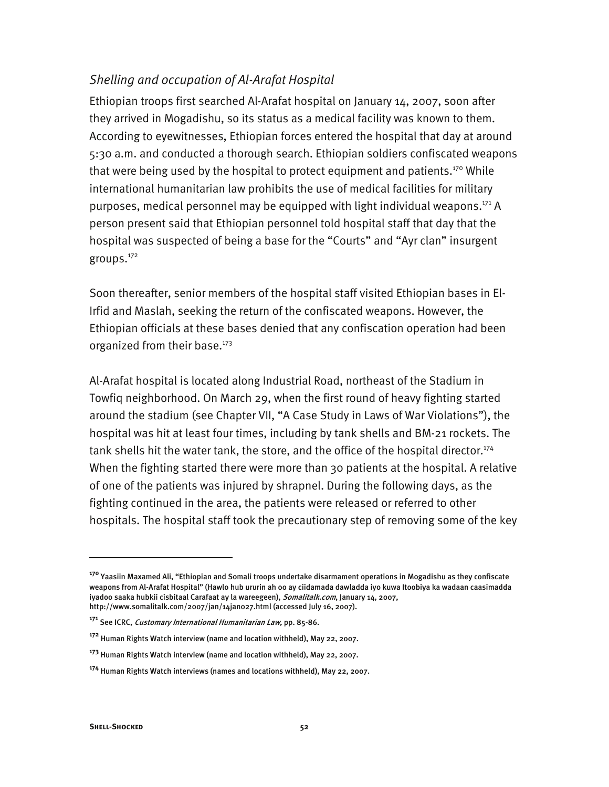## *Shelling and occupation of Al-Arafat Hospital*

Ethiopian troops first searched Al-Arafat hospital on January 14, 2007, soon after they arrived in Mogadishu, so its status as a medical facility was known to them. According to eyewitnesses, Ethiopian forces entered the hospital that day at around 5:30 a.m. and conducted a thorough search. Ethiopian soldiers confiscated weapons that were being used by the hospital to protect equipment and patients.<sup>170</sup> While international humanitarian law prohibits the use of medical facilities for military purposes, medical personnel may be equipped with light individual weapons.<sup>171</sup> A person present said that Ethiopian personnel told hospital staff that day that the hospital was suspected of being a base for the "Courts" and "Ayr clan" insurgent groups.172

Soon thereafter, senior members of the hospital staff visited Ethiopian bases in El-Irfid and Maslah, seeking the return of the confiscated weapons. However, the Ethiopian officials at these bases denied that any confiscation operation had been organized from their base.<sup>173</sup>

Al-Arafat hospital is located along Industrial Road, northeast of the Stadium in Towfiq neighborhood. On March 29, when the first round of heavy fighting started around the stadium (see Chapter VII, "A Case Study in Laws of War Violations"), the hospital was hit at least four times, including by tank shells and BM-21 rockets. The tank shells hit the water tank, the store, and the office of the hospital director.<sup>174</sup> When the fighting started there were more than 30 patients at the hospital. A relative of one of the patients was injured by shrapnel. During the following days, as the fighting continued in the area, the patients were released or referred to other hospitals. The hospital staff took the precautionary step of removing some of the key

**<sup>170</sup>** Yaasiin Maxamed Ali, "Ethiopian and Somali troops undertake disarmament operations in Mogadishu as they confiscate weapons from Al-Arafat Hospital" (Hawlo hub ururin ah oo ay ciidamada dawladda iyo kuwa Itoobiya ka wadaan caasimadda iyadoo saaka hubkii cisbitaal Carafaat ay la wareegeen), Somalitalk.com, January 14, 2007, http://www.somalitalk.com/2007/jan/14jan027.html (accessed July 16, 2007).

**<sup>171</sup>** See ICRC, Customary International Humanitarian Law, pp. 85-86.

**<sup>172</sup>** Human Rights Watch interview (name and location withheld), May 22, 2007.

**<sup>173</sup>** Human Rights Watch interview (name and location withheld), May 22, 2007.

**<sup>174</sup>** Human Rights Watch interviews (names and locations withheld), May 22, 2007.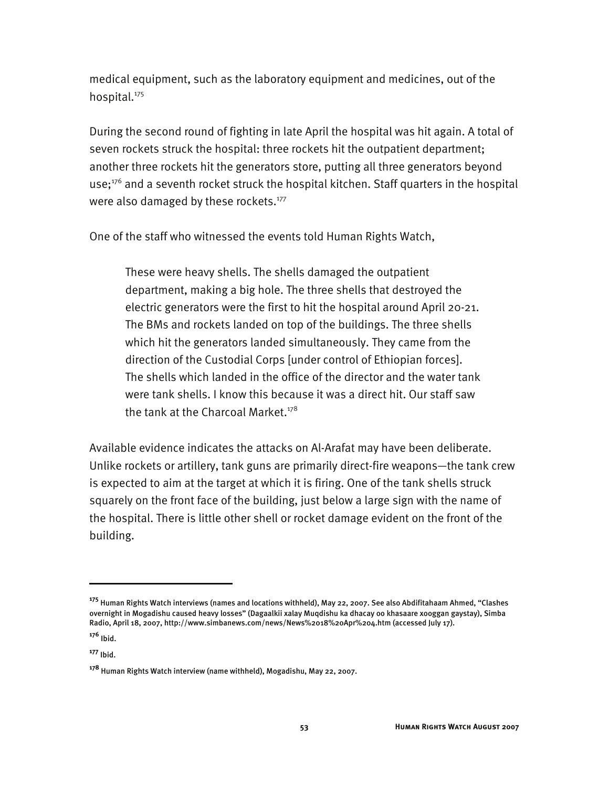medical equipment, such as the laboratory equipment and medicines, out of the hospital.<sup>175</sup>

During the second round of fighting in late April the hospital was hit again. A total of seven rockets struck the hospital: three rockets hit the outpatient department; another three rockets hit the generators store, putting all three generators beyond use; $176$  and a seventh rocket struck the hospital kitchen. Staff quarters in the hospital were also damaged by these rockets.<sup>177</sup>

One of the staff who witnessed the events told Human Rights Watch,

These were heavy shells. The shells damaged the outpatient department, making a big hole. The three shells that destroyed the electric generators were the first to hit the hospital around April 20-21. The BMs and rockets landed on top of the buildings. The three shells which hit the generators landed simultaneously. They came from the direction of the Custodial Corps [under control of Ethiopian forces]. The shells which landed in the office of the director and the water tank were tank shells. I know this because it was a direct hit. Our staff saw the tank at the Charcoal Market. $178$ 

Available evidence indicates the attacks on Al-Arafat may have been deliberate. Unlike rockets or artillery, tank guns are primarily direct-fire weapons—the tank crew is expected to aim at the target at which it is firing. One of the tank shells struck squarely on the front face of the building, just below a large sign with the name of the hospital. There is little other shell or rocket damage evident on the front of the building.

j

**<sup>175</sup>** Human Rights Watch interviews (names and locations withheld), May 22, 2007. See also Abdifitahaam Ahmed, "Clashes overnight in Mogadishu caused heavy losses" (Dagaalkii xalay Muqdishu ka dhacay oo khasaare xooggan gaystay), Simba Radio, April 18, 2007, http://www.simbanews.com/news/News%2018%20Apr%204.htm (accessed July 17).

**<sup>176</sup>** Ibid.

**<sup>177</sup>** Ibid.

**<sup>178</sup>** Human Rights Watch interview (name withheld), Mogadishu, May 22, 2007.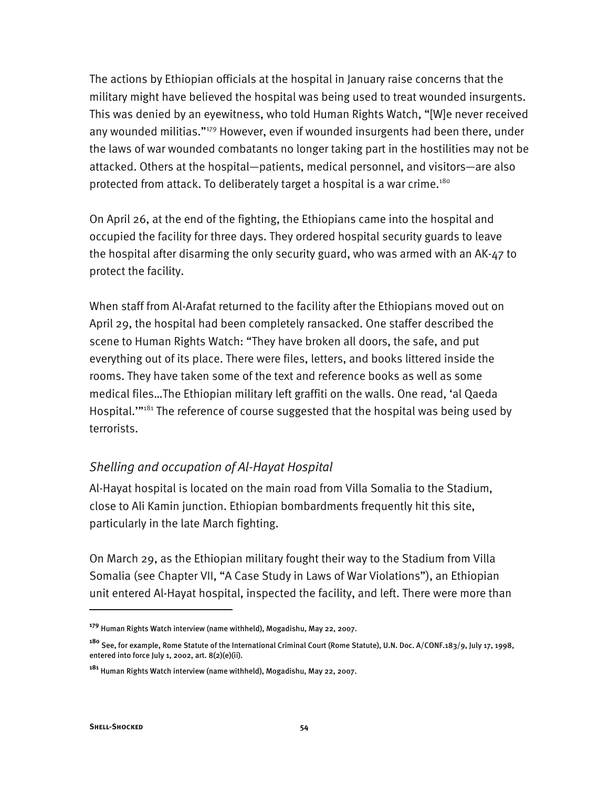The actions by Ethiopian officials at the hospital in January raise concerns that the military might have believed the hospital was being used to treat wounded insurgents. This was denied by an eyewitness, who told Human Rights Watch, "[W]e never received any wounded militias."<sup>179</sup> However, even if wounded insurgents had been there, under the laws of war wounded combatants no longer taking part in the hostilities may not be attacked. Others at the hospital—patients, medical personnel, and visitors—are also protected from attack. To deliberately target a hospital is a war crime.<sup>180</sup>

On April 26, at the end of the fighting, the Ethiopians came into the hospital and occupied the facility for three days. They ordered hospital security guards to leave the hospital after disarming the only security guard, who was armed with an AK-47 to protect the facility.

When staff from Al-Arafat returned to the facility after the Ethiopians moved out on April 29, the hospital had been completely ransacked. One staffer described the scene to Human Rights Watch: "They have broken all doors, the safe, and put everything out of its place. There were files, letters, and books littered inside the rooms. They have taken some of the text and reference books as well as some medical files…The Ethiopian military left graffiti on the walls. One read, 'al Qaeda Hospital."<sup>31</sup> The reference of course suggested that the hospital was being used by terrorists.

## *Shelling and occupation of Al-Hayat Hospital*

Al-Hayat hospital is located on the main road from Villa Somalia to the Stadium, close to Ali Kamin junction. Ethiopian bombardments frequently hit this site, particularly in the late March fighting.

On March 29, as the Ethiopian military fought their way to the Stadium from Villa Somalia (see Chapter VII, "A Case Study in Laws of War Violations"), an Ethiopian unit entered Al-Hayat hospital, inspected the facility, and left. There were more than

**<sup>179</sup>** Human Rights Watch interview (name withheld), Mogadishu, May 22, 2007.

**<sup>180</sup>** See, for example, Rome Statute of the International Criminal Court (Rome Statute), U.N. Doc. A/CONF.183/9, July 17, 1998, entered into force July 1, 2002, art. 8(2)(e)(ii).

**<sup>181</sup>** Human Rights Watch interview (name withheld), Mogadishu, May 22, 2007.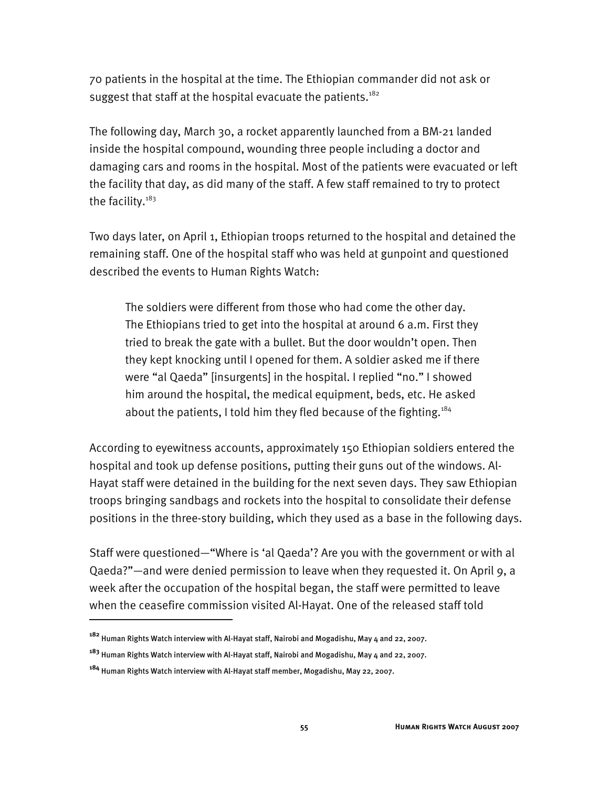70 patients in the hospital at the time. The Ethiopian commander did not ask or suggest that staff at the hospital evacuate the patients.<sup>182</sup>

The following day, March 30, a rocket apparently launched from a BM-21 landed inside the hospital compound, wounding three people including a doctor and damaging cars and rooms in the hospital. Most of the patients were evacuated or left the facility that day, as did many of the staff. A few staff remained to try to protect the facility. $183$ 

Two days later, on April 1, Ethiopian troops returned to the hospital and detained the remaining staff. One of the hospital staff who was held at gunpoint and questioned described the events to Human Rights Watch:

The soldiers were different from those who had come the other day. The Ethiopians tried to get into the hospital at around 6 a.m. First they tried to break the gate with a bullet. But the door wouldn't open. Then they kept knocking until I opened for them. A soldier asked me if there were "al Qaeda" [insurgents] in the hospital. I replied "no." I showed him around the hospital, the medical equipment, beds, etc. He asked about the patients, I told him they fled because of the fighting.<sup>184</sup>

According to eyewitness accounts, approximately 150 Ethiopian soldiers entered the hospital and took up defense positions, putting their guns out of the windows. Al-Hayat staff were detained in the building for the next seven days. They saw Ethiopian troops bringing sandbags and rockets into the hospital to consolidate their defense positions in the three-story building, which they used as a base in the following days.

Staff were questioned—"Where is 'al Qaeda'? Are you with the government or with al Qaeda?"—and were denied permission to leave when they requested it. On April 9, a week after the occupation of the hospital began, the staff were permitted to leave when the ceasefire commission visited Al-Hayat. One of the released staff told

**<sup>182</sup>** Human Rights Watch interview with Al-Hayat staff, Nairobi and Mogadishu, May 4 and 22, 2007.

**<sup>183</sup>** Human Rights Watch interview with Al-Hayat staff, Nairobi and Mogadishu, May 4 and 22, 2007.

**<sup>184</sup>** Human Rights Watch interview with Al-Hayat staff member, Mogadishu, May 22, 2007.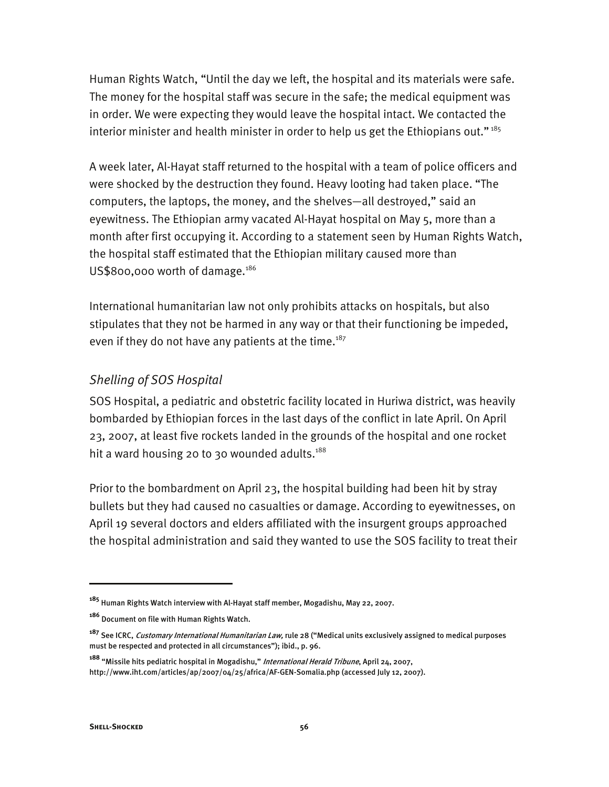Human Rights Watch, "Until the day we left, the hospital and its materials were safe. The money for the hospital staff was secure in the safe; the medical equipment was in order. We were expecting they would leave the hospital intact. We contacted the interior minister and health minister in order to help us get the Ethiopians out."<sup>185</sup>

A week later, Al-Hayat staff returned to the hospital with a team of police officers and were shocked by the destruction they found. Heavy looting had taken place. "The computers, the laptops, the money, and the shelves—all destroyed," said an eyewitness. The Ethiopian army vacated Al-Hayat hospital on May 5, more than a month after first occupying it. According to a statement seen by Human Rights Watch, the hospital staff estimated that the Ethiopian military caused more than US\$800,000 worth of damage.<sup>186</sup>

International humanitarian law not only prohibits attacks on hospitals, but also stipulates that they not be harmed in any way or that their functioning be impeded, even if they do not have any patients at the time.<sup>187</sup>

## *Shelling of SOS Hospital*

SOS Hospital, a pediatric and obstetric facility located in Huriwa district, was heavily bombarded by Ethiopian forces in the last days of the conflict in late April. On April 23, 2007, at least five rockets landed in the grounds of the hospital and one rocket hit a ward housing 20 to 30 wounded adults.<sup>188</sup>

Prior to the bombardment on April 23, the hospital building had been hit by stray bullets but they had caused no casualties or damage. According to eyewitnesses, on April 19 several doctors and elders affiliated with the insurgent groups approached the hospital administration and said they wanted to use the SOS facility to treat their

**<sup>185</sup>** Human Rights Watch interview with Al-Hayat staff member, Mogadishu, May 22, 2007.

**<sup>186</sup>** Document on file with Human Rights Watch.

**<sup>187</sup>** See ICRC, Customary International Humanitarian Law, rule 28 ("Medical units exclusively assigned to medical purposes must be respected and protected in all circumstances"); ibid., p. 96.

**<sup>188</sup>** "Missile hits pediatric hospital in Mogadishu," International Herald Tribune, April 24, 2007, http://www.iht.com/articles/ap/2007/04/25/africa/AF-GEN-Somalia.php (accessed July 12, 2007).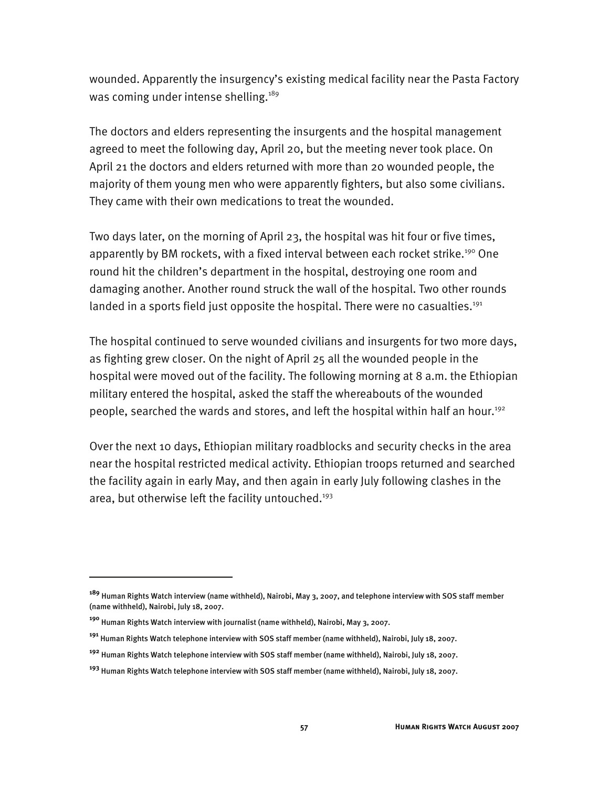wounded. Apparently the insurgency's existing medical facility near the Pasta Factory was coming under intense shelling.<sup>189</sup>

The doctors and elders representing the insurgents and the hospital management agreed to meet the following day, April 20, but the meeting never took place. On April 21 the doctors and elders returned with more than 20 wounded people, the majority of them young men who were apparently fighters, but also some civilians. They came with their own medications to treat the wounded.

Two days later, on the morning of April 23, the hospital was hit four or five times, apparently by BM rockets, with a fixed interval between each rocket strike.<sup>190</sup> One round hit the children's department in the hospital, destroying one room and damaging another. Another round struck the wall of the hospital. Two other rounds landed in a sports field just opposite the hospital. There were no casualties.<sup>191</sup>

The hospital continued to serve wounded civilians and insurgents for two more days, as fighting grew closer. On the night of April 25 all the wounded people in the hospital were moved out of the facility. The following morning at 8 a.m. the Ethiopian military entered the hospital, asked the staff the whereabouts of the wounded people, searched the wards and stores, and left the hospital within half an hour.192

Over the next 10 days, Ethiopian military roadblocks and security checks in the area near the hospital restricted medical activity. Ethiopian troops returned and searched the facility again in early May, and then again in early July following clashes in the area, but otherwise left the facility untouched.<sup>193</sup>

j

**<sup>189</sup>** Human Rights Watch interview (name withheld), Nairobi, May 3, 2007, and telephone interview with SOS staff member (name withheld), Nairobi, July 18, 2007.

**<sup>190</sup>** Human Rights Watch interview with journalist (name withheld), Nairobi, May 3, 2007.

**<sup>191</sup>** Human Rights Watch telephone interview with SOS staff member (name withheld), Nairobi, July 18, 2007.

**<sup>192</sup>** Human Rights Watch telephone interview with SOS staff member (name withheld), Nairobi, July 18, 2007.

**<sup>193</sup>** Human Rights Watch telephone interview with SOS staff member (name withheld), Nairobi, July 18, 2007.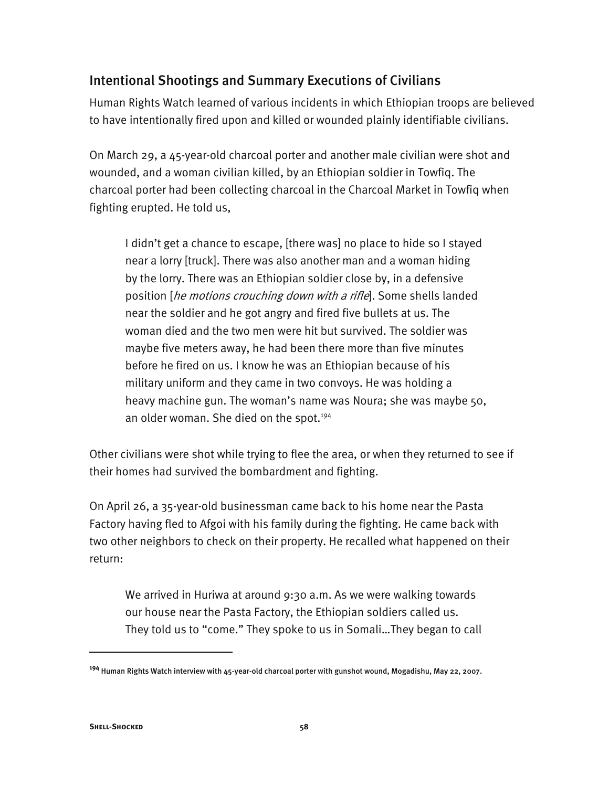# Intentional Shootings and Summary Executions of Civilians

Human Rights Watch learned of various incidents in which Ethiopian troops are believed to have intentionally fired upon and killed or wounded plainly identifiable civilians.

On March 29, a 45-year-old charcoal porter and another male civilian were shot and wounded, and a woman civilian killed, by an Ethiopian soldier in Towfiq. The charcoal porter had been collecting charcoal in the Charcoal Market in Towfiq when fighting erupted. He told us,

I didn't get a chance to escape, [there was] no place to hide so I stayed near a lorry [truck]. There was also another man and a woman hiding by the lorry. There was an Ethiopian soldier close by, in a defensive position [he motions crouching down with a rifle]. Some shells landed near the soldier and he got angry and fired five bullets at us. The woman died and the two men were hit but survived. The soldier was maybe five meters away, he had been there more than five minutes before he fired on us. I know he was an Ethiopian because of his military uniform and they came in two convoys. He was holding a heavy machine gun. The woman's name was Noura; she was maybe 50, an older woman. She died on the spot.<sup>194</sup>

Other civilians were shot while trying to flee the area, or when they returned to see if their homes had survived the bombardment and fighting.

On April 26, a 35-year-old businessman came back to his home near the Pasta Factory having fled to Afgoi with his family during the fighting. He came back with two other neighbors to check on their property. He recalled what happened on their return:

We arrived in Huriwa at around 9:30 a.m. As we were walking towards our house near the Pasta Factory, the Ethiopian soldiers called us. They told us to "come." They spoke to us in Somali…They began to call

**<sup>194</sup>** Human Rights Watch interview with 45-year-old charcoal porter with gunshot wound, Mogadishu, May 22, 2007.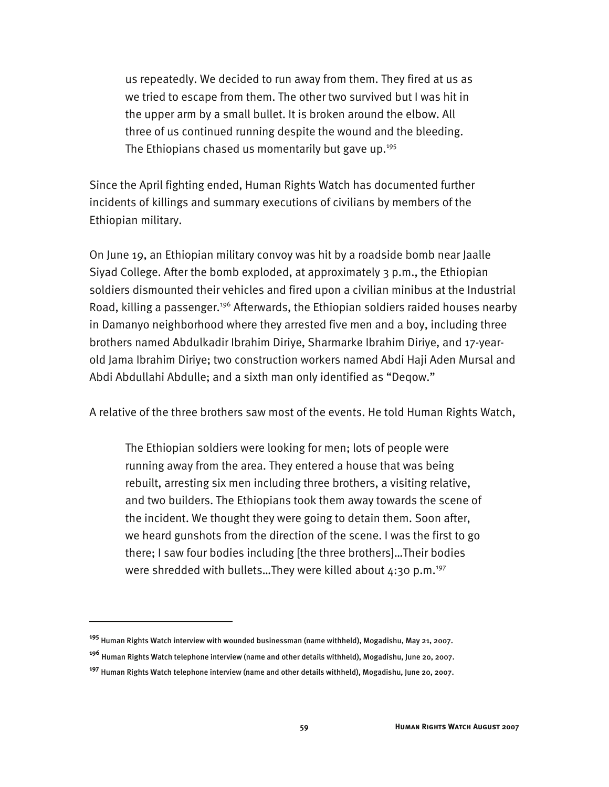us repeatedly. We decided to run away from them. They fired at us as we tried to escape from them. The other two survived but I was hit in the upper arm by a small bullet. It is broken around the elbow. All three of us continued running despite the wound and the bleeding. The Ethiopians chased us momentarily but gave up.<sup>195</sup>

Since the April fighting ended, Human Rights Watch has documented further incidents of killings and summary executions of civilians by members of the Ethiopian military.

On June 19, an Ethiopian military convoy was hit by a roadside bomb near Jaalle Siyad College. After the bomb exploded, at approximately 3 p.m., the Ethiopian soldiers dismounted their vehicles and fired upon a civilian minibus at the Industrial Road, killing a passenger.<sup>196</sup> Afterwards, the Ethiopian soldiers raided houses nearby in Damanyo neighborhood where they arrested five men and a boy, including three brothers named Abdulkadir Ibrahim Diriye, Sharmarke Ibrahim Diriye, and 17-yearold Jama Ibrahim Diriye; two construction workers named Abdi Haji Aden Mursal and Abdi Abdullahi Abdulle; and a sixth man only identified as "Deqow."

A relative of the three brothers saw most of the events. He told Human Rights Watch,

The Ethiopian soldiers were looking for men; lots of people were running away from the area. They entered a house that was being rebuilt, arresting six men including three brothers, a visiting relative, and two builders. The Ethiopians took them away towards the scene of the incident. We thought they were going to detain them. Soon after, we heard gunshots from the direction of the scene. I was the first to go there; I saw four bodies including [the three brothers]…Their bodies were shredded with bullets...They were killed about  $4:30$  p.m.<sup>197</sup>

**<sup>195</sup>** Human Rights Watch interview with wounded businessman (name withheld), Mogadishu, May 21, 2007.

**<sup>196</sup>** Human Rights Watch telephone interview (name and other details withheld), Mogadishu, June 20, 2007.

**<sup>197</sup>** Human Rights Watch telephone interview (name and other details withheld), Mogadishu, June 20, 2007.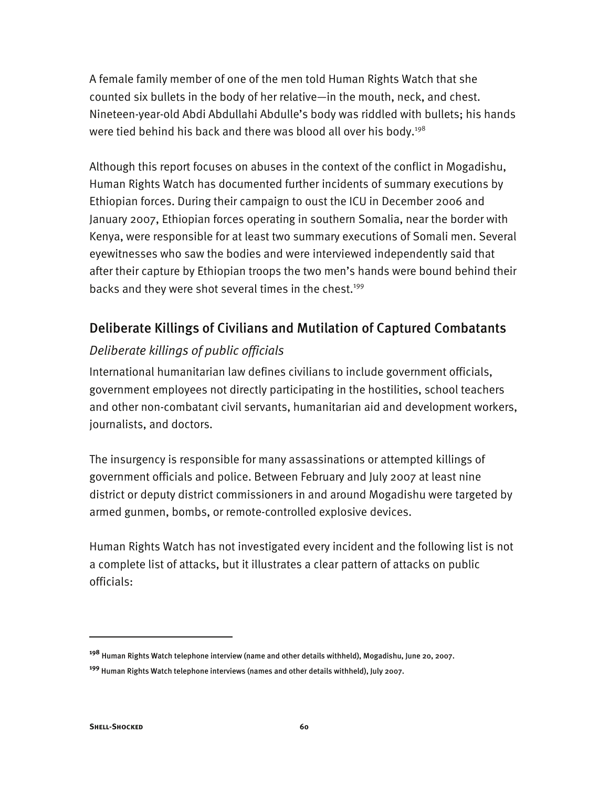A female family member of one of the men told Human Rights Watch that she counted six bullets in the body of her relative—in the mouth, neck, and chest. Nineteen-year-old Abdi Abdullahi Abdulle's body was riddled with bullets; his hands were tied behind his back and there was blood all over his body.<sup>198</sup>

Although this report focuses on abuses in the context of the conflict in Mogadishu, Human Rights Watch has documented further incidents of summary executions by Ethiopian forces. During their campaign to oust the ICU in December 2006 and January 2007, Ethiopian forces operating in southern Somalia, near the border with Kenya, were responsible for at least two summary executions of Somali men. Several eyewitnesses who saw the bodies and were interviewed independently said that after their capture by Ethiopian troops the two men's hands were bound behind their backs and they were shot several times in the chest.<sup>199</sup>

# Deliberate Killings of Civilians and Mutilation of Captured Combatants

## *Deliberate killings of public officials*

International humanitarian law defines civilians to include government officials, government employees not directly participating in the hostilities, school teachers and other non-combatant civil servants, humanitarian aid and development workers, journalists, and doctors.

The insurgency is responsible for many assassinations or attempted killings of government officials and police. Between February and July 2007 at least nine district or deputy district commissioners in and around Mogadishu were targeted by armed gunmen, bombs, or remote-controlled explosive devices.

Human Rights Watch has not investigated every incident and the following list is not a complete list of attacks, but it illustrates a clear pattern of attacks on public officials:

**<sup>198</sup>** Human Rights Watch telephone interview (name and other details withheld), Mogadishu, June 20, 2007.

**<sup>199</sup>** Human Rights Watch telephone interviews (names and other details withheld), July 2007.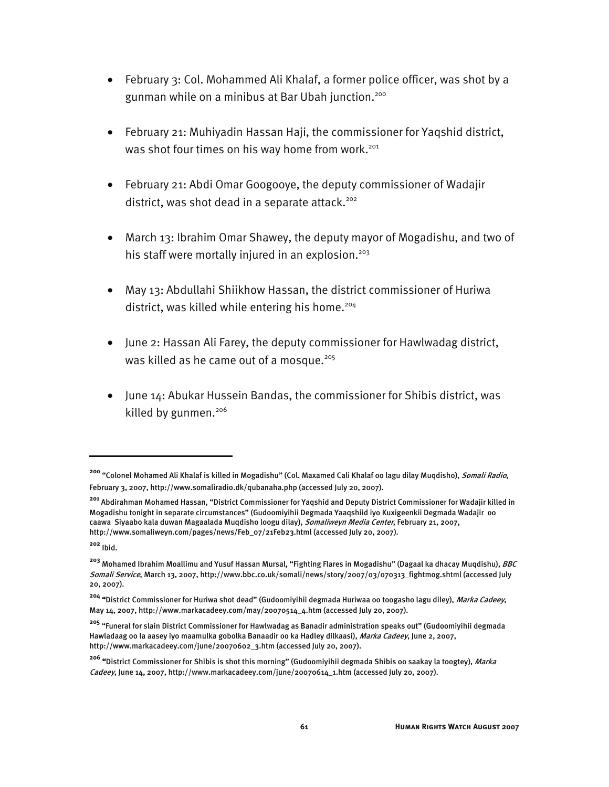- February 3: Col. Mohammed Ali Khalaf, a former police officer, was shot by a gunman while on a minibus at Bar Ubah junction.<sup>200</sup>
- February 21: Muhiyadin Hassan Haji, the commissioner for Yaqshid district, was shot four times on his way home from work.<sup>201</sup>
- February 21: Abdi Omar Googooye, the deputy commissioner of Wadajir district, was shot dead in a separate attack.<sup>202</sup>
- March 13: Ibrahim Omar Shawey, the deputy mayor of Mogadishu, and two of his staff were mortally injured in an explosion.<sup>203</sup>
- May 13: Abdullahi Shiikhow Hassan, the district commissioner of Huriwa district, was killed while entering his home.<sup>204</sup>
- June 2: Hassan Ali Farey, the deputy commissioner for Hawlwadag district, was killed as he came out of a mosque.<sup>205</sup>
- June 14: Abukar Hussein Bandas, the commissioner for Shibis district, was killed by gunmen.<sup>206</sup>

**<sup>200</sup>** "Colonel Mohamed Ali Khalaf is killed in Mogadishu" (Col. Maxamed Cali Khalaf oo lagu dilay Muqdisho), Somali Radio, February 3, 2007, http://www.somaliradio.dk/qubanaha.php (accessed July 20, 2007).

**<sup>201</sup>** Abdirahman Mohamed Hassan, "District Commissioner for Yaqshid and Deputy District Commissioner for Wadajir killed in Mogadishu tonight in separate circumstances" (Gudoomiyihii Degmada Yaaqshiid iyo Kuxigeenkii Degmada Wadajir oo caawa Siyaabo kala duwan Magaalada Muqdisho loogu dilay), Somaliweyn Media Center, February 21, 2007, http://www.somaliweyn.com/pages/news/Feb\_07/21Feb23.html (accessed July 20, 2007).

**<sup>202</sup>** Ibid.

**<sup>203</sup>** Mohamed Ibrahim Moallimu and Yusuf Hassan Mursal, "Fighting Flares in Mogadishu" (Dagaal ka dhacay Muqdishu), BBC Somali Service, March 13, 2007, http://www.bbc.co.uk/somali/news/story/2007/03/070313\_fightmog.shtml (accessed July 20, 2007).

**<sup>204</sup>** "District Commissioner for Huriwa shot dead" (Gudoomiyihii degmada Huriwaa oo toogasho lagu diley), Marka Cadeey, May 14, 2007, http://www.markacadeey.com/may/20070514\_4.htm (accessed July 20, 2007).

**<sup>205</sup>** "Funeral for slain District Commissioner for Hawlwadag as Banadir administration speaks out" (Gudoomiyihii degmada Hawladaag oo la aasey iyo maamulka gobolka Banaadir oo ka Hadley dilkaasi), *Marka Cadeey*, June 2, 2007, http://www.markacadeey.com/june/20070602\_3.htm (accessed July 20, 2007).

**<sup>206</sup>** "District Commissioner for Shibis is shot this morning" (Gudoomiyihii degmada Shibis oo saakay la toogtey), Marka Cadeey, June 14, 2007, http://www.markacadeey.com/june/20070614\_1.htm (accessed July 20, 2007).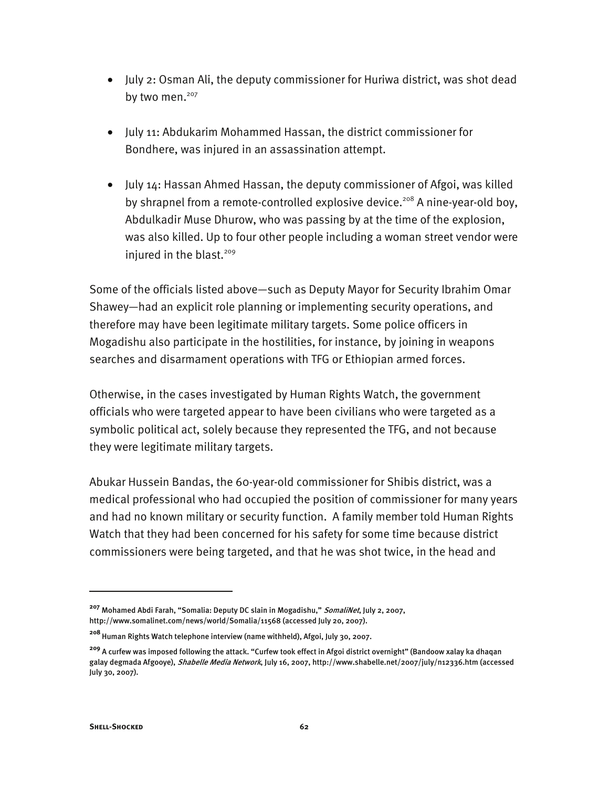- July 2: Osman Ali, the deputy commissioner for Huriwa district, was shot dead by two men.<sup>207</sup>
- July 11: Abdukarim Mohammed Hassan, the district commissioner for Bondhere, was injured in an assassination attempt.
- July 14: Hassan Ahmed Hassan, the deputy commissioner of Afgoi, was killed by shrapnel from a remote-controlled explosive device.<sup>208</sup> A nine-year-old boy, Abdulkadir Muse Dhurow, who was passing by at the time of the explosion, was also killed. Up to four other people including a woman street vendor were injured in the blast.<sup>209</sup>

Some of the officials listed above—such as Deputy Mayor for Security Ibrahim Omar Shawey—had an explicit role planning or implementing security operations, and therefore may have been legitimate military targets. Some police officers in Mogadishu also participate in the hostilities, for instance, by joining in weapons searches and disarmament operations with TFG or Ethiopian armed forces.

Otherwise, in the cases investigated by Human Rights Watch, the government officials who were targeted appear to have been civilians who were targeted as a symbolic political act, solely because they represented the TFG, and not because they were legitimate military targets.

Abukar Hussein Bandas, the 60-year-old commissioner for Shibis district, was a medical professional who had occupied the position of commissioner for many years and had no known military or security function. A family member told Human Rights Watch that they had been concerned for his safety for some time because district commissioners were being targeted, and that he was shot twice, in the head and

**<sup>207</sup>** Mohamed Abdi Farah, "Somalia: Deputy DC slain in Mogadishu," SomaliNet, July 2, 2007, http://www.somalinet.com/news/world/Somalia/11568 (accessed July 20, 2007).

**<sup>208</sup>**Human Rights Watch telephone interview (name withheld), Afgoi, July 30, 2007.

**<sup>209</sup>** A curfew was imposed following the attack. "Curfew took effect in Afgoi district overnight" (Bandoow xalay ka dhaqan galay degmada Afgooye), Shabelle Media Network, July 16, 2007, http://www.shabelle.net/2007/july/n12336.htm (accessed July 30, 2007).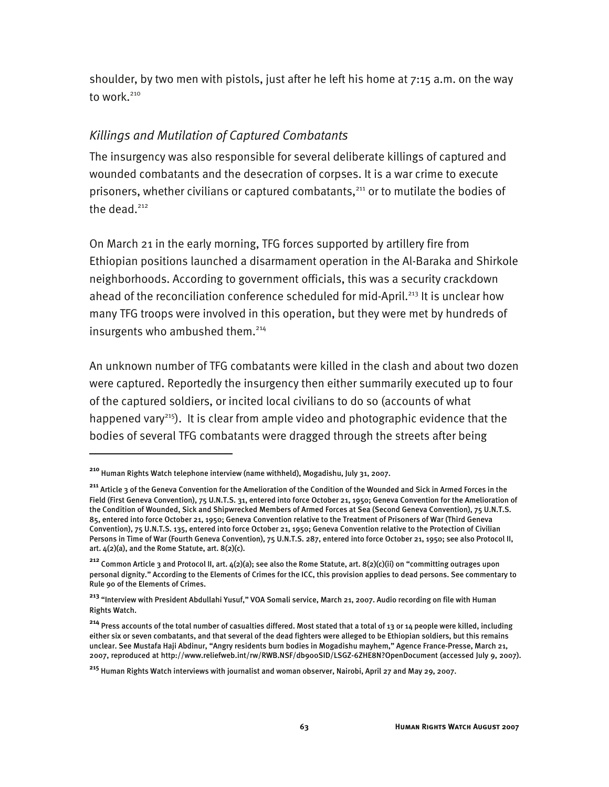shoulder, by two men with pistols, just after he left his home at 7:15 a.m. on the way to work.<sup>210</sup>

## *Killings and Mutilation of Captured Combatants*

The insurgency was also responsible for several deliberate killings of captured and wounded combatants and the desecration of corpses. It is a war crime to execute prisoners, whether civilians or captured combatants,<sup>211</sup> or to mutilate the bodies of the dead. $212$ 

On March 21 in the early morning, TFG forces supported by artillery fire from Ethiopian positions launched a disarmament operation in the Al-Baraka and Shirkole neighborhoods. According to government officials, this was a security crackdown ahead of the reconciliation conference scheduled for mid-April.<sup>213</sup> It is unclear how many TFG troops were involved in this operation, but they were met by hundreds of insurgents who ambushed them.<sup>214</sup>

An unknown number of TFG combatants were killed in the clash and about two dozen were captured. Reportedly the insurgency then either summarily executed up to four of the captured soldiers, or incited local civilians to do so (accounts of what happened vary<sup>215</sup>). It is clear from ample video and photographic evidence that the bodies of several TFG combatants were dragged through the streets after being

**<sup>210</sup>** Human Rights Watch telephone interview (name withheld), Mogadishu, July 31, 2007.

**<sup>211</sup>** Article 3 of the Geneva Convention for the Amelioration of the Condition of the Wounded and Sick in Armed Forces in the Field (First Geneva Convention), 75 U.N.T.S. 31, entered into force October 21, 1950; Geneva Convention for the Amelioration of the Condition of Wounded, Sick and Shipwrecked Members of Armed Forces at Sea (Second Geneva Convention), 75 U.N.T.S. 85, entered into force October 21, 1950; Geneva Convention relative to the Treatment of Prisoners of War (Third Geneva Convention), 75 U.N.T.S. 135, entered into force October 21, 1950; Geneva Convention relative to the Protection of Civilian Persons in Time of War (Fourth Geneva Convention), 75 U.N.T.S. 287, entered into force October 21, 1950; see also Protocol II, art.  $4(2)(a)$ , and the Rome Statute, art.  $8(2)(c)$ .

**<sup>212</sup>** Common Article 3 and Protocol II, art. 4(2)(a); see also the Rome Statute, art. 8(2)(c)(ii) on "committing outrages upon personal dignity." According to the Elements of Crimes for the ICC, this provision applies to dead persons. See commentary to Rule 90 of the Elements of Crimes.

**<sup>213</sup>** "Interview with President Abdullahi Yusuf," VOA Somali service, March 21, 2007. Audio recording on file with Human Rights Watch.

**<sup>214</sup>** Press accounts of the total number of casualties differed. Most stated that a total of 13 or 14 people were killed, including either six or seven combatants, and that several of the dead fighters were alleged to be Ethiopian soldiers, but this remains unclear. See Mustafa Haji Abdinur, "Angry residents burn bodies in Mogadishu mayhem," Agence France-Presse, March 21, 2007, reproduced at http://www.reliefweb.int/rw/RWB.NSF/db900SID/LSGZ-6ZHE8N?OpenDocument (accessed July 9, 2007).

**<sup>215</sup>** Human Rights Watch interviews with journalist and woman observer, Nairobi, April 27 and May 29, 2007.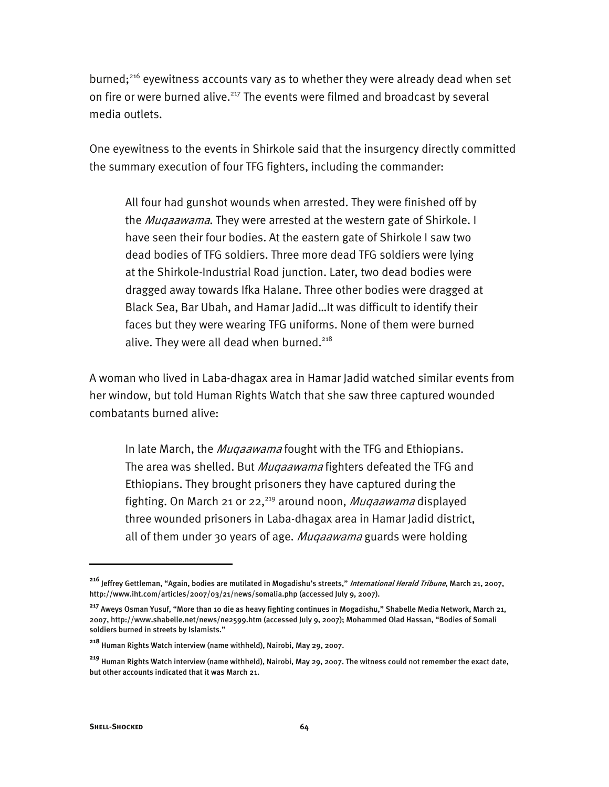burned;<sup>216</sup> eyewitness accounts vary as to whether they were already dead when set on fire or were burned alive.<sup>217</sup> The events were filmed and broadcast by several media outlets.

One eyewitness to the events in Shirkole said that the insurgency directly committed the summary execution of four TFG fighters, including the commander:

All four had gunshot wounds when arrested. They were finished off by the *Mugaawama*. They were arrested at the western gate of Shirkole. I have seen their four bodies. At the eastern gate of Shirkole I saw two dead bodies of TFG soldiers. Three more dead TFG soldiers were lying at the Shirkole-Industrial Road junction. Later, two dead bodies were dragged away towards Ifka Halane. Three other bodies were dragged at Black Sea, Bar Ubah, and Hamar Jadid…It was difficult to identify their faces but they were wearing TFG uniforms. None of them were burned alive. They were all dead when burned. $218$ 

A woman who lived in Laba-dhagax area in Hamar Jadid watched similar events from her window, but told Human Rights Watch that she saw three captured wounded combatants burned alive:

In late March, the *Mugaawama* fought with the TFG and Ethiopians. The area was shelled. But *Muqaawama* fighters defeated the TFG and Ethiopians. They brought prisoners they have captured during the fighting. On March 21 or 22,<sup>219</sup> around noon, *Muqaawama* displayed three wounded prisoners in Laba-dhagax area in Hamar Jadid district, all of them under 30 years of age. *Mugaawama* guards were holding

**<sup>216</sup>** Jeffrey Gettleman, "Again, bodies are mutilated in Mogadishu's streets," International Herald Tribune, March 21, 2007, http://www.iht.com/articles/2007/03/21/news/somalia.php (accessed July 9, 2007).

**<sup>217</sup>** Aweys Osman Yusuf, "More than 10 die as heavy fighting continues in Mogadishu," Shabelle Media Network, March 21, 2007, http://www.shabelle.net/news/ne2599.htm (accessed July 9, 2007); Mohammed Olad Hassan, "Bodies of Somali soldiers burned in streets by Islamists."

**<sup>218</sup>** Human Rights Watch interview (name withheld), Nairobi, May 29, 2007.

**<sup>219</sup>** Human Rights Watch interview (name withheld), Nairobi, May 29, 2007. The witness could not remember the exact date, but other accounts indicated that it was March 21.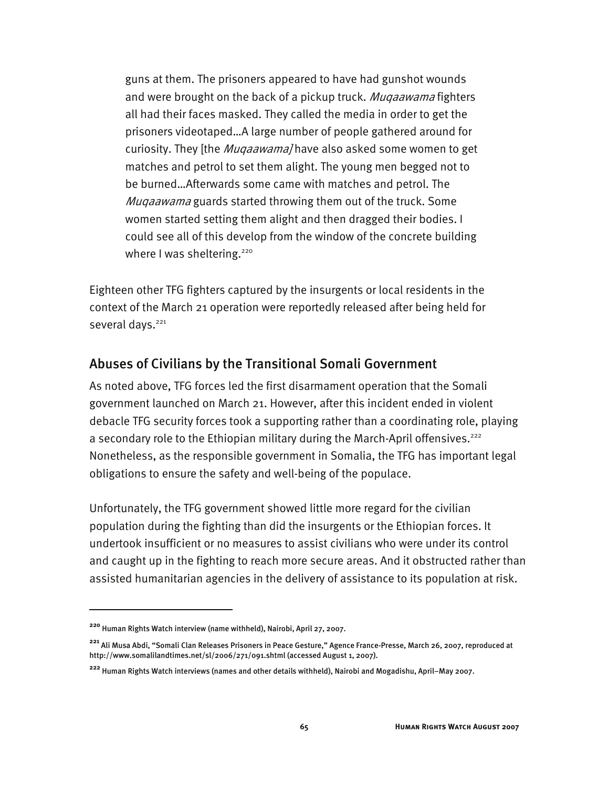guns at them. The prisoners appeared to have had gunshot wounds and were brought on the back of a pickup truck. Muqaawama fighters all had their faces masked. They called the media in order to get the prisoners videotaped…A large number of people gathered around for curiosity. They [the *Muqaawama]* have also asked some women to get matches and petrol to set them alight. The young men begged not to be burned…Afterwards some came with matches and petrol. The Mugaawama guards started throwing them out of the truck. Some women started setting them alight and then dragged their bodies. I could see all of this develop from the window of the concrete building where I was sheltering.<sup>220</sup>

Eighteen other TFG fighters captured by the insurgents or local residents in the context of the March 21 operation were reportedly released after being held for several days.<sup>221</sup>

## Abuses of Civilians by the Transitional Somali Government

As noted above, TFG forces led the first disarmament operation that the Somali government launched on March 21. However, after this incident ended in violent debacle TFG security forces took a supporting rather than a coordinating role, playing a secondary role to the Ethiopian military during the March-April offensives.<sup>222</sup> Nonetheless, as the responsible government in Somalia, the TFG has important legal obligations to ensure the safety and well-being of the populace.

Unfortunately, the TFG government showed little more regard for the civilian population during the fighting than did the insurgents or the Ethiopian forces. It undertook insufficient or no measures to assist civilians who were under its control and caught up in the fighting to reach more secure areas. And it obstructed rather than assisted humanitarian agencies in the delivery of assistance to its population at risk.

**<sup>220</sup>** Human Rights Watch interview (name withheld), Nairobi, April 27, 2007.

**<sup>221</sup>** Ali Musa Abdi, "Somali Clan Releases Prisoners in Peace Gesture," Agence France-Presse, March 26, 2007, reproduced at http://www.somalilandtimes.net/sl/2006/271/091.shtml (accessed August 1, 2007).

**<sup>222</sup>** Human Rights Watch interviews (names and other details withheld), Nairobi and Mogadishu, April–May 2007.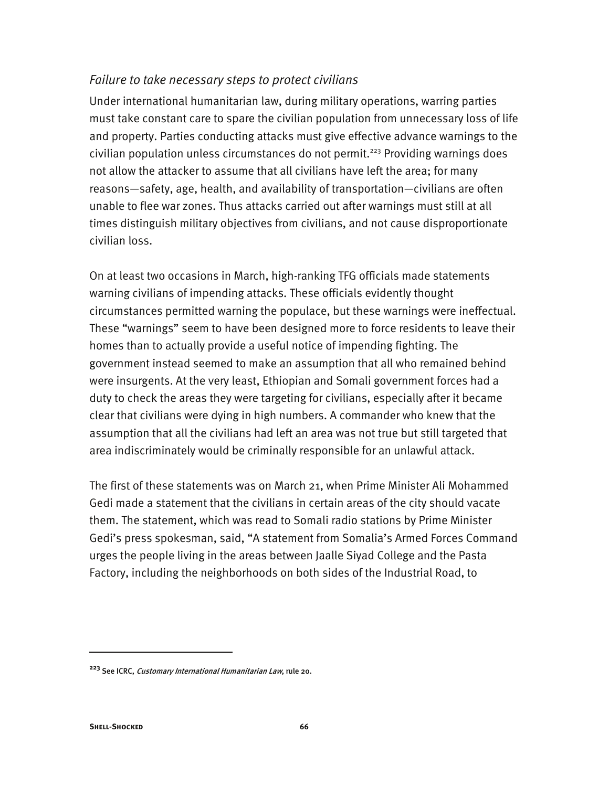## *Failure to take necessary steps to protect civilians*

Under international humanitarian law, during military operations, warring parties must take constant care to spare the civilian population from unnecessary loss of life and property. Parties conducting attacks must give effective advance warnings to the civilian population unless circumstances do not permit.<sup>223</sup> Providing warnings does not allow the attacker to assume that all civilians have left the area; for many reasons—safety, age, health, and availability of transportation—civilians are often unable to flee war zones. Thus attacks carried out after warnings must still at all times distinguish military objectives from civilians, and not cause disproportionate civilian loss.

On at least two occasions in March, high-ranking TFG officials made statements warning civilians of impending attacks. These officials evidently thought circumstances permitted warning the populace, but these warnings were ineffectual. These "warnings" seem to have been designed more to force residents to leave their homes than to actually provide a useful notice of impending fighting. The government instead seemed to make an assumption that all who remained behind were insurgents. At the very least, Ethiopian and Somali government forces had a duty to check the areas they were targeting for civilians, especially after it became clear that civilians were dying in high numbers. A commander who knew that the assumption that all the civilians had left an area was not true but still targeted that area indiscriminately would be criminally responsible for an unlawful attack.

The first of these statements was on March 21, when Prime Minister Ali Mohammed Gedi made a statement that the civilians in certain areas of the city should vacate them. The statement, which was read to Somali radio stations by Prime Minister Gedi's press spokesman, said, "A statement from Somalia's Armed Forces Command urges the people living in the areas between Jaalle Siyad College and the Pasta Factory, including the neighborhoods on both sides of the Industrial Road, to

**<sup>223</sup>** See ICRC, Customary International Humanitarian Law, rule 20.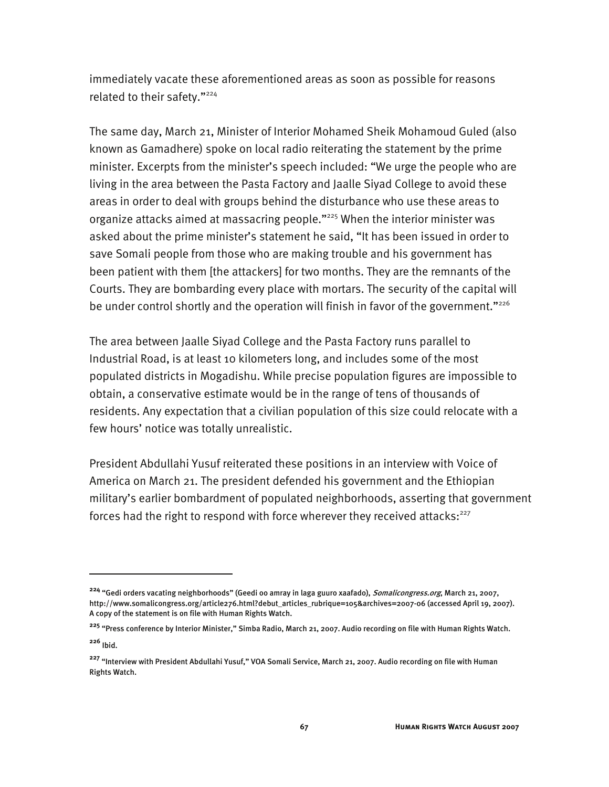immediately vacate these aforementioned areas as soon as possible for reasons related to their safety."<sup>224</sup>

The same day, March 21, Minister of Interior Mohamed Sheik Mohamoud Guled (also known as Gamadhere) spoke on local radio reiterating the statement by the prime minister. Excerpts from the minister's speech included: "We urge the people who are living in the area between the Pasta Factory and Jaalle Siyad College to avoid these areas in order to deal with groups behind the disturbance who use these areas to organize attacks aimed at massacring people."225 When the interior minister was asked about the prime minister's statement he said, "It has been issued in order to save Somali people from those who are making trouble and his government has been patient with them [the attackers] for two months. They are the remnants of the Courts. They are bombarding every place with mortars. The security of the capital will be under control shortly and the operation will finish in favor of the government."<sup>226</sup>

The area between Jaalle Siyad College and the Pasta Factory runs parallel to Industrial Road, is at least 10 kilometers long, and includes some of the most populated districts in Mogadishu. While precise population figures are impossible to obtain, a conservative estimate would be in the range of tens of thousands of residents. Any expectation that a civilian population of this size could relocate with a few hours' notice was totally unrealistic.

President Abdullahi Yusuf reiterated these positions in an interview with Voice of America on March 21. The president defended his government and the Ethiopian military's earlier bombardment of populated neighborhoods, asserting that government forces had the right to respond with force wherever they received attacks: $227$ 

**<sup>224</sup>** "Gedi orders vacating neighborhoods" (Geedi oo amray in laga guuro xaafado), Somalicongress.org, March 21, 2007, http://www.somalicongress.org/article276.html?debut\_articles\_rubrique=105&archives=2007-06 (accessed April 19, 2007). A copy of the statement is on file with Human Rights Watch.

**<sup>225</sup>** "Press conference by Interior Minister," Simba Radio, March 21, 2007. Audio recording on file with Human Rights Watch. **<sup>226</sup>** Ibid.

**<sup>227</sup>** "Interview with President Abdullahi Yusuf," VOA Somali Service, March 21, 2007. Audio recording on file with Human Rights Watch.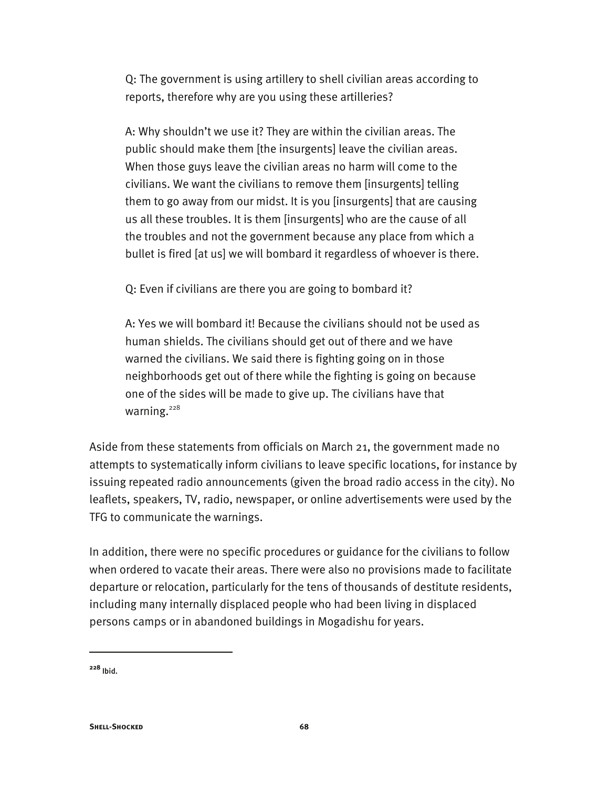Q: The government is using artillery to shell civilian areas according to reports, therefore why are you using these artilleries?

A: Why shouldn't we use it? They are within the civilian areas. The public should make them [the insurgents] leave the civilian areas. When those guys leave the civilian areas no harm will come to the civilians. We want the civilians to remove them [insurgents] telling them to go away from our midst. It is you [insurgents] that are causing us all these troubles. It is them [insurgents] who are the cause of all the troubles and not the government because any place from which a bullet is fired [at us] we will bombard it regardless of whoever is there.

Q: Even if civilians are there you are going to bombard it?

A: Yes we will bombard it! Because the civilians should not be used as human shields. The civilians should get out of there and we have warned the civilians. We said there is fighting going on in those neighborhoods get out of there while the fighting is going on because one of the sides will be made to give up. The civilians have that warning.<sup>228</sup>

Aside from these statements from officials on March 21, the government made no attempts to systematically inform civilians to leave specific locations, for instance by issuing repeated radio announcements (given the broad radio access in the city). No leaflets, speakers, TV, radio, newspaper, or online advertisements were used by the TFG to communicate the warnings.

In addition, there were no specific procedures or guidance for the civilians to follow when ordered to vacate their areas. There were also no provisions made to facilitate departure or relocation, particularly for the tens of thousands of destitute residents, including many internally displaced people who had been living in displaced persons camps or in abandoned buildings in Mogadishu for years.

**<sup>228</sup>** Ibid.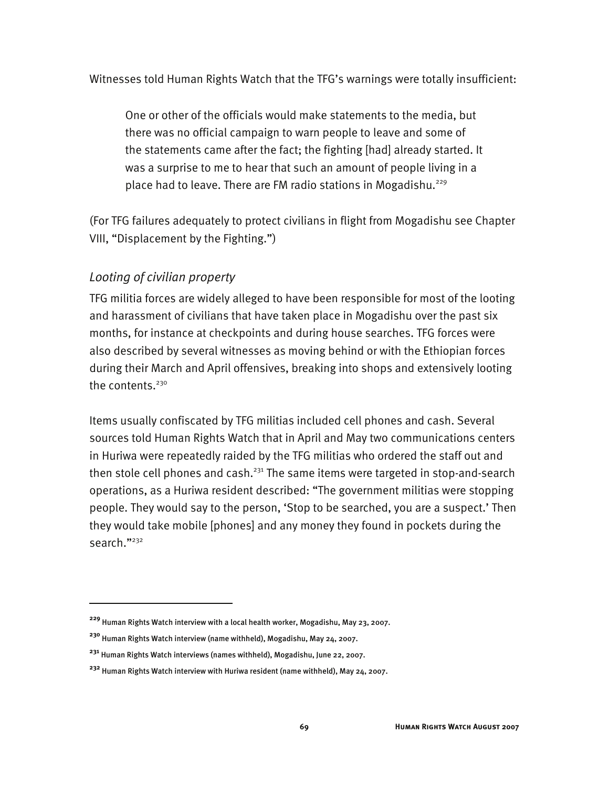Witnesses told Human Rights Watch that the TFG's warnings were totally insufficient:

One or other of the officials would make statements to the media, but there was no official campaign to warn people to leave and some of the statements came after the fact; the fighting [had] already started. It was a surprise to me to hear that such an amount of people living in a place had to leave. There are FM radio stations in Mogadishu.<sup>229</sup>

(For TFG failures adequately to protect civilians in flight from Mogadishu see Chapter VIII, "Displacement by the Fighting.")

## *Looting of civilian property*

j

TFG militia forces are widely alleged to have been responsible for most of the looting and harassment of civilians that have taken place in Mogadishu over the past six months, for instance at checkpoints and during house searches. TFG forces were also described by several witnesses as moving behind or with the Ethiopian forces during their March and April offensives, breaking into shops and extensively looting the contents. $230$ 

Items usually confiscated by TFG militias included cell phones and cash. Several sources told Human Rights Watch that in April and May two communications centers in Huriwa were repeatedly raided by the TFG militias who ordered the staff out and then stole cell phones and cash.<sup>231</sup> The same items were targeted in stop-and-search operations, as a Huriwa resident described: "The government militias were stopping people. They would say to the person, 'Stop to be searched, you are a suspect.' Then they would take mobile [phones] and any money they found in pockets during the search."<sup>232</sup>

**<sup>229</sup>** Human Rights Watch interview with a local health worker, Mogadishu, May 23, 2007.

**<sup>230</sup>** Human Rights Watch interview (name withheld), Mogadishu, May 24, 2007.

**<sup>231</sup>** Human Rights Watch interviews (names withheld), Mogadishu, June 22, 2007.

**<sup>232</sup>** Human Rights Watch interview with Huriwa resident (name withheld), May 24, 2007.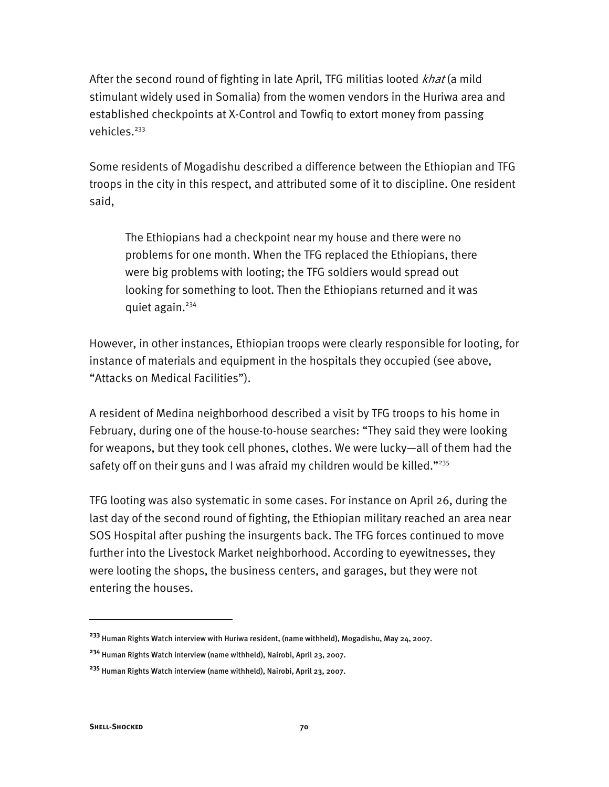After the second round of fighting in late April, TFG militias looted *khat* (a mild stimulant widely used in Somalia) from the women vendors in the Huriwa area and established checkpoints at X-Control and Towfiq to extort money from passing vehicles.<sup>233</sup>

Some residents of Mogadishu described a difference between the Ethiopian and TFG troops in the city in this respect, and attributed some of it to discipline. One resident said,

The Ethiopians had a checkpoint near my house and there were no problems for one month. When the TFG replaced the Ethiopians, there were big problems with looting; the TFG soldiers would spread out looking for something to loot. Then the Ethiopians returned and it was quiet again. $234$ 

However, in other instances, Ethiopian troops were clearly responsible for looting, for instance of materials and equipment in the hospitals they occupied (see above, "Attacks on Medical Facilities").

A resident of Medina neighborhood described a visit by TFG troops to his home in February, during one of the house-to-house searches: "They said they were looking for weapons, but they took cell phones, clothes. We were lucky—all of them had the safety off on their guns and I was afraid my children would be killed." $^{235}$ 

TFG looting was also systematic in some cases. For instance on April 26, during the last day of the second round of fighting, the Ethiopian military reached an area near SOS Hospital after pushing the insurgents back. The TFG forces continued to move further into the Livestock Market neighborhood. According to eyewitnesses, they were looting the shops, the business centers, and garages, but they were not entering the houses.

**<sup>233</sup>** Human Rights Watch interview with Huriwa resident, (name withheld), Mogadishu, May 24, 2007.

**<sup>234</sup>** Human Rights Watch interview (name withheld), Nairobi, April 23, 2007.

**<sup>235</sup>** Human Rights Watch interview (name withheld), Nairobi, April 23, 2007.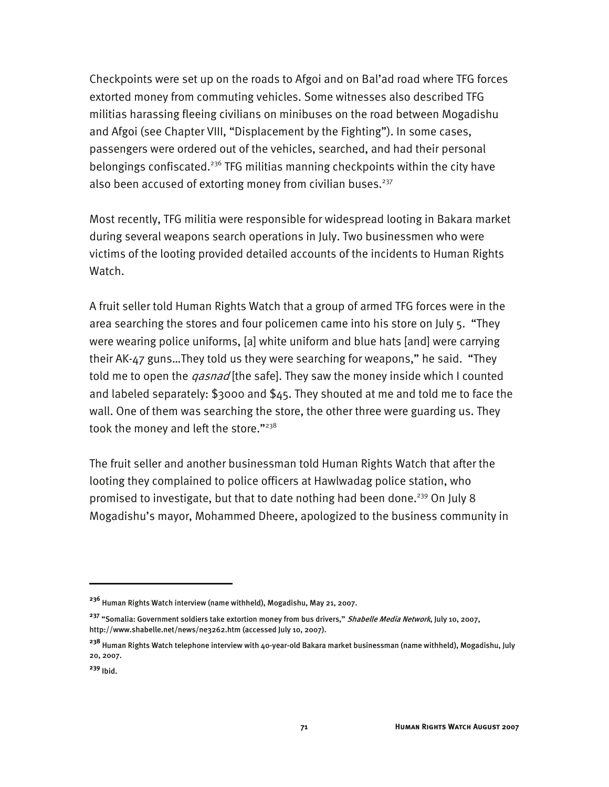Checkpoints were set up on the roads to Afgoi and on Bal'ad road where TFG forces extorted money from commuting vehicles. Some witnesses also described TFG militias harassing fleeing civilians on minibuses on the road between Mogadishu and Afgoi (see Chapter VIII, "Displacement by the Fighting"). In some cases, passengers were ordered out of the vehicles, searched, and had their personal belongings confiscated.<sup>236</sup> TFG militias manning checkpoints within the city have also been accused of extorting money from civilian buses.<sup>237</sup>

Most recently, TFG militia were responsible for widespread looting in Bakara market during several weapons search operations in July. Two businessmen who were victims of the looting provided detailed accounts of the incidents to Human Rights Watch.

A fruit seller told Human Rights Watch that a group of armed TFG forces were in the area searching the stores and four policemen came into his store on July 5. "They were wearing police uniforms, [a] white uniform and blue hats [and] were carrying their AK-47 guns…They told us they were searching for weapons," he said. "They told me to open the *qasnad* [the safe]. They saw the money inside which I counted and labeled separately: \$3000 and \$45. They shouted at me and told me to face the wall. One of them was searching the store, the other three were guarding us. They took the money and left the store."<sup>238</sup>

The fruit seller and another businessman told Human Rights Watch that after the looting they complained to police officers at Hawlwadag police station, who promised to investigate, but that to date nothing had been done.<sup>239</sup> On July 8 Mogadishu's mayor, Mohammed Dheere, apologized to the business community in

j

**<sup>236</sup>** Human Rights Watch interview (name withheld), Mogadishu, May 21, 2007.

<sup>&</sup>lt;sup>237</sup> "Somalia: Government soldiers take extortion money from bus drivers," Shabelle Media Network, July 10, 2007, http://www.shabelle.net/news/ne3262.htm (accessed July 10, 2007).

**<sup>238</sup>** Human Rights Watch telephone interview with 40-year-old Bakara market businessman (name withheld), Mogadishu, July 20, 2007.

**<sup>239</sup>** Ibid.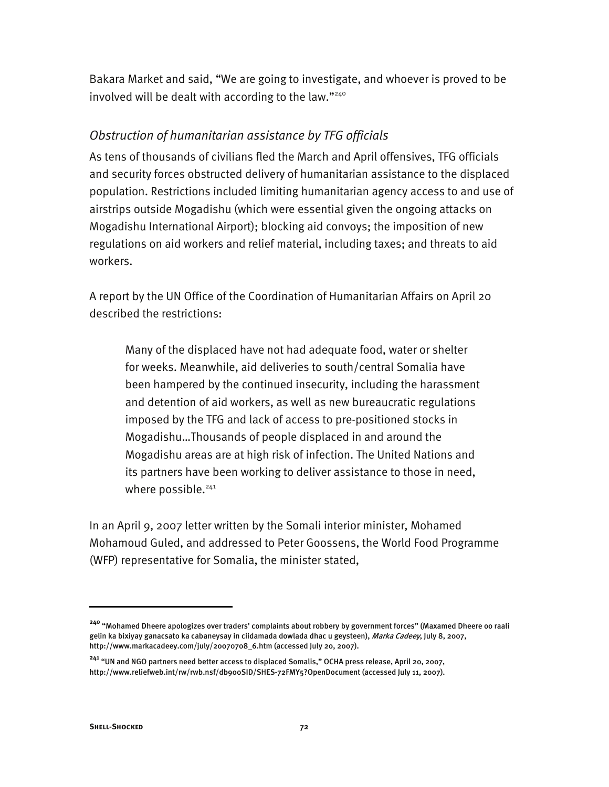Bakara Market and said, "We are going to investigate, and whoever is proved to be involved will be dealt with according to the law."240

### *Obstruction of humanitarian assistance by TFG officials*

As tens of thousands of civilians fled the March and April offensives, TFG officials and security forces obstructed delivery of humanitarian assistance to the displaced population. Restrictions included limiting humanitarian agency access to and use of airstrips outside Mogadishu (which were essential given the ongoing attacks on Mogadishu International Airport); blocking aid convoys; the imposition of new regulations on aid workers and relief material, including taxes; and threats to aid workers.

A report by the UN Office of the Coordination of Humanitarian Affairs on April 20 described the restrictions:

Many of the displaced have not had adequate food, water or shelter for weeks. Meanwhile, aid deliveries to south/central Somalia have been hampered by the continued insecurity, including the harassment and detention of aid workers, as well as new bureaucratic regulations imposed by the TFG and lack of access to pre-positioned stocks in Mogadishu…Thousands of people displaced in and around the Mogadishu areas are at high risk of infection. The United Nations and its partners have been working to deliver assistance to those in need, where possible.<sup>241</sup>

In an April 9, 2007 letter written by the Somali interior minister, Mohamed Mohamoud Guled, and addressed to Peter Goossens, the World Food Programme (WFP) representative for Somalia, the minister stated,

**<sup>240</sup>** "Mohamed Dheere apologizes over traders' complaints about robbery by government forces" (Maxamed Dheere oo raali gelin ka bixiyay ganacsato ka cabaneysay in ciidamada dowlada dhac u geysteen), *Marka Cadeey*, July 8, 2007, http://www.markacadeey.com/july/20070708\_6.htm (accessed July 20, 2007).

**<sup>241</sup>** "UN and NGO partners need better access to displaced Somalis," OCHA press release, April 20, 2007, http://www.reliefweb.int/rw/rwb.nsf/db900SID/SHES-72FMY5?OpenDocument (accessed July 11, 2007).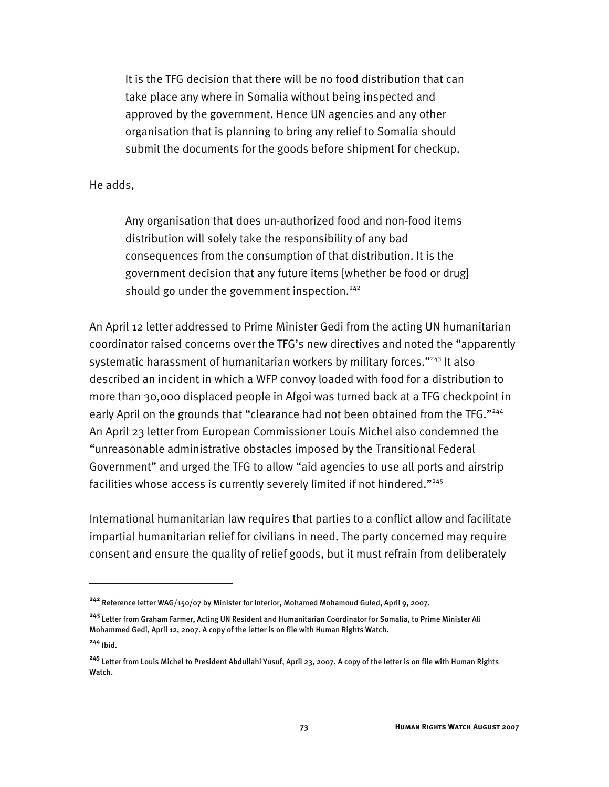It is the TFG decision that there will be no food distribution that can take place any where in Somalia without being inspected and approved by the government. Hence UN agencies and any other organisation that is planning to bring any relief to Somalia should submit the documents for the goods before shipment for checkup.

#### He adds,

-

Any organisation that does un-authorized food and non-food items distribution will solely take the responsibility of any bad consequences from the consumption of that distribution. It is the government decision that any future items [whether be food or drug] should go under the government inspection.<sup>242</sup>

An April 12 letter addressed to Prime Minister Gedi from the acting UN humanitarian coordinator raised concerns over the TFG's new directives and noted the "apparently systematic harassment of humanitarian workers by military forces."<sup>243</sup> It also described an incident in which a WFP convoy loaded with food for a distribution to more than 30,000 displaced people in Afgoi was turned back at a TFG checkpoint in early April on the grounds that "clearance had not been obtained from the TFG."<sup>244</sup> An April 23 letter from European Commissioner Louis Michel also condemned the "unreasonable administrative obstacles imposed by the Transitional Federal Government" and urged the TFG to allow "aid agencies to use all ports and airstrip facilities whose access is currently severely limited if not hindered."<sup>245</sup>

International humanitarian law requires that parties to a conflict allow and facilitate impartial humanitarian relief for civilians in need. The party concerned may require consent and ensure the quality of relief goods, but it must refrain from deliberately

**<sup>242</sup>** Reference letter WAG/150/07 by Minister for Interior, Mohamed Mohamoud Guled, April 9, 2007.

**<sup>243</sup>** Letter from Graham Farmer, Acting UN Resident and Humanitarian Coordinator for Somalia, to Prime Minister Ali Mohammed Gedi, April 12, 2007. A copy of the letter is on file with Human Rights Watch. **<sup>244</sup>** Ibid.

**<sup>245</sup>** Letter from Louis Michel to President Abdullahi Yusuf, April 23, 2007. A copy of the letter is on file with Human Rights Watch.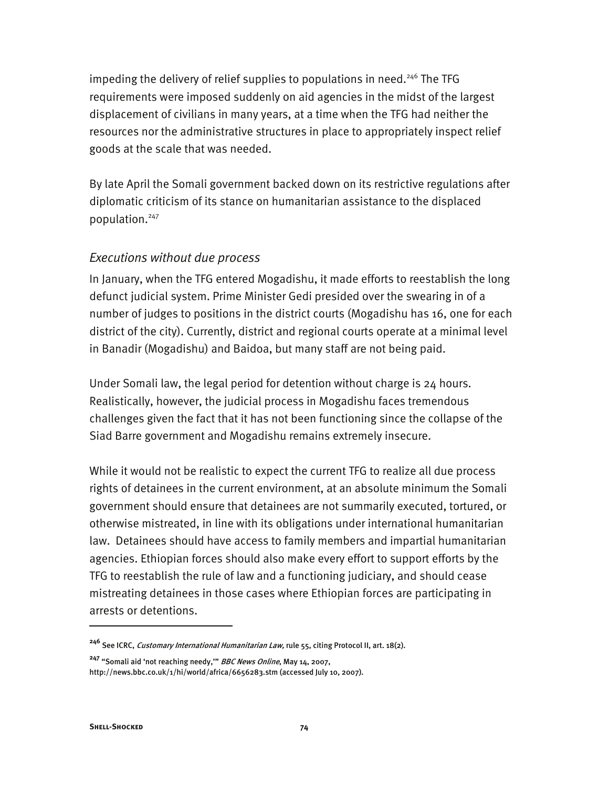impeding the delivery of relief supplies to populations in need.<sup>246</sup> The TFG requirements were imposed suddenly on aid agencies in the midst of the largest displacement of civilians in many years, at a time when the TFG had neither the resources nor the administrative structures in place to appropriately inspect relief goods at the scale that was needed.

By late April the Somali government backed down on its restrictive regulations after diplomatic criticism of its stance on humanitarian assistance to the displaced population.<sup>247</sup>

#### *Executions without due process*

In January, when the TFG entered Mogadishu, it made efforts to reestablish the long defunct judicial system. Prime Minister Gedi presided over the swearing in of a number of judges to positions in the district courts (Mogadishu has 16, one for each district of the city). Currently, district and regional courts operate at a minimal level in Banadir (Mogadishu) and Baidoa, but many staff are not being paid.

Under Somali law, the legal period for detention without charge is 24 hours. Realistically, however, the judicial process in Mogadishu faces tremendous challenges given the fact that it has not been functioning since the collapse of the Siad Barre government and Mogadishu remains extremely insecure.

While it would not be realistic to expect the current TFG to realize all due process rights of detainees in the current environment, at an absolute minimum the Somali government should ensure that detainees are not summarily executed, tortured, or otherwise mistreated, in line with its obligations under international humanitarian law. Detainees should have access to family members and impartial humanitarian agencies. Ethiopian forces should also make every effort to support efforts by the TFG to reestablish the rule of law and a functioning judiciary, and should cease mistreating detainees in those cases where Ethiopian forces are participating in arrests or detentions.

**<sup>246</sup>** See ICRC, Customary International Humanitarian Law, rule 55, citing Protocol II, art. 18(2).

**<sup>247</sup>** "Somali aid 'not reaching needy,'" BBC News Online, May 14, 2007,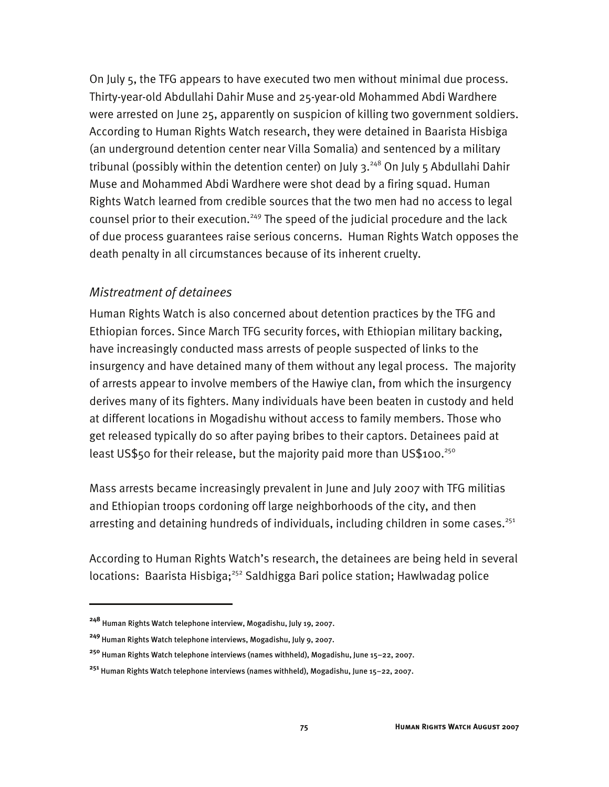On July 5, the TFG appears to have executed two men without minimal due process. Thirty-year-old Abdullahi Dahir Muse and 25-year-old Mohammed Abdi Wardhere were arrested on June 25, apparently on suspicion of killing two government soldiers. According to Human Rights Watch research, they were detained in Baarista Hisbiga (an underground detention center near Villa Somalia) and sentenced by a military tribunal (possibly within the detention center) on July 3.<sup>248</sup> On July 5 Abdullahi Dahir Muse and Mohammed Abdi Wardhere were shot dead by a firing squad. Human Rights Watch learned from credible sources that the two men had no access to legal counsel prior to their execution.<sup>249</sup> The speed of the judicial procedure and the lack of due process guarantees raise serious concerns. Human Rights Watch opposes the death penalty in all circumstances because of its inherent cruelty.

#### *Mistreatment of detainees*

Human Rights Watch is also concerned about detention practices by the TFG and Ethiopian forces. Since March TFG security forces, with Ethiopian military backing, have increasingly conducted mass arrests of people suspected of links to the insurgency and have detained many of them without any legal process. The majority of arrests appear to involve members of the Hawiye clan, from which the insurgency derives many of its fighters. Many individuals have been beaten in custody and held at different locations in Mogadishu without access to family members. Those who get released typically do so after paying bribes to their captors. Detainees paid at least US\$50 for their release, but the majority paid more than US\$100.<sup>250</sup>

Mass arrests became increasingly prevalent in June and July 2007 with TFG militias and Ethiopian troops cordoning off large neighborhoods of the city, and then arresting and detaining hundreds of individuals, including children in some cases.<sup>251</sup>

According to Human Rights Watch's research, the detainees are being held in several locations: Baarista Hisbiga;<sup>252</sup> Saldhigga Bari police station; Hawlwadag police

**<sup>248</sup>** Human Rights Watch telephone interview, Mogadishu, July 19, 2007.

<sup>&</sup>lt;sup>249</sup> Human Rights Watch telephone interviews, Mogadishu, July 9, 2007.

**<sup>250</sup>** Human Rights Watch telephone interviews (names withheld), Mogadishu, June 15–22, 2007.

**<sup>251</sup>** Human Rights Watch telephone interviews (names withheld), Mogadishu, June 15–22, 2007.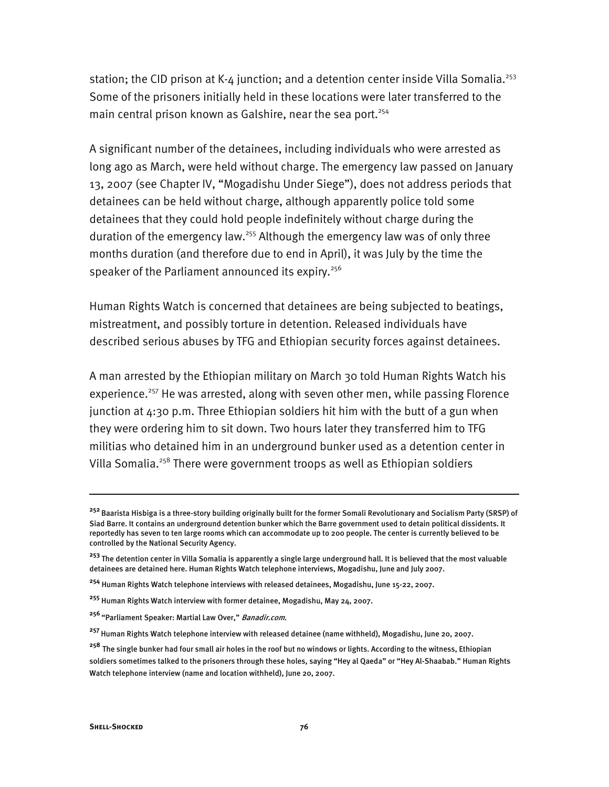station; the CID prison at K-4 junction; and a detention center inside Villa Somalia.<sup>253</sup> Some of the prisoners initially held in these locations were later transferred to the main central prison known as Galshire, near the sea port.<sup>254</sup>

A significant number of the detainees, including individuals who were arrested as long ago as March, were held without charge. The emergency law passed on January 13, 2007 (see Chapter IV, "Mogadishu Under Siege"), does not address periods that detainees can be held without charge, although apparently police told some detainees that they could hold people indefinitely without charge during the duration of the emergency law.<sup>255</sup> Although the emergency law was of only three months duration (and therefore due to end in April), it was July by the time the speaker of the Parliament announced its expiry.<sup>256</sup>

Human Rights Watch is concerned that detainees are being subjected to beatings, mistreatment, and possibly torture in detention. Released individuals have described serious abuses by TFG and Ethiopian security forces against detainees.

A man arrested by the Ethiopian military on March 30 told Human Rights Watch his experience.<sup>257</sup> He was arrested, along with seven other men, while passing Florence junction at  $4:30$  p.m. Three Ethiopian soldiers hit him with the butt of a gun when they were ordering him to sit down. Two hours later they transferred him to TFG militias who detained him in an underground bunker used as a detention center in Villa Somalia.<sup>258</sup> There were government troops as well as Ethiopian soldiers

**<sup>252</sup>**Baarista Hisbiga is a three-story building originally built for the former Somali Revolutionary and Socialism Party (SRSP) of Siad Barre. It contains an underground detention bunker which the Barre government used to detain political dissidents. It reportedly has seven to ten large rooms which can accommodate up to 200 people. The center is currently believed to be controlled by the National Security Agency.

**<sup>253</sup>** The detention center in Villa Somalia is apparently a single large underground hall. It is believed that the most valuable detainees are detained here. Human Rights Watch telephone interviews, Mogadishu, June and July 2007.

**<sup>254</sup>** Human Rights Watch telephone interviews with released detainees, Mogadishu, June 15-22, 2007.

**<sup>255</sup>** Human Rights Watch interview with former detainee, Mogadishu, May 24, 2007.

**<sup>256</sup>**"Parliament Speaker: Martial Law Over," Banadir.com.

**<sup>257</sup>**Human Rights Watch telephone interview with released detainee (name withheld), Mogadishu, June 20, 2007.

**<sup>258</sup>** The single bunker had four small air holes in the roof but no windows or lights. According to the witness, Ethiopian soldiers sometimes talked to the prisoners through these holes, saying "Hey al Qaeda" or "Hey Al-Shaabab." Human Rights Watch telephone interview (name and location withheld), June 20, 2007.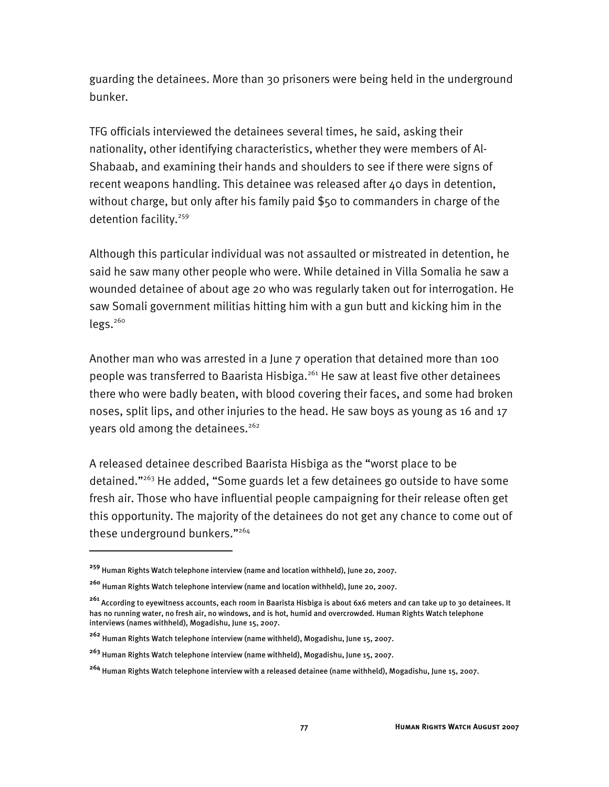guarding the detainees. More than 30 prisoners were being held in the underground bunker.

TFG officials interviewed the detainees several times, he said, asking their nationality, other identifying characteristics, whether they were members of Al-Shabaab, and examining their hands and shoulders to see if there were signs of recent weapons handling. This detainee was released after 40 days in detention, without charge, but only after his family paid \$50 to commanders in charge of the detention facility.<sup>259</sup>

Although this particular individual was not assaulted or mistreated in detention, he said he saw many other people who were. While detained in Villa Somalia he saw a wounded detainee of about age 20 who was regularly taken out for interrogation. He saw Somali government militias hitting him with a gun butt and kicking him in the  $legs.<sup>260</sup>$ 

Another man who was arrested in a June 7 operation that detained more than 100 people was transferred to Baarista Hisbiga.<sup>261</sup> He saw at least five other detainees there who were badly beaten, with blood covering their faces, and some had broken noses, split lips, and other injuries to the head. He saw boys as young as 16 and 17 years old among the detainees.<sup>262</sup>

A released detainee described Baarista Hisbiga as the "worst place to be detained."263 He added, "Some guards let a few detainees go outside to have some fresh air. Those who have influential people campaigning for their release often get this opportunity. The majority of the detainees do not get any chance to come out of these underground bunkers."<sup>264</sup>

**<sup>259</sup>** Human Rights Watch telephone interview (name and location withheld), June 20, 2007.

**<sup>260</sup>** Human Rights Watch telephone interview (name and location withheld), June 20, 2007.

**<sup>261</sup>** According to eyewitness accounts, each room in Baarista Hisbiga is about 6x6 meters and can take up to 30 detainees. It has no running water, no fresh air, no windows, and is hot, humid and overcrowded. Human Rights Watch telephone interviews (names withheld), Mogadishu, June 15, 2007.

**<sup>262</sup>** Human Rights Watch telephone interview (name withheld), Mogadishu, June 15, 2007.

**<sup>263</sup>** Human Rights Watch telephone interview (name withheld), Mogadishu, June 15, 2007.

**<sup>264</sup>** Human Rights Watch telephone interview with a released detainee (name withheld), Mogadishu, June 15, 2007.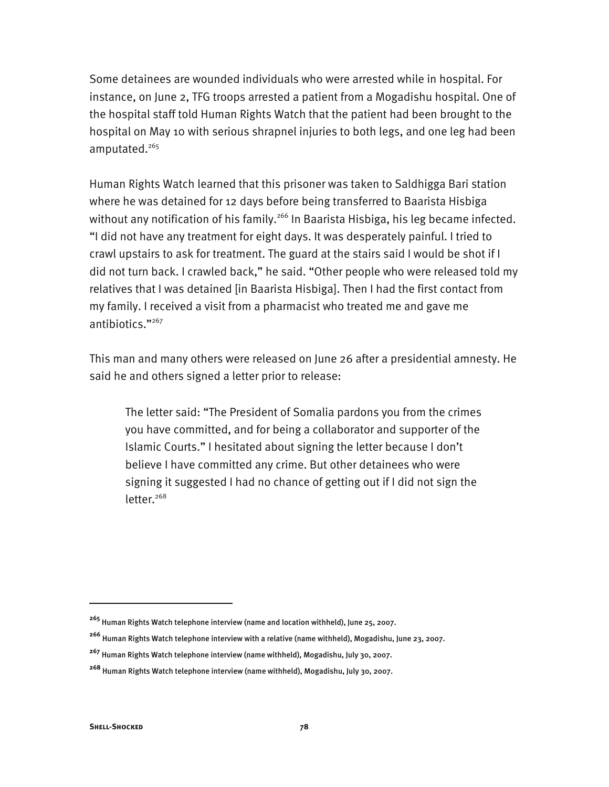Some detainees are wounded individuals who were arrested while in hospital. For instance, on June 2, TFG troops arrested a patient from a Mogadishu hospital. One of the hospital staff told Human Rights Watch that the patient had been brought to the hospital on May 10 with serious shrapnel injuries to both legs, and one leg had been amputated.<sup>265</sup>

Human Rights Watch learned that this prisoner was taken to Saldhigga Bari station where he was detained for 12 days before being transferred to Baarista Hisbiga without any notification of his family.<sup>266</sup> In Baarista Hisbiga, his leg became infected. "I did not have any treatment for eight days. It was desperately painful. I tried to crawl upstairs to ask for treatment. The guard at the stairs said I would be shot if I did not turn back. I crawled back," he said. "Other people who were released told my relatives that I was detained [in Baarista Hisbiga]. Then I had the first contact from my family. I received a visit from a pharmacist who treated me and gave me antibiotics."267

This man and many others were released on June 26 after a presidential amnesty. He said he and others signed a letter prior to release:

The letter said: "The President of Somalia pardons you from the crimes you have committed, and for being a collaborator and supporter of the Islamic Courts." I hesitated about signing the letter because I don't believe I have committed any crime. But other detainees who were signing it suggested I had no chance of getting out if I did not sign the  $letter.<sup>268</sup>$ 

j

**<sup>265</sup>** Human Rights Watch telephone interview (name and location withheld), June 25, 2007.

**<sup>266</sup>** Human Rights Watch telephone interview with a relative (name withheld), Mogadishu, June 23, 2007.

**<sup>267</sup>** Human Rights Watch telephone interview (name withheld), Mogadishu, July 30, 2007.

**<sup>268</sup>** Human Rights Watch telephone interview (name withheld), Mogadishu, July 30, 2007.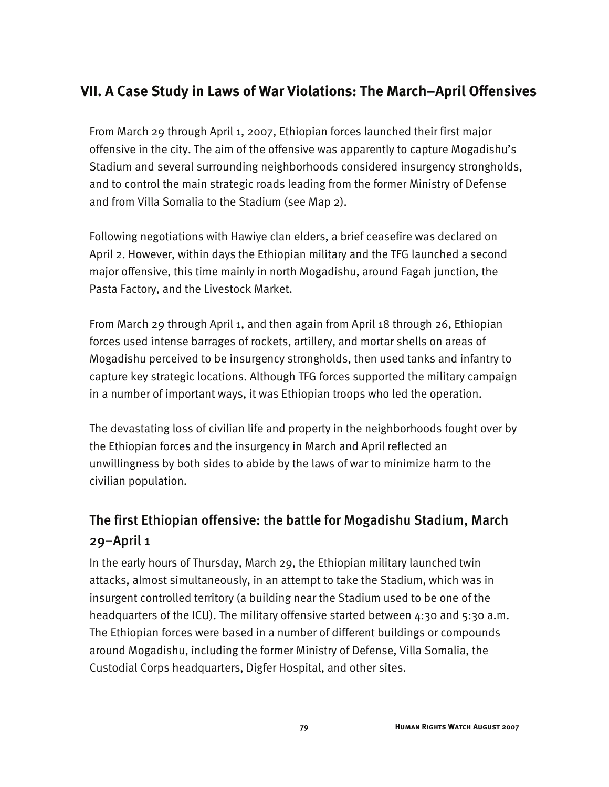## **VII. A Case Study in Laws of War Violations: The March–April Offensives**

From March 29 through April 1, 2007, Ethiopian forces launched their first major offensive in the city. The aim of the offensive was apparently to capture Mogadishu's Stadium and several surrounding neighborhoods considered insurgency strongholds, and to control the main strategic roads leading from the former Ministry of Defense and from Villa Somalia to the Stadium (see Map 2).

Following negotiations with Hawiye clan elders, a brief ceasefire was declared on April 2. However, within days the Ethiopian military and the TFG launched a second major offensive, this time mainly in north Mogadishu, around Fagah junction, the Pasta Factory, and the Livestock Market.

From March 29 through April 1, and then again from April 18 through 26, Ethiopian forces used intense barrages of rockets, artillery, and mortar shells on areas of Mogadishu perceived to be insurgency strongholds, then used tanks and infantry to capture key strategic locations. Although TFG forces supported the military campaign in a number of important ways, it was Ethiopian troops who led the operation.

The devastating loss of civilian life and property in the neighborhoods fought over by the Ethiopian forces and the insurgency in March and April reflected an unwillingness by both sides to abide by the laws of war to minimize harm to the civilian population.

# The first Ethiopian offensive: the battle for Mogadishu Stadium, March 29–April 1

In the early hours of Thursday, March 29, the Ethiopian military launched twin attacks, almost simultaneously, in an attempt to take the Stadium, which was in insurgent controlled territory (a building near the Stadium used to be one of the headquarters of the ICU). The military offensive started between  $4:30$  and  $5:30$  a.m. The Ethiopian forces were based in a number of different buildings or compounds around Mogadishu, including the former Ministry of Defense, Villa Somalia, the Custodial Corps headquarters, Digfer Hospital, and other sites.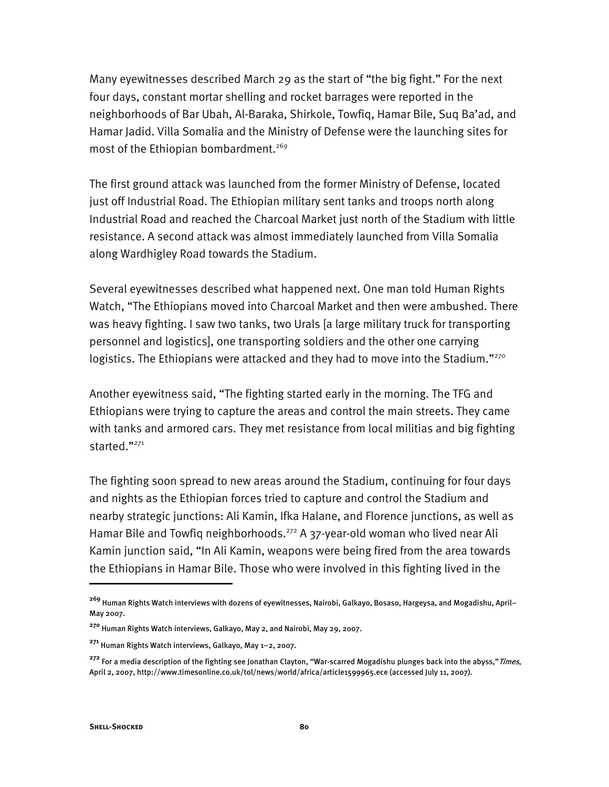Many eyewitnesses described March 29 as the start of "the big fight." For the next four days, constant mortar shelling and rocket barrages were reported in the neighborhoods of Bar Ubah, Al-Baraka, Shirkole, Towfiq, Hamar Bile, Suq Ba'ad, and Hamar Jadid. Villa Somalia and the Ministry of Defense were the launching sites for most of the Ethiopian bombardment.<sup>269</sup>

The first ground attack was launched from the former Ministry of Defense, located just off Industrial Road. The Ethiopian military sent tanks and troops north along Industrial Road and reached the Charcoal Market just north of the Stadium with little resistance. A second attack was almost immediately launched from Villa Somalia along Wardhigley Road towards the Stadium.

Several eyewitnesses described what happened next. One man told Human Rights Watch, "The Ethiopians moved into Charcoal Market and then were ambushed. There was heavy fighting. I saw two tanks, two Urals [a large military truck for transporting personnel and logistics], one transporting soldiers and the other one carrying logistics. The Ethiopians were attacked and they had to move into the Stadium."<sup>270</sup>

Another eyewitness said, "The fighting started early in the morning. The TFG and Ethiopians were trying to capture the areas and control the main streets. They came with tanks and armored cars. They met resistance from local militias and big fighting started."<sup>271</sup>

The fighting soon spread to new areas around the Stadium, continuing for four days and nights as the Ethiopian forces tried to capture and control the Stadium and nearby strategic junctions: Ali Kamin, Ifka Halane, and Florence junctions, as well as Hamar Bile and Towfiq neighborhoods.<sup>272</sup> A 37-year-old woman who lived near Ali Kamin junction said, "In Ali Kamin, weapons were being fired from the area towards the Ethiopians in Hamar Bile. Those who were involved in this fighting lived in the

j

**<sup>269</sup>** Human Rights Watch interviews with dozens of eyewitnesses, Nairobi, Galkayo, Bosaso, Hargeysa, and Mogadishu, April– May 2007.

**<sup>270</sup>** Human Rights Watch interviews, Galkayo, May 2, and Nairobi, May 29, 2007.

**<sup>271</sup>** Human Rights Watch interviews, Galkayo, May 1–2, 2007.

**<sup>272</sup>** For a media description of the fighting see Jonathan Clayton, "War-scarred Mogadishu plunges back into the abyss,"Times, April 2, 2007, http://www.timesonline.co.uk/tol/news/world/africa/article1599965.ece (accessed July 11, 2007).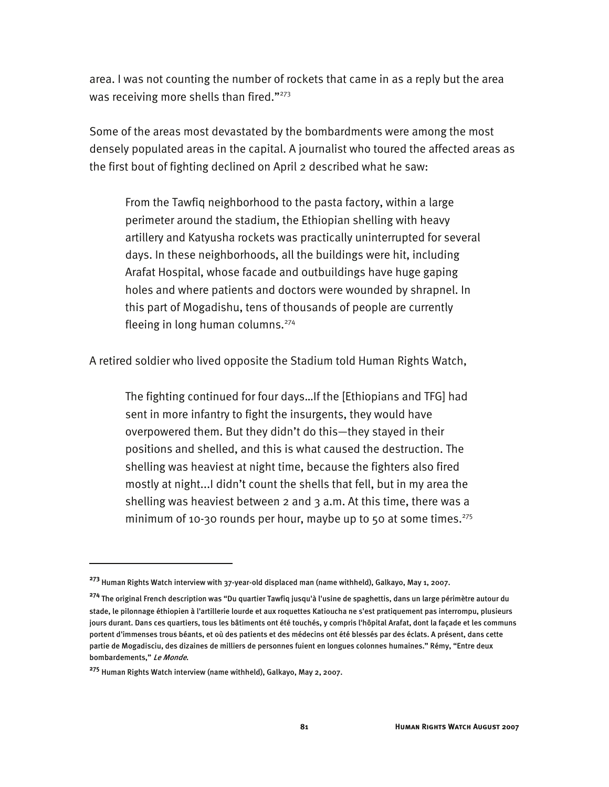area. I was not counting the number of rockets that came in as a reply but the area was receiving more shells than fired."<sup>273</sup>

Some of the areas most devastated by the bombardments were among the most densely populated areas in the capital. A journalist who toured the affected areas as the first bout of fighting declined on April 2 described what he saw:

From the Tawfiq neighborhood to the pasta factory, within a large perimeter around the stadium, the Ethiopian shelling with heavy artillery and Katyusha rockets was practically uninterrupted for several days. In these neighborhoods, all the buildings were hit, including Arafat Hospital, whose facade and outbuildings have huge gaping holes and where patients and doctors were wounded by shrapnel. In this part of Mogadishu, tens of thousands of people are currently fleeing in long human columns.<sup>274</sup>

A retired soldier who lived opposite the Stadium told Human Rights Watch,

The fighting continued for four days…If the [Ethiopians and TFG] had sent in more infantry to fight the insurgents, they would have overpowered them. But they didn't do this—they stayed in their positions and shelled, and this is what caused the destruction. The shelling was heaviest at night time, because the fighters also fired mostly at night...I didn't count the shells that fell, but in my area the shelling was heaviest between 2 and 3 a.m. At this time, there was a minimum of 10-30 rounds per hour, maybe up to 50 at some times.<sup>275</sup>

**<sup>273</sup>** Human Rights Watch interview with 37-year-old displaced man (name withheld), Galkayo, May 1, 2007.

**<sup>274</sup>** The original French description was "Du quartier Tawfiq jusqu'à l'usine de spaghettis, dans un large périmètre autour du stade, le pilonnage éthiopien à l'artillerie lourde et aux roquettes Katioucha ne s'est pratiquement pas interrompu, plusieurs jours durant. Dans ces quartiers, tous les bâtiments ont été touchés, y compris l'hôpital Arafat, dont la façade et les communs portent d'immenses trous béants, et où des patients et des médecins ont été blessés par des éclats. A présent, dans cette partie de Mogadisciu, des dizaines de milliers de personnes fuient en longues colonnes humaines." Rémy, "Entre deux bombardements," Le Monde.

**<sup>275</sup>** Human Rights Watch interview (name withheld), Galkayo, May 2, 2007.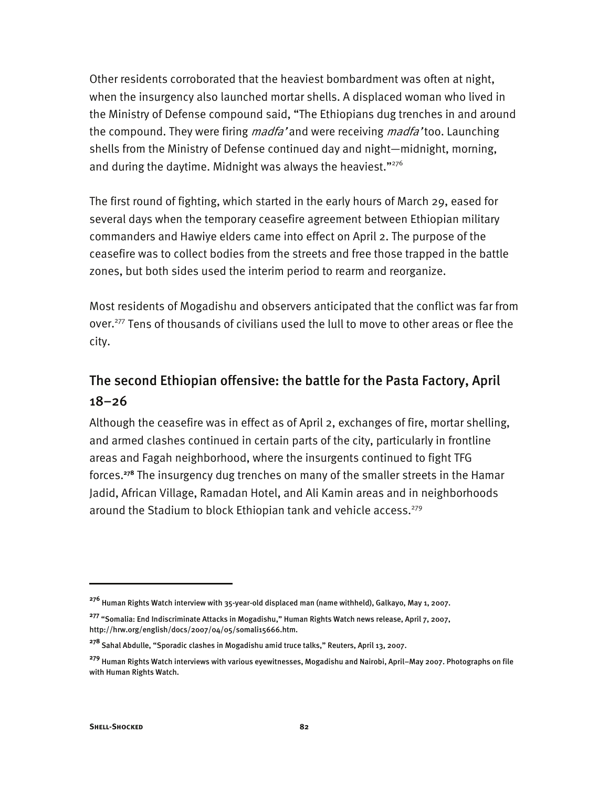Other residents corroborated that the heaviest bombardment was often at night, when the insurgency also launched mortar shells. A displaced woman who lived in the Ministry of Defense compound said, "The Ethiopians dug trenches in and around the compound. They were firing *madfa'* and were receiving *madfa'* too. Launching shells from the Ministry of Defense continued day and night—midnight, morning, and during the daytime. Midnight was always the heaviest."<sup>276</sup>

The first round of fighting, which started in the early hours of March 29, eased for several days when the temporary ceasefire agreement between Ethiopian military commanders and Hawiye elders came into effect on April 2. The purpose of the ceasefire was to collect bodies from the streets and free those trapped in the battle zones, but both sides used the interim period to rearm and reorganize.

Most residents of Mogadishu and observers anticipated that the conflict was far from over.<sup>277</sup> Tens of thousands of civilians used the lull to move to other areas or flee the city.

# The second Ethiopian offensive: the battle for the Pasta Factory, April 18–26

Although the ceasefire was in effect as of April 2, exchanges of fire, mortar shelling, and armed clashes continued in certain parts of the city, particularly in frontline areas and Fagah neighborhood, where the insurgents continued to fight TFG forces.**<sup>278</sup>** The insurgency dug trenches on many of the smaller streets in the Hamar Jadid, African Village, Ramadan Hotel, and Ali Kamin areas and in neighborhoods around the Stadium to block Ethiopian tank and vehicle access.<sup>279</sup>

j

**<sup>276</sup>** Human Rights Watch interview with 35-year-old displaced man (name withheld), Galkayo, May 1, 2007.

**<sup>277</sup>** "Somalia: End Indiscriminate Attacks in Mogadishu," Human Rights Watch news release, April 7, 2007, http://hrw.org/english/docs/2007/04/05/somali15666.htm.

**<sup>278</sup>**Sahal Abdulle, "Sporadic clashes in Mogadishu amid truce talks," Reuters, April 13, 2007.

**<sup>279</sup>** Human Rights Watch interviews with various eyewitnesses, Mogadishu and Nairobi, April–May 2007. Photographs on file with Human Rights Watch.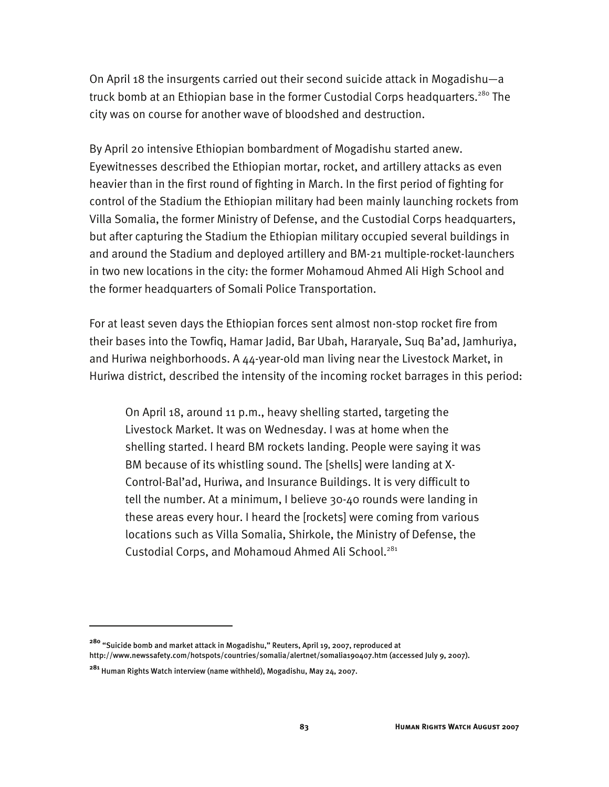On April 18 the insurgents carried out their second suicide attack in Mogadishu—a truck bomb at an Ethiopian base in the former Custodial Corps headquarters.<sup>280</sup> The city was on course for another wave of bloodshed and destruction.

By April 20 intensive Ethiopian bombardment of Mogadishu started anew. Eyewitnesses described the Ethiopian mortar, rocket, and artillery attacks as even heavier than in the first round of fighting in March. In the first period of fighting for control of the Stadium the Ethiopian military had been mainly launching rockets from Villa Somalia, the former Ministry of Defense, and the Custodial Corps headquarters, but after capturing the Stadium the Ethiopian military occupied several buildings in and around the Stadium and deployed artillery and BM-21 multiple-rocket-launchers in two new locations in the city: the former Mohamoud Ahmed Ali High School and the former headquarters of Somali Police Transportation.

For at least seven days the Ethiopian forces sent almost non-stop rocket fire from their bases into the Towfiq, Hamar Jadid, Bar Ubah, Hararyale, Suq Ba'ad, Jamhuriya, and Huriwa neighborhoods. A  $44$ -year-old man living near the Livestock Market, in Huriwa district, described the intensity of the incoming rocket barrages in this period:

On April 18, around 11 p.m., heavy shelling started, targeting the Livestock Market. It was on Wednesday. I was at home when the shelling started. I heard BM rockets landing. People were saying it was BM because of its whistling sound. The [shells] were landing at X-Control-Bal'ad, Huriwa, and Insurance Buildings. It is very difficult to tell the number. At a minimum, I believe 30-40 rounds were landing in these areas every hour. I heard the [rockets] were coming from various locations such as Villa Somalia, Shirkole, the Ministry of Defense, the Custodial Corps, and Mohamoud Ahmed Ali School.<sup>281</sup>

**<sup>280</sup>** "Suicide bomb and market attack in Mogadishu," Reuters, April 19, 2007, reproduced at http://www.newssafety.com/hotspots/countries/somalia/alertnet/somalia190407.htm (accessed July 9, 2007).

**<sup>281</sup>** Human Rights Watch interview (name withheld), Mogadishu, May 24, 2007.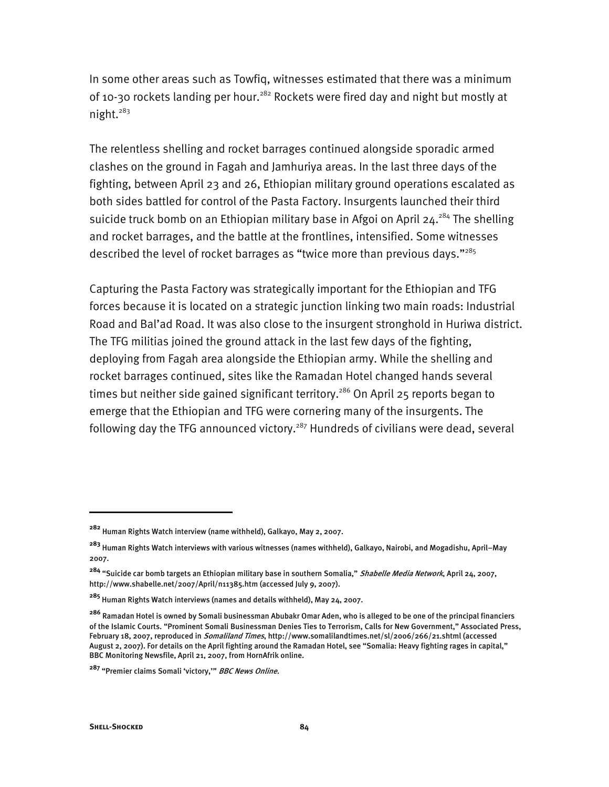In some other areas such as Towfiq, witnesses estimated that there was a minimum of 10-30 rockets landing per hour.<sup>282</sup> Rockets were fired day and night but mostly at night.<sup>283</sup>

The relentless shelling and rocket barrages continued alongside sporadic armed clashes on the ground in Fagah and Jamhuriya areas. In the last three days of the fighting, between April 23 and 26, Ethiopian military ground operations escalated as both sides battled for control of the Pasta Factory. Insurgents launched their third suicide truck bomb on an Ethiopian military base in Afgoi on April  $24.284$  The shelling and rocket barrages, and the battle at the frontlines, intensified. Some witnesses described the level of rocket barrages as "twice more than previous days."285

Capturing the Pasta Factory was strategically important for the Ethiopian and TFG forces because it is located on a strategic junction linking two main roads: Industrial Road and Bal'ad Road. It was also close to the insurgent stronghold in Huriwa district. The TFG militias joined the ground attack in the last few days of the fighting, deploying from Fagah area alongside the Ethiopian army. While the shelling and rocket barrages continued, sites like the Ramadan Hotel changed hands several times but neither side gained significant territory.<sup>286</sup> On April 25 reports began to emerge that the Ethiopian and TFG were cornering many of the insurgents. The following day the TFG announced victory.<sup>287</sup> Hundreds of civilians were dead, several

-

**<sup>282</sup>** Human Rights Watch interview (name withheld), Galkayo, May 2, 2007.

**<sup>283</sup>** Human Rights Watch interviews with various witnesses (names withheld), Galkayo, Nairobi, and Mogadishu, April–May 2007.

**<sup>284</sup>** "Suicide car bomb targets an Ethiopian military base in southern Somalia," Shabelle Media Network, April 24, 2007, http://www.shabelle.net/2007/April/n11385.htm (accessed July 9, 2007).

**<sup>285</sup>** Human Rights Watch interviews (names and details withheld), May 24, 2007.

**<sup>286</sup>** Ramadan Hotel is owned by Somali businessman Abubakr Omar Aden, who is alleged to be one of the principal financiers of the Islamic Courts. "Prominent Somali Businessman Denies Ties to Terrorism, Calls for New Government," Associated Press, February 18, 2007, reproduced in *Somaliland Times*, http://www.somalilandtimes.net/sl/2006/266/21.shtml (accessed August 2, 2007). For details on the April fighting around the Ramadan Hotel, see "Somalia: Heavy fighting rages in capital," BBC Monitoring Newsfile, April 21, 2007, from HornAfrik online.

**<sup>287</sup>** "Premier claims Somali 'victory,'" BBC News Online.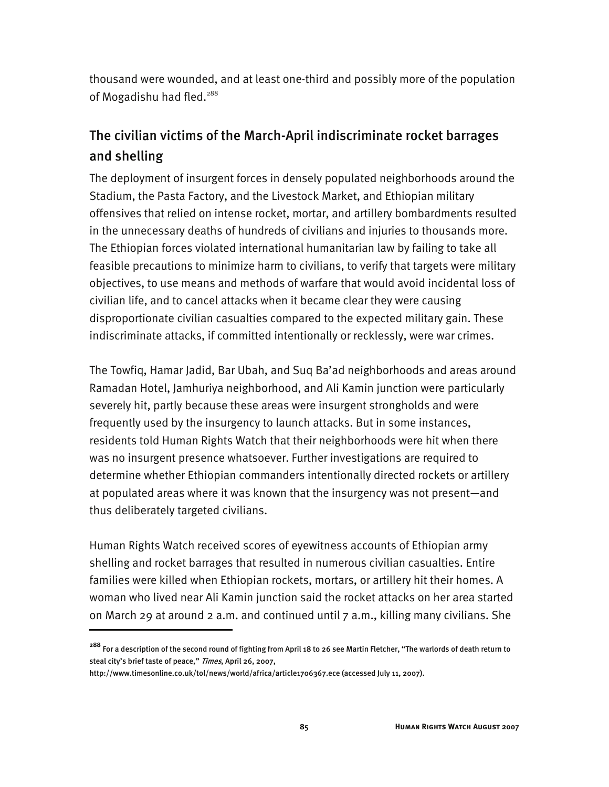thousand were wounded, and at least one-third and possibly more of the population of Mogadishu had fled.<sup>288</sup>

# The civilian victims of the March-April indiscriminate rocket barrages and shelling

The deployment of insurgent forces in densely populated neighborhoods around the Stadium, the Pasta Factory, and the Livestock Market, and Ethiopian military offensives that relied on intense rocket, mortar, and artillery bombardments resulted in the unnecessary deaths of hundreds of civilians and injuries to thousands more. The Ethiopian forces violated international humanitarian law by failing to take all feasible precautions to minimize harm to civilians, to verify that targets were military objectives, to use means and methods of warfare that would avoid incidental loss of civilian life, and to cancel attacks when it became clear they were causing disproportionate civilian casualties compared to the expected military gain. These indiscriminate attacks, if committed intentionally or recklessly, were war crimes.

The Towfiq, Hamar Jadid, Bar Ubah, and Suq Ba'ad neighborhoods and areas around Ramadan Hotel, Jamhuriya neighborhood, and Ali Kamin junction were particularly severely hit, partly because these areas were insurgent strongholds and were frequently used by the insurgency to launch attacks. But in some instances, residents told Human Rights Watch that their neighborhoods were hit when there was no insurgent presence whatsoever. Further investigations are required to determine whether Ethiopian commanders intentionally directed rockets or artillery at populated areas where it was known that the insurgency was not present—and thus deliberately targeted civilians.

Human Rights Watch received scores of eyewitness accounts of Ethiopian army shelling and rocket barrages that resulted in numerous civilian casualties. Entire families were killed when Ethiopian rockets, mortars, or artillery hit their homes. A woman who lived near Ali Kamin junction said the rocket attacks on her area started on March 29 at around 2 a.m. and continued until 7 a.m., killing many civilians. She

**<sup>288</sup>** For a description of the second round of fighting from April 18 to 26 see Martin Fletcher, "The warlords of death return to steal city's brief taste of peace," Times, April 26, 2007,

http://www.timesonline.co.uk/tol/news/world/africa/article1706367.ece (accessed July 11, 2007).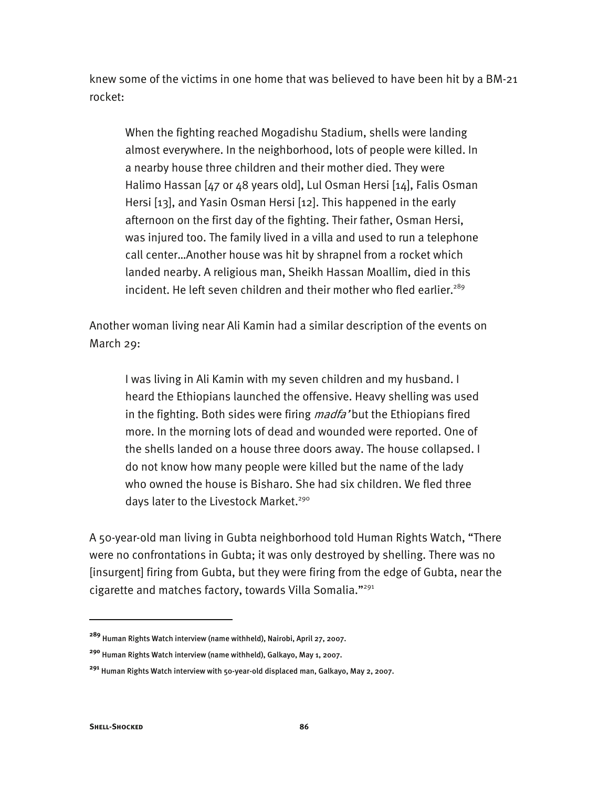knew some of the victims in one home that was believed to have been hit by a BM-21 rocket:

When the fighting reached Mogadishu Stadium, shells were landing almost everywhere. In the neighborhood, lots of people were killed. In a nearby house three children and their mother died. They were Halimo Hassan [47 or 48 years old], Lul Osman Hersi [14], Falis Osman Hersi [13], and Yasin Osman Hersi [12]. This happened in the early afternoon on the first day of the fighting. Their father, Osman Hersi, was injured too. The family lived in a villa and used to run a telephone call center…Another house was hit by shrapnel from a rocket which landed nearby. A religious man, Sheikh Hassan Moallim, died in this incident. He left seven children and their mother who fled earlier.<sup>289</sup>

Another woman living near Ali Kamin had a similar description of the events on March 29:

I was living in Ali Kamin with my seven children and my husband. I heard the Ethiopians launched the offensive. Heavy shelling was used in the fighting. Both sides were firing *madfa* 'but the Ethiopians fired more. In the morning lots of dead and wounded were reported. One of the shells landed on a house three doors away. The house collapsed. I do not know how many people were killed but the name of the lady who owned the house is Bisharo. She had six children. We fled three days later to the Livestock Market.<sup>290</sup>

A 50-year-old man living in Gubta neighborhood told Human Rights Watch, "There were no confrontations in Gubta; it was only destroyed by shelling. There was no [insurgent] firing from Gubta, but they were firing from the edge of Gubta, near the cigarette and matches factory, towards Villa Somalia."291

**<sup>289</sup>** Human Rights Watch interview (name withheld), Nairobi, April 27, 2007.

**<sup>290</sup>** Human Rights Watch interview (name withheld), Galkayo, May 1, 2007.

**<sup>291</sup>** Human Rights Watch interview with 50-year-old displaced man, Galkayo, May 2, 2007.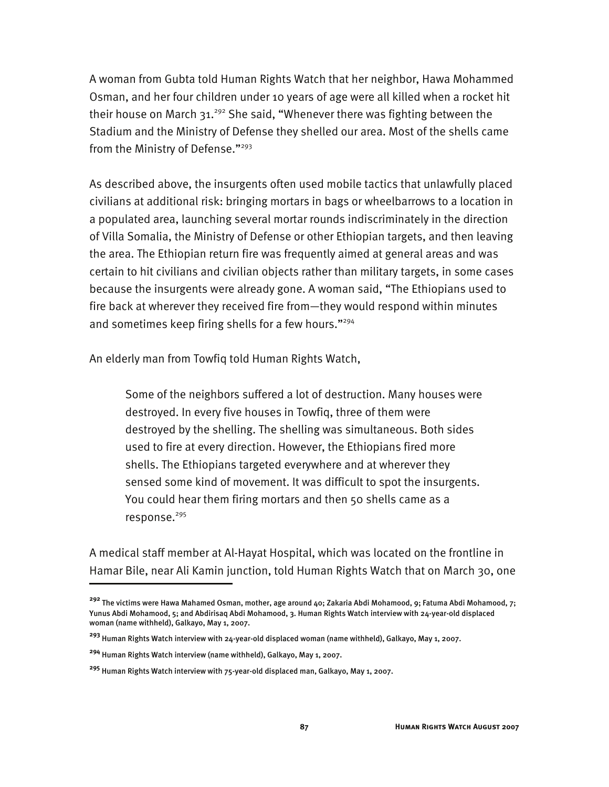A woman from Gubta told Human Rights Watch that her neighbor, Hawa Mohammed Osman, and her four children under 10 years of age were all killed when a rocket hit their house on March  $31.^{292}$  She said, "Whenever there was fighting between the Stadium and the Ministry of Defense they shelled our area. Most of the shells came from the Ministry of Defense."<sup>293</sup>

As described above, the insurgents often used mobile tactics that unlawfully placed civilians at additional risk: bringing mortars in bags or wheelbarrows to a location in a populated area, launching several mortar rounds indiscriminately in the direction of Villa Somalia, the Ministry of Defense or other Ethiopian targets, and then leaving the area. The Ethiopian return fire was frequently aimed at general areas and was certain to hit civilians and civilian objects rather than military targets, in some cases because the insurgents were already gone. A woman said, "The Ethiopians used to fire back at wherever they received fire from—they would respond within minutes and sometimes keep firing shells for a few hours."<sup>294</sup>

An elderly man from Towfiq told Human Rights Watch,

Some of the neighbors suffered a lot of destruction. Many houses were destroyed. In every five houses in Towfiq, three of them were destroyed by the shelling. The shelling was simultaneous. Both sides used to fire at every direction. However, the Ethiopians fired more shells. The Ethiopians targeted everywhere and at wherever they sensed some kind of movement. It was difficult to spot the insurgents. You could hear them firing mortars and then 50 shells came as a response.<sup>295</sup>

A medical staff member at Al-Hayat Hospital, which was located on the frontline in Hamar Bile, near Ali Kamin junction, told Human Rights Watch that on March 30, one

j

**<sup>292</sup>** The victims were Hawa Mahamed Osman, mother, age around 40; Zakaria Abdi Mohamood, 9; Fatuma Abdi Mohamood, 7; Yunus Abdi Mohamood, 5; and Abdirisaq Abdi Mohamood, 3. Human Rights Watch interview with 24-year-old displaced woman (name withheld), Galkayo, May 1, 2007.

**<sup>293</sup>** Human Rights Watch interview with 24-year-old displaced woman (name withheld), Galkayo, May 1, 2007.

**<sup>294</sup>** Human Rights Watch interview (name withheld), Galkayo, May 1, 2007.

**<sup>295</sup>** Human Rights Watch interview with 75-year-old displaced man, Galkayo, May 1, 2007.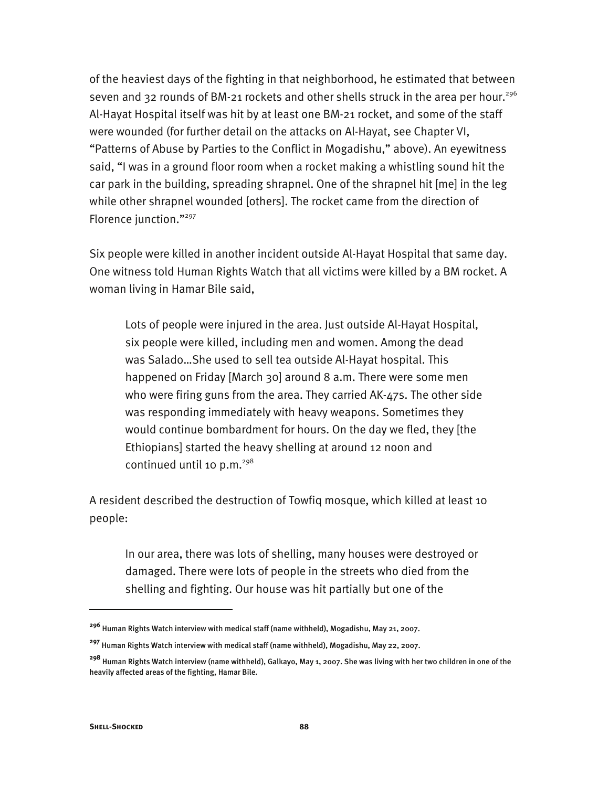of the heaviest days of the fighting in that neighborhood, he estimated that between seven and 32 rounds of BM-21 rockets and other shells struck in the area per hour.<sup>296</sup> Al-Hayat Hospital itself was hit by at least one BM-21 rocket, and some of the staff were wounded (for further detail on the attacks on Al-Hayat, see Chapter VI, "Patterns of Abuse by Parties to the Conflict in Mogadishu," above). An eyewitness said, "I was in a ground floor room when a rocket making a whistling sound hit the car park in the building, spreading shrapnel. One of the shrapnel hit [me] in the leg while other shrapnel wounded [others]. The rocket came from the direction of Florence junction."297

Six people were killed in another incident outside Al-Hayat Hospital that same day. One witness told Human Rights Watch that all victims were killed by a BM rocket. A woman living in Hamar Bile said,

Lots of people were injured in the area. Just outside Al-Hayat Hospital, six people were killed, including men and women. Among the dead was Salado…She used to sell tea outside Al-Hayat hospital. This happened on Friday [March 30] around 8 a.m. There were some men who were firing guns from the area. They carried AK-47s. The other side was responding immediately with heavy weapons. Sometimes they would continue bombardment for hours. On the day we fled, they [the Ethiopians] started the heavy shelling at around 12 noon and continued until 10 p.m. $^{298}$ 

A resident described the destruction of Towfiq mosque, which killed at least 10 people:

In our area, there was lots of shelling, many houses were destroyed or damaged. There were lots of people in the streets who died from the shelling and fighting. Our house was hit partially but one of the

**<sup>296</sup>** Human Rights Watch interview with medical staff (name withheld), Mogadishu, May 21, 2007.

**<sup>297</sup>** Human Rights Watch interview with medical staff (name withheld), Mogadishu, May 22, 2007.

**<sup>298</sup>** Human Rights Watch interview (name withheld), Galkayo, May 1, 2007. She was living with her two children in one of the heavily affected areas of the fighting, Hamar Bile.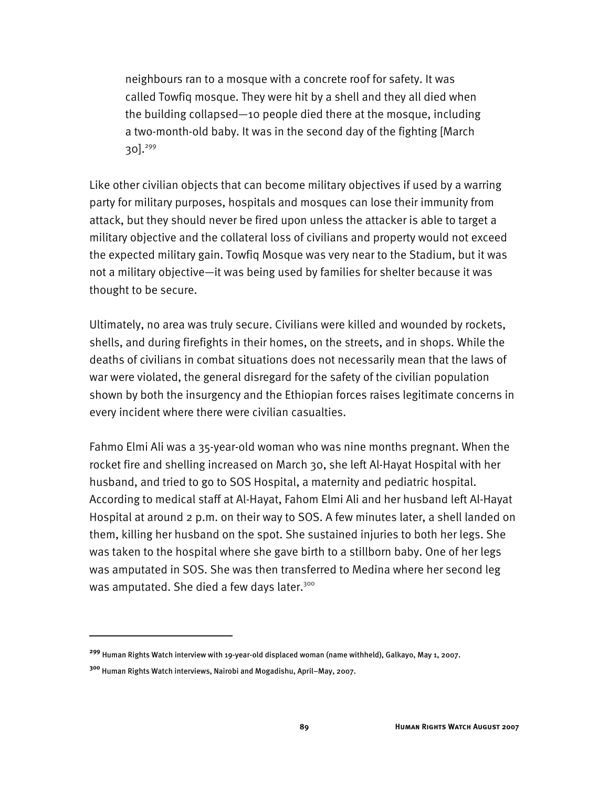neighbours ran to a mosque with a concrete roof for safety. It was called Towfiq mosque. They were hit by a shell and they all died when the building collapsed—10 people died there at the mosque, including a two-month-old baby. It was in the second day of the fighting [March 30 $\frac{1^{299}}{2}$ 

Like other civilian objects that can become military objectives if used by a warring party for military purposes, hospitals and mosques can lose their immunity from attack, but they should never be fired upon unless the attacker is able to target a military objective and the collateral loss of civilians and property would not exceed the expected military gain. Towfiq Mosque was very near to the Stadium, but it was not a military objective—it was being used by families for shelter because it was thought to be secure.

Ultimately, no area was truly secure. Civilians were killed and wounded by rockets, shells, and during firefights in their homes, on the streets, and in shops. While the deaths of civilians in combat situations does not necessarily mean that the laws of war were violated, the general disregard for the safety of the civilian population shown by both the insurgency and the Ethiopian forces raises legitimate concerns in every incident where there were civilian casualties.

Fahmo Elmi Ali was a 35-year-old woman who was nine months pregnant. When the rocket fire and shelling increased on March 30, she left Al-Hayat Hospital with her husband, and tried to go to SOS Hospital, a maternity and pediatric hospital. According to medical staff at Al-Hayat, Fahom Elmi Ali and her husband left Al-Hayat Hospital at around 2 p.m. on their way to SOS. A few minutes later, a shell landed on them, killing her husband on the spot. She sustained injuries to both her legs. She was taken to the hospital where she gave birth to a stillborn baby. One of her legs was amputated in SOS. She was then transferred to Medina where her second leg was amputated. She died a few days later.<sup>300</sup>

**<sup>299</sup>** Human Rights Watch interview with 19-year-old displaced woman (name withheld), Galkayo, May 1, 2007.

**<sup>300</sup>** Human Rights Watch interviews, Nairobi and Mogadishu, April–May, 2007.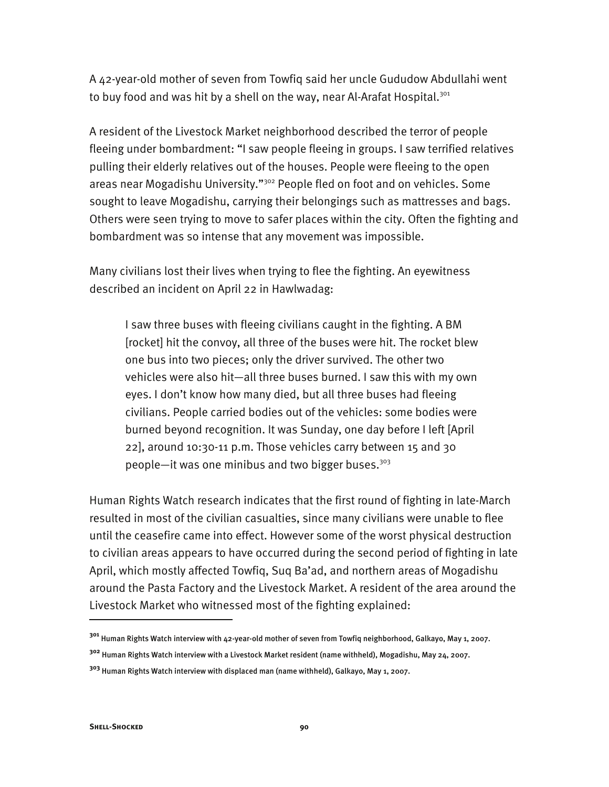A 42-year-old mother of seven from Towfiq said her uncle Gududow Abdullahi went to buy food and was hit by a shell on the way, near Al-Arafat Hospital.<sup>301</sup>

A resident of the Livestock Market neighborhood described the terror of people fleeing under bombardment: "I saw people fleeing in groups. I saw terrified relatives pulling their elderly relatives out of the houses. People were fleeing to the open areas near Mogadishu University."<sup>302</sup> People fled on foot and on vehicles. Some sought to leave Mogadishu, carrying their belongings such as mattresses and bags. Others were seen trying to move to safer places within the city. Often the fighting and bombardment was so intense that any movement was impossible.

Many civilians lost their lives when trying to flee the fighting. An eyewitness described an incident on April 22 in Hawlwadag:

I saw three buses with fleeing civilians caught in the fighting. A BM [rocket] hit the convoy, all three of the buses were hit. The rocket blew one bus into two pieces; only the driver survived. The other two vehicles were also hit—all three buses burned. I saw this with my own eyes. I don't know how many died, but all three buses had fleeing civilians. People carried bodies out of the vehicles: some bodies were burned beyond recognition. It was Sunday, one day before I left [April 22], around 10:30-11 p.m. Those vehicles carry between 15 and 30 people—it was one minibus and two bigger buses.<sup>303</sup>

Human Rights Watch research indicates that the first round of fighting in late-March resulted in most of the civilian casualties, since many civilians were unable to flee until the ceasefire came into effect. However some of the worst physical destruction to civilian areas appears to have occurred during the second period of fighting in late April, which mostly affected Towfiq, Suq Ba'ad, and northern areas of Mogadishu around the Pasta Factory and the Livestock Market. A resident of the area around the Livestock Market who witnessed most of the fighting explained:

-

**<sup>301</sup>** Human Rights Watch interview with 42-year-old mother of seven from Towfiq neighborhood, Galkayo, May 1, 2007.

**<sup>302</sup>** Human Rights Watch interview with a Livestock Market resident (name withheld), Mogadishu, May 24, 2007.

**<sup>303</sup>** Human Rights Watch interview with displaced man (name withheld), Galkayo, May 1, 2007.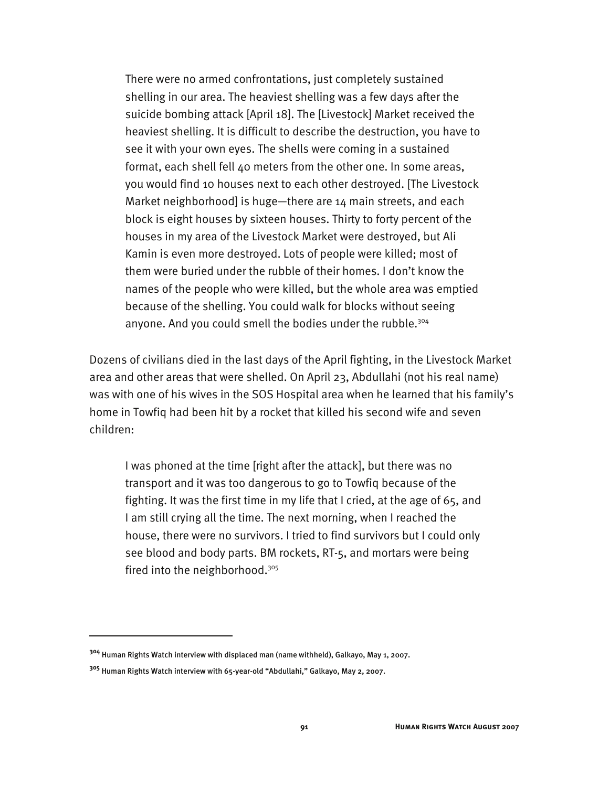There were no armed confrontations, just completely sustained shelling in our area. The heaviest shelling was a few days after the suicide bombing attack [April 18]. The [Livestock] Market received the heaviest shelling. It is difficult to describe the destruction, you have to see it with your own eyes. The shells were coming in a sustained format, each shell fell 40 meters from the other one. In some areas, you would find 10 houses next to each other destroyed. [The Livestock Market neighborhood] is huge—there are 14 main streets, and each block is eight houses by sixteen houses. Thirty to forty percent of the houses in my area of the Livestock Market were destroyed, but Ali Kamin is even more destroyed. Lots of people were killed; most of them were buried under the rubble of their homes. I don't know the names of the people who were killed, but the whole area was emptied because of the shelling. You could walk for blocks without seeing anyone. And you could smell the bodies under the rubble.<sup>304</sup>

Dozens of civilians died in the last days of the April fighting, in the Livestock Market area and other areas that were shelled. On April 23, Abdullahi (not his real name) was with one of his wives in the SOS Hospital area when he learned that his family's home in Towfiq had been hit by a rocket that killed his second wife and seven children:

I was phoned at the time [right after the attack], but there was no transport and it was too dangerous to go to Towfiq because of the fighting. It was the first time in my life that I cried, at the age of 65, and I am still crying all the time. The next morning, when I reached the house, there were no survivors. I tried to find survivors but I could only see blood and body parts. BM rockets, RT-5, and mortars were being fired into the neighborhood.305

**<sup>304</sup>** Human Rights Watch interview with displaced man (name withheld), Galkayo, May 1, 2007.

**<sup>305</sup>** Human Rights Watch interview with 65-year-old "Abdullahi," Galkayo, May 2, 2007.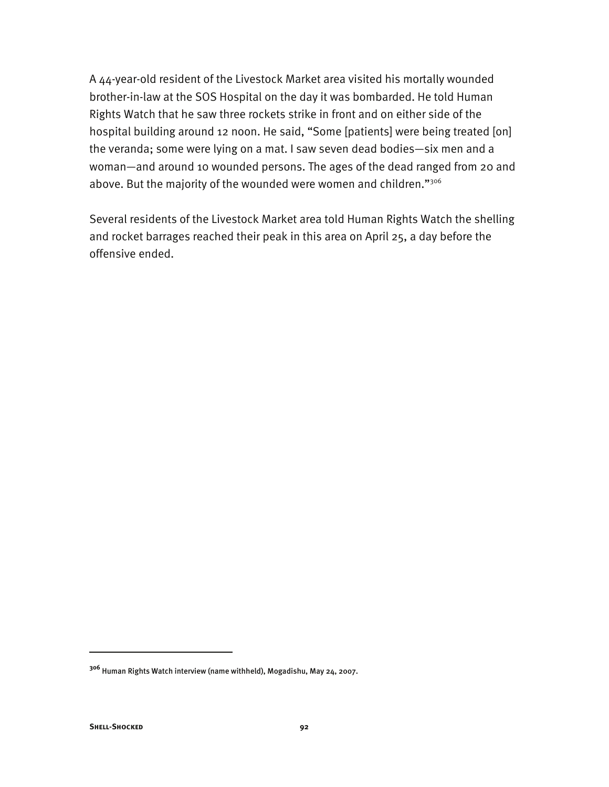A 44-year-old resident of the Livestock Market area visited his mortally wounded brother-in-law at the SOS Hospital on the day it was bombarded. He told Human Rights Watch that he saw three rockets strike in front and on either side of the hospital building around 12 noon. He said, "Some [patients] were being treated [on] the veranda; some were lying on a mat. I saw seven dead bodies—six men and a woman—and around 10 wounded persons. The ages of the dead ranged from 20 and above. But the majority of the wounded were women and children."306

Several residents of the Livestock Market area told Human Rights Watch the shelling and rocket barrages reached their peak in this area on April 25, a day before the offensive ended.

**<sup>306</sup>** Human Rights Watch interview (name withheld), Mogadishu, May 24, 2007.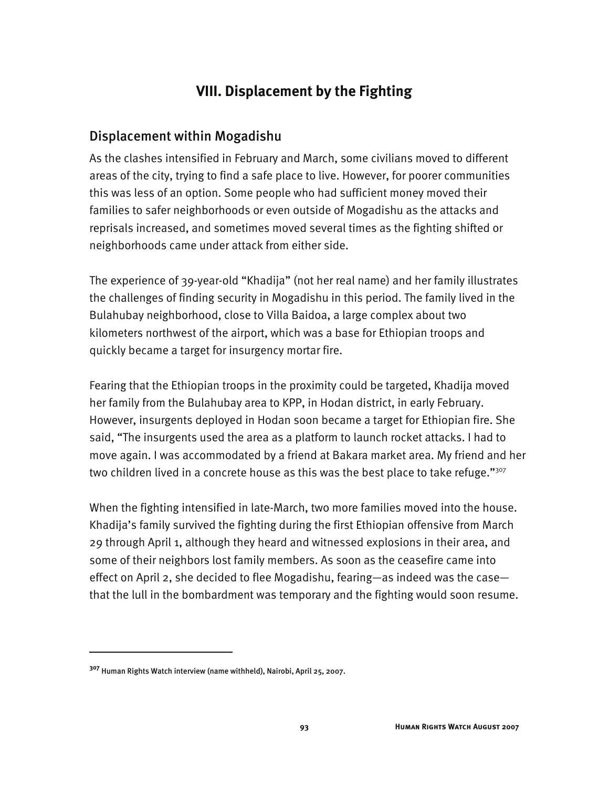# **VIII. Displacement by the Fighting**

### Displacement within Mogadishu

As the clashes intensified in February and March, some civilians moved to different areas of the city, trying to find a safe place to live. However, for poorer communities this was less of an option. Some people who had sufficient money moved their families to safer neighborhoods or even outside of Mogadishu as the attacks and reprisals increased, and sometimes moved several times as the fighting shifted or neighborhoods came under attack from either side.

The experience of 39-year-old "Khadija" (not her real name) and her family illustrates the challenges of finding security in Mogadishu in this period. The family lived in the Bulahubay neighborhood, close to Villa Baidoa, a large complex about two kilometers northwest of the airport, which was a base for Ethiopian troops and quickly became a target for insurgency mortar fire.

Fearing that the Ethiopian troops in the proximity could be targeted, Khadija moved her family from the Bulahubay area to KPP, in Hodan district, in early February. However, insurgents deployed in Hodan soon became a target for Ethiopian fire. She said, "The insurgents used the area as a platform to launch rocket attacks. I had to move again. I was accommodated by a friend at Bakara market area. My friend and her two children lived in a concrete house as this was the best place to take refuge."<sup>307</sup>

When the fighting intensified in late-March, two more families moved into the house. Khadija's family survived the fighting during the first Ethiopian offensive from March 29 through April 1, although they heard and witnessed explosions in their area, and some of their neighbors lost family members. As soon as the ceasefire came into effect on April 2, she decided to flee Mogadishu, fearing—as indeed was the case that the lull in the bombardment was temporary and the fighting would soon resume.

-

**<sup>307</sup>** Human Rights Watch interview (name withheld), Nairobi, April 25, 2007.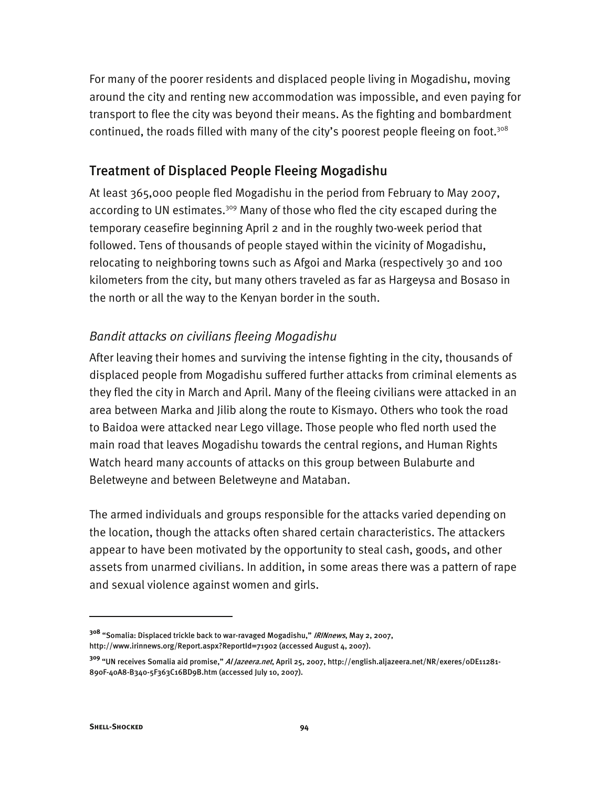For many of the poorer residents and displaced people living in Mogadishu, moving around the city and renting new accommodation was impossible, and even paying for transport to flee the city was beyond their means. As the fighting and bombardment continued, the roads filled with many of the city's poorest people fleeing on foot.<sup>308</sup>

### Treatment of Displaced People Fleeing Mogadishu

At least 365,000 people fled Mogadishu in the period from February to May 2007, according to UN estimates.<sup>309</sup> Many of those who fled the city escaped during the temporary ceasefire beginning April 2 and in the roughly two-week period that followed. Tens of thousands of people stayed within the vicinity of Mogadishu, relocating to neighboring towns such as Afgoi and Marka (respectively 30 and 100 kilometers from the city, but many others traveled as far as Hargeysa and Bosaso in the north or all the way to the Kenyan border in the south.

### *Bandit attacks on civilians fleeing Mogadishu*

After leaving their homes and surviving the intense fighting in the city, thousands of displaced people from Mogadishu suffered further attacks from criminal elements as they fled the city in March and April. Many of the fleeing civilians were attacked in an area between Marka and Jilib along the route to Kismayo. Others who took the road to Baidoa were attacked near Lego village. Those people who fled north used the main road that leaves Mogadishu towards the central regions, and Human Rights Watch heard many accounts of attacks on this group between Bulaburte and Beletweyne and between Beletweyne and Mataban.

The armed individuals and groups responsible for the attacks varied depending on the location, though the attacks often shared certain characteristics. The attackers appear to have been motivated by the opportunity to steal cash, goods, and other assets from unarmed civilians. In addition, in some areas there was a pattern of rape and sexual violence against women and girls.

**<sup>308</sup>** "Somalia: Displaced trickle back to war-ravaged Mogadishu," IRINnews, May 2, 2007, http://www.irinnews.org/Report.aspx?ReportId=71902 (accessed August 4, 2007).

**<sup>309</sup>** "UN receives Somalia aid promise," Al Jazeera.net, April 25, 2007, http://english.aljazeera.net/NR/exeres/0DE11281- 890F-40A8-B340-5F363C16BD9B.htm (accessed July 10, 2007).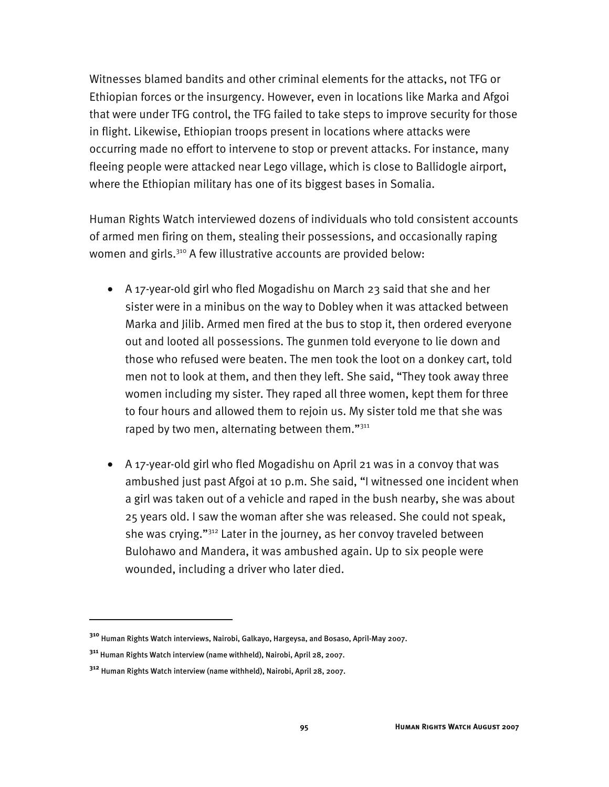Witnesses blamed bandits and other criminal elements for the attacks, not TFG or Ethiopian forces or the insurgency. However, even in locations like Marka and Afgoi that were under TFG control, the TFG failed to take steps to improve security for those in flight. Likewise, Ethiopian troops present in locations where attacks were occurring made no effort to intervene to stop or prevent attacks. For instance, many fleeing people were attacked near Lego village, which is close to Ballidogle airport, where the Ethiopian military has one of its biggest bases in Somalia.

Human Rights Watch interviewed dozens of individuals who told consistent accounts of armed men firing on them, stealing their possessions, and occasionally raping women and girls.<sup>310</sup> A few illustrative accounts are provided below:

- A 17-year-old girl who fled Mogadishu on March 23 said that she and her sister were in a minibus on the way to Dobley when it was attacked between Marka and Jilib. Armed men fired at the bus to stop it, then ordered everyone out and looted all possessions. The gunmen told everyone to lie down and those who refused were beaten. The men took the loot on a donkey cart, told men not to look at them, and then they left. She said, "They took away three women including my sister. They raped all three women, kept them for three to four hours and allowed them to rejoin us. My sister told me that she was raped by two men, alternating between them."<sup>311</sup>
- A 17-year-old girl who fled Mogadishu on April 21 was in a convoy that was ambushed just past Afgoi at 10 p.m. She said, "I witnessed one incident when a girl was taken out of a vehicle and raped in the bush nearby, she was about 25 years old. I saw the woman after she was released. She could not speak, she was crying."312 Later in the journey, as her convoy traveled between Bulohawo and Mandera, it was ambushed again. Up to six people were wounded, including a driver who later died.

**<sup>310</sup>** Human Rights Watch interviews, Nairobi, Galkayo, Hargeysa, and Bosaso, April-May 2007.

**<sup>311</sup>** Human Rights Watch interview (name withheld), Nairobi, April 28, 2007.

**<sup>312</sup>** Human Rights Watch interview (name withheld), Nairobi, April 28, 2007.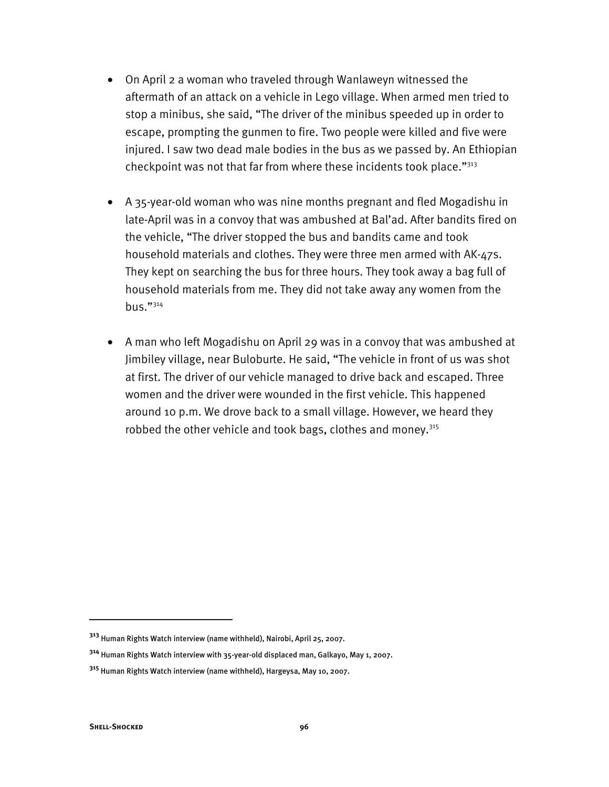- On April 2 a woman who traveled through Wanlaweyn witnessed the aftermath of an attack on a vehicle in Lego village. When armed men tried to stop a minibus, she said, "The driver of the minibus speeded up in order to escape, prompting the gunmen to fire. Two people were killed and five were injured. I saw two dead male bodies in the bus as we passed by. An Ethiopian checkpoint was not that far from where these incidents took place."<sup>313</sup>
- A 35-year-old woman who was nine months pregnant and fled Mogadishu in late-April was in a convoy that was ambushed at Bal'ad. After bandits fired on the vehicle, "The driver stopped the bus and bandits came and took household materials and clothes. They were three men armed with AK-47s. They kept on searching the bus for three hours. They took away a bag full of household materials from me. They did not take away any women from the bus."314
- A man who left Mogadishu on April 29 was in a convoy that was ambushed at Jimbiley village, near Buloburte. He said, "The vehicle in front of us was shot at first. The driver of our vehicle managed to drive back and escaped. Three women and the driver were wounded in the first vehicle. This happened around 10 p.m. We drove back to a small village. However, we heard they robbed the other vehicle and took bags, clothes and money.<sup>315</sup>

**<sup>313</sup>** Human Rights Watch interview (name withheld), Nairobi, April 25, 2007.

**<sup>314</sup>** Human Rights Watch interview with 35-year-old displaced man, Galkayo, May 1, 2007.

**<sup>315</sup>** Human Rights Watch interview (name withheld), Hargeysa, May 10, 2007.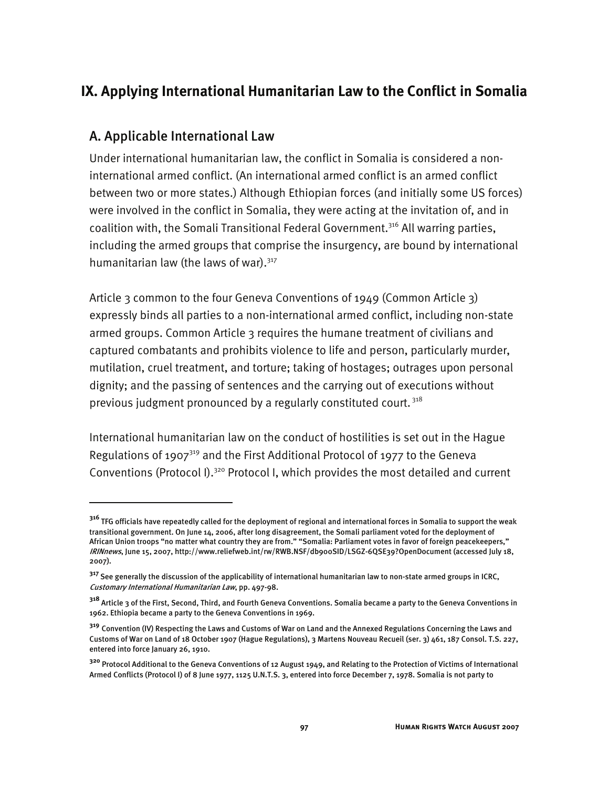### **IX. Applying International Humanitarian Law to the Conflict in Somalia**

### A. Applicable International Law

I

Under international humanitarian law, the conflict in Somalia is considered a noninternational armed conflict. (An international armed conflict is an armed conflict between two or more states.) Although Ethiopian forces (and initially some US forces) were involved in the conflict in Somalia, they were acting at the invitation of, and in coalition with, the Somali Transitional Federal Government.<sup>316</sup> All warring parties, including the armed groups that comprise the insurgency, are bound by international humanitarian law (the laws of war). $317$ 

Article 3 common to the four Geneva Conventions of 1949 (Common Article 3) expressly binds all parties to a non-international armed conflict, including non-state armed groups. Common Article 3 requires the humane treatment of civilians and captured combatants and prohibits violence to life and person, particularly murder, mutilation, cruel treatment, and torture; taking of hostages; outrages upon personal dignity; and the passing of sentences and the carrying out of executions without previous judgment pronounced by a regularly constituted court.<sup>318</sup>

International humanitarian law on the conduct of hostilities is set out in the Hague Regulations of 1907 $319$  and the First Additional Protocol of 1977 to the Geneva Conventions (Protocol I).320 Protocol I, which provides the most detailed and current

<sup>&</sup>lt;sup>316</sup> TFG officials have repeatedly called for the deployment of regional and international forces in Somalia to support the weak transitional government. On June 14, 2006, after long disagreement, the Somali parliament voted for the deployment of African Union troops "no matter what country they are from." "Somalia: Parliament votes in favor of foreign peacekeepers," IRINnews, June 15, 2007, http://www.reliefweb.int/rw/RWB.NSF/db900SID/LSGZ-6QSE39?OpenDocument (accessed July 18, 2007).

**<sup>317</sup>**See generally the discussion of the applicability of international humanitarian law to non-state armed groups in ICRC, Customary International Humanitarian Law, pp. 497-98.

**<sup>318</sup>** Article 3 of the First, Second, Third, and Fourth Geneva Conventions. Somalia became a party to the Geneva Conventions in 1962. Ethiopia became a party to the Geneva Conventions in 1969.

**<sup>319</sup>** Convention (IV) Respecting the Laws and Customs of War on Land and the Annexed Regulations Concerning the Laws and Customs of War on Land of 18 October 1907 (Hague Regulations), 3 Martens Nouveau Recueil (ser. 3) 461, 187 Consol. T.S. 227, entered into force January 26, 1910.

**<sup>320</sup>** Protocol Additional to the Geneva Conventions of 12 August 1949, and Relating to the Protection of Victims of International Armed Conflicts (Protocol I) of 8 June 1977, 1125 U.N.T.S. 3, entered into force December 7, 1978. Somalia is not party to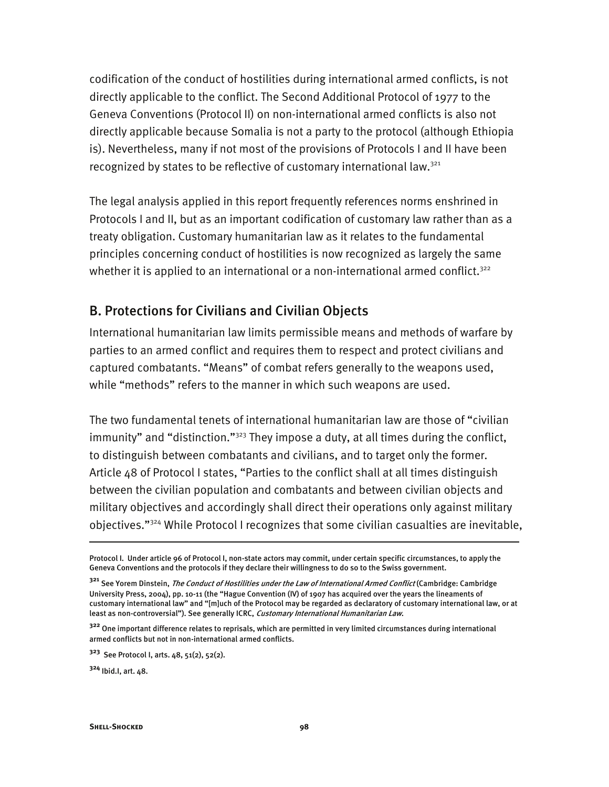codification of the conduct of hostilities during international armed conflicts, is not directly applicable to the conflict. The Second Additional Protocol of 1977 to the Geneva Conventions (Protocol II) on non-international armed conflicts is also not directly applicable because Somalia is not a party to the protocol (although Ethiopia is). Nevertheless, many if not most of the provisions of Protocols I and II have been recognized by states to be reflective of customary international law.<sup>321</sup>

The legal analysis applied in this report frequently references norms enshrined in Protocols I and II, but as an important codification of customary law rather than as a treaty obligation. Customary humanitarian law as it relates to the fundamental principles concerning conduct of hostilities is now recognized as largely the same whether it is applied to an international or a non-international armed conflict.<sup>322</sup>

### B. Protections for Civilians and Civilian Objects

International humanitarian law limits permissible means and methods of warfare by parties to an armed conflict and requires them to respect and protect civilians and captured combatants. "Means" of combat refers generally to the weapons used, while "methods" refers to the manner in which such weapons are used.

The two fundamental tenets of international humanitarian law are those of "civilian immunity" and "distinction."<sup>323</sup> They impose a duty, at all times during the conflict, to distinguish between combatants and civilians, and to target only the former. Article 48 of Protocol I states, "Parties to the conflict shall at all times distinguish between the civilian population and combatants and between civilian objects and military objectives and accordingly shall direct their operations only against military objectives."324 While Protocol I recognizes that some civilian casualties are inevitable,

Protocol I. Under article 96 of Protocol I, non-state actors may commit, under certain specific circumstances, to apply the Geneva Conventions and the protocols if they declare their willingness to do so to the Swiss government.

**<sup>321</sup>** See Yorem Dinstein, The Conduct of Hostilities under the Law of International Armed Conflict (Cambridge: Cambridge University Press, 2004), pp. 10-11 (the "Hague Convention (IV) of 1907 has acquired over the years the lineaments of customary international law" and "[m]uch of the Protocol may be regarded as declaratory of customary international law, or at least as non-controversial"). See generally ICRC, Customary International Humanitarian Law.

**<sup>322</sup>** One important difference relates to reprisals, which are permitted in very limited circumstances during international armed conflicts but not in non-international armed conflicts.

**<sup>323</sup>** See Protocol I, arts. 48, 51(2), 52(2).

**<sup>324</sup>** Ibid.I, art. 48.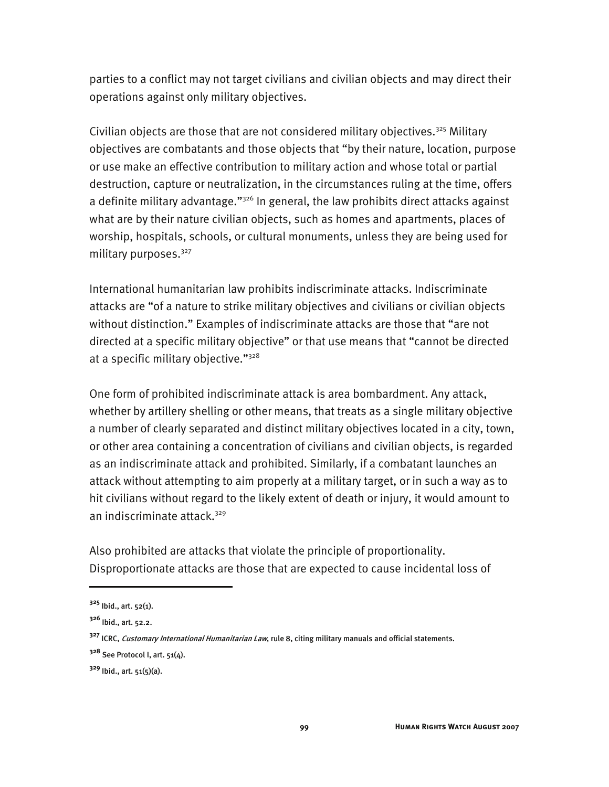parties to a conflict may not target civilians and civilian objects and may direct their operations against only military objectives.

Civilian objects are those that are not considered military objectives.<sup>325</sup> Military objectives are combatants and those objects that "by their nature, location, purpose or use make an effective contribution to military action and whose total or partial destruction, capture or neutralization, in the circumstances ruling at the time, offers a definite military advantage."<sup>326</sup> In general, the law prohibits direct attacks against what are by their nature civilian objects, such as homes and apartments, places of worship, hospitals, schools, or cultural monuments, unless they are being used for military purposes.327

International humanitarian law prohibits indiscriminate attacks. Indiscriminate attacks are "of a nature to strike military objectives and civilians or civilian objects without distinction." Examples of indiscriminate attacks are those that "are not directed at a specific military objective" or that use means that "cannot be directed at a specific military objective."328

One form of prohibited indiscriminate attack is area bombardment. Any attack, whether by artillery shelling or other means, that treats as a single military objective a number of clearly separated and distinct military objectives located in a city, town, or other area containing a concentration of civilians and civilian objects, is regarded as an indiscriminate attack and prohibited. Similarly, if a combatant launches an attack without attempting to aim properly at a military target, or in such a way as to hit civilians without regard to the likely extent of death or injury, it would amount to an indiscriminate attack.<sup>329</sup>

Also prohibited are attacks that violate the principle of proportionality. Disproportionate attacks are those that are expected to cause incidental loss of

**<sup>325</sup>** Ibid., art. 52(1).

**<sup>326</sup>** Ibid., art. 52.2.

**<sup>327</sup>** ICRC, Customary International Humanitarian Law, rule 8, citing military manuals and official statements.

**<sup>328</sup>** See Protocol I, art. 51(4).

**<sup>329</sup>** Ibid., art. 51(5)(a).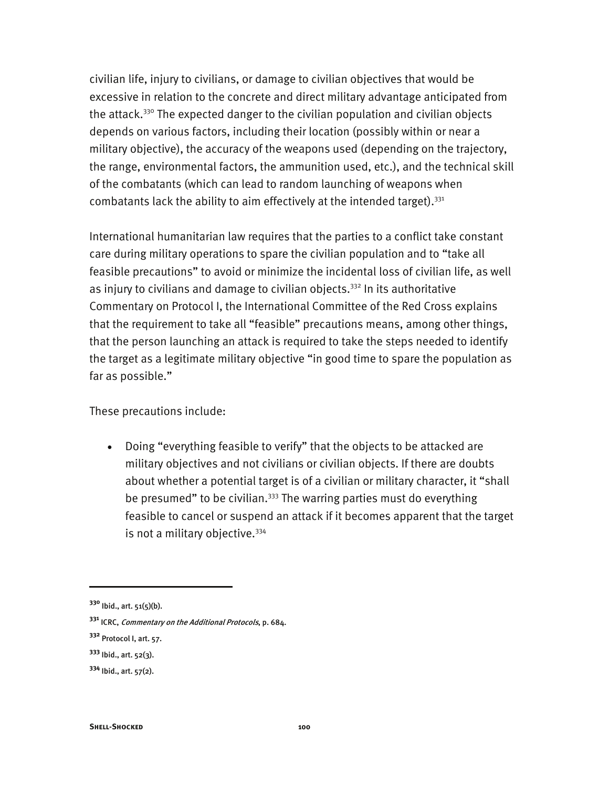civilian life, injury to civilians, or damage to civilian objectives that would be excessive in relation to the concrete and direct military advantage anticipated from the attack.<sup>330</sup> The expected danger to the civilian population and civilian objects depends on various factors, including their location (possibly within or near a military objective), the accuracy of the weapons used (depending on the trajectory, the range, environmental factors, the ammunition used, etc.), and the technical skill of the combatants (which can lead to random launching of weapons when combatants lack the ability to aim effectively at the intended target).  $331$ 

International humanitarian law requires that the parties to a conflict take constant care during military operations to spare the civilian population and to "take all feasible precautions" to avoid or minimize the incidental loss of civilian life, as well as injury to civilians and damage to civilian objects.<sup>332</sup> In its authoritative Commentary on Protocol I, the International Committee of the Red Cross explains that the requirement to take all "feasible" precautions means, among other things, that the person launching an attack is required to take the steps needed to identify the target as a legitimate military objective "in good time to spare the population as far as possible."

These precautions include:

• Doing "everything feasible to verify" that the objects to be attacked are military objectives and not civilians or civilian objects. If there are doubts about whether a potential target is of a civilian or military character, it "shall be presumed" to be civilian.<sup>333</sup> The warring parties must do everything feasible to cancel or suspend an attack if it becomes apparent that the target is not a military objective.  $334$ 

**<sup>330</sup>** Ibid., art. 51(5)(b).

**<sup>331</sup>** ICRC, Commentary on the Additional Protocols, p. 684.

**<sup>332</sup>** Protocol I, art. 57.

**<sup>333</sup>** Ibid., art. 52(3).

**<sup>334</sup>** Ibid., art. 57(2).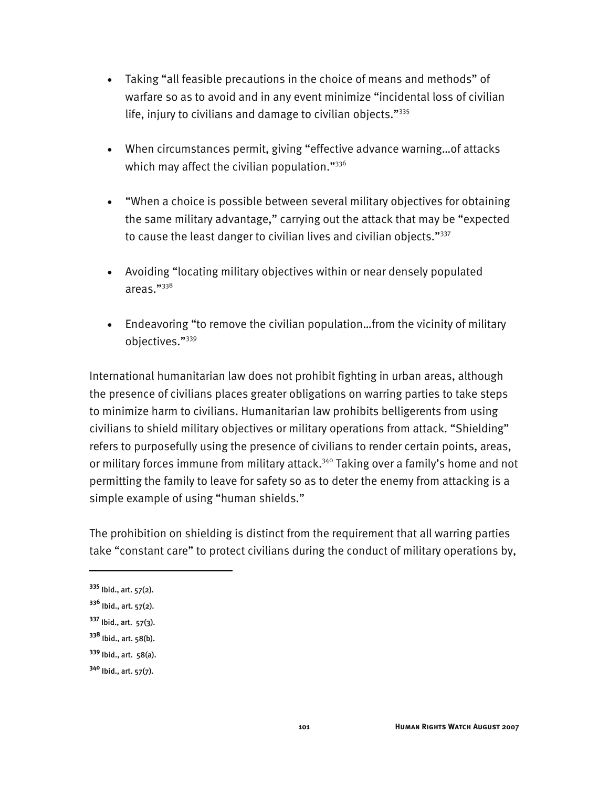- Taking "all feasible precautions in the choice of means and methods" of warfare so as to avoid and in any event minimize "incidental loss of civilian life, injury to civilians and damage to civilian objects."335
- When circumstances permit, giving "effective advance warning…of attacks which may affect the civilian population."336
- "When a choice is possible between several military objectives for obtaining the same military advantage," carrying out the attack that may be "expected to cause the least danger to civilian lives and civilian objects."337
- Avoiding "locating military objectives within or near densely populated areas."338
- Endeavoring "to remove the civilian population…from the vicinity of military objectives."339

International humanitarian law does not prohibit fighting in urban areas, although the presence of civilians places greater obligations on warring parties to take steps to minimize harm to civilians. Humanitarian law prohibits belligerents from using civilians to shield military objectives or military operations from attack. "Shielding" refers to purposefully using the presence of civilians to render certain points, areas, or military forces immune from military attack.<sup>340</sup> Taking over a family's home and not permitting the family to leave for safety so as to deter the enemy from attacking is a simple example of using "human shields."

The prohibition on shielding is distinct from the requirement that all warring parties take "constant care" to protect civilians during the conduct of military operations by,

I

**<sup>339</sup>** Ibid., art. 58(a).

**<sup>335</sup>** Ibid., art. 57(2).

**<sup>336</sup>** Ibid., art. 57(2).

**<sup>337</sup>** Ibid., art. 57(3).

**<sup>338</sup>** Ibid., art. 58(b).

**<sup>340</sup>** Ibid., art. 57(7).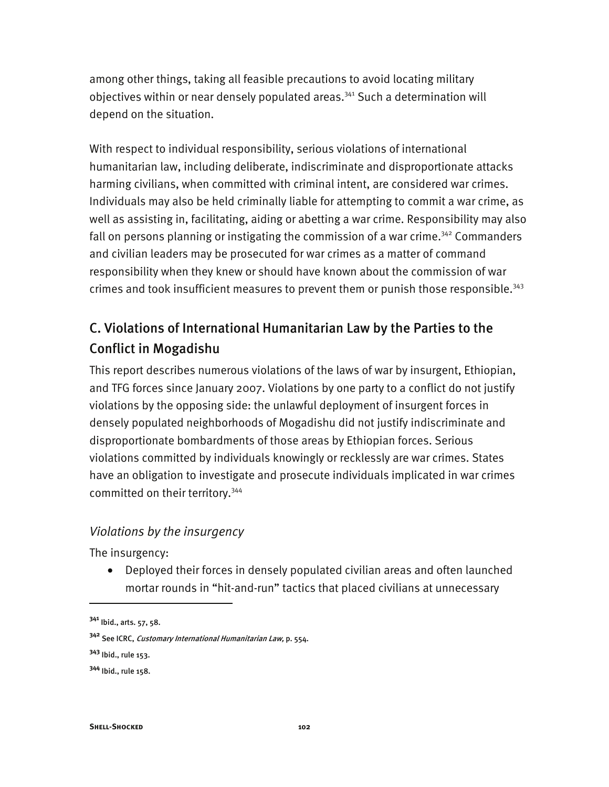among other things, taking all feasible precautions to avoid locating military objectives within or near densely populated areas.<sup>341</sup> Such a determination will depend on the situation.

With respect to individual responsibility, serious violations of international humanitarian law, including deliberate, indiscriminate and disproportionate attacks harming civilians, when committed with criminal intent, are considered war crimes. Individuals may also be held criminally liable for attempting to commit a war crime, as well as assisting in, facilitating, aiding or abetting a war crime. Responsibility may also fall on persons planning or instigating the commission of a war crime.<sup>342</sup> Commanders and civilian leaders may be prosecuted for war crimes as a matter of command responsibility when they knew or should have known about the commission of war crimes and took insufficient measures to prevent them or punish those responsible.<sup>343</sup>

# C. Violations of International Humanitarian Law by the Parties to the Conflict in Mogadishu

This report describes numerous violations of the laws of war by insurgent, Ethiopian, and TFG forces since January 2007. Violations by one party to a conflict do not justify violations by the opposing side: the unlawful deployment of insurgent forces in densely populated neighborhoods of Mogadishu did not justify indiscriminate and disproportionate bombardments of those areas by Ethiopian forces. Serious violations committed by individuals knowingly or recklessly are war crimes. States have an obligation to investigate and prosecute individuals implicated in war crimes committed on their territory.344

#### *Violations by the insurgency*

The insurgency:

• Deployed their forces in densely populated civilian areas and often launched mortar rounds in "hit-and-run" tactics that placed civilians at unnecessary

j

**<sup>341</sup>** Ibid., arts. 57, 58.

**<sup>342</sup>** See ICRC, Customary International Humanitarian Law, p. 554.

**<sup>343</sup>** Ibid., rule 153.

**<sup>344</sup>** Ibid., rule 158.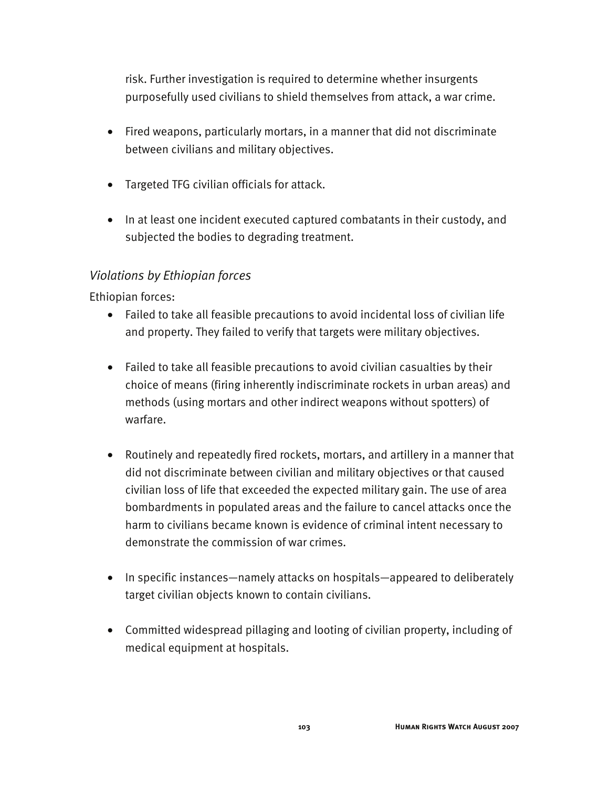risk. Further investigation is required to determine whether insurgents purposefully used civilians to shield themselves from attack, a war crime.

- Fired weapons, particularly mortars, in a manner that did not discriminate between civilians and military objectives.
- Targeted TFG civilian officials for attack.
- In at least one incident executed captured combatants in their custody, and subjected the bodies to degrading treatment.

### *Violations by Ethiopian forces*

Ethiopian forces:

- Failed to take all feasible precautions to avoid incidental loss of civilian life and property. They failed to verify that targets were military objectives.
- Failed to take all feasible precautions to avoid civilian casualties by their choice of means (firing inherently indiscriminate rockets in urban areas) and methods (using mortars and other indirect weapons without spotters) of warfare.
- Routinely and repeatedly fired rockets, mortars, and artillery in a manner that did not discriminate between civilian and military objectives or that caused civilian loss of life that exceeded the expected military gain. The use of area bombardments in populated areas and the failure to cancel attacks once the harm to civilians became known is evidence of criminal intent necessary to demonstrate the commission of war crimes.
- In specific instances—namely attacks on hospitals—appeared to deliberately target civilian objects known to contain civilians.
- Committed widespread pillaging and looting of civilian property, including of medical equipment at hospitals.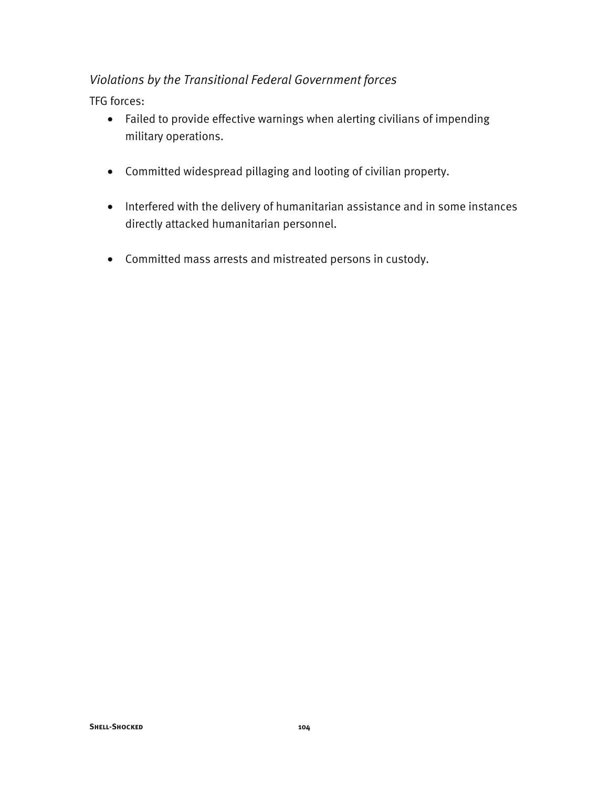### *Violations by the Transitional Federal Government forces*

TFG forces:

- Failed to provide effective warnings when alerting civilians of impending military operations.
- Committed widespread pillaging and looting of civilian property.
- Interfered with the delivery of humanitarian assistance and in some instances directly attacked humanitarian personnel.
- Committed mass arrests and mistreated persons in custody.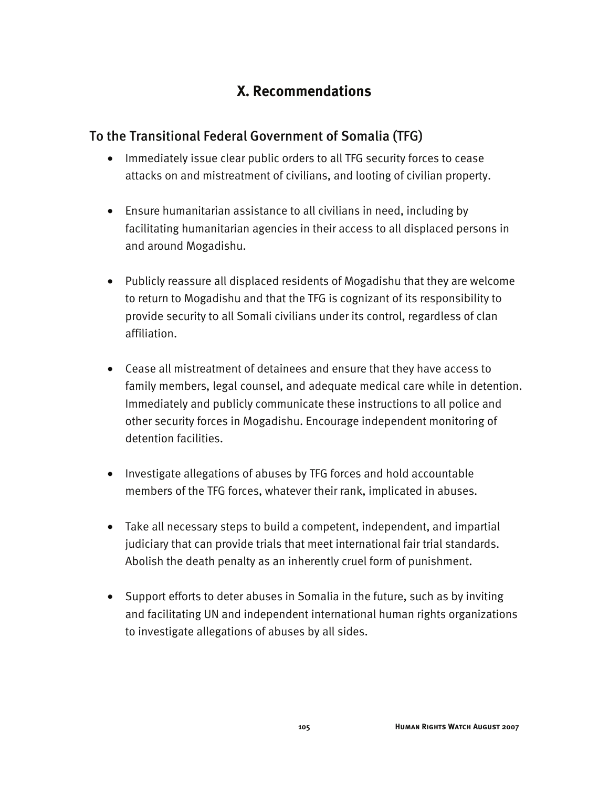# **X. Recommendations**

### To the Transitional Federal Government of Somalia (TFG)

- Immediately issue clear public orders to all TFG security forces to cease attacks on and mistreatment of civilians, and looting of civilian property.
- Ensure humanitarian assistance to all civilians in need, including by facilitating humanitarian agencies in their access to all displaced persons in and around Mogadishu.
- Publicly reassure all displaced residents of Mogadishu that they are welcome to return to Mogadishu and that the TFG is cognizant of its responsibility to provide security to all Somali civilians under its control, regardless of clan affiliation.
- Cease all mistreatment of detainees and ensure that they have access to family members, legal counsel, and adequate medical care while in detention. Immediately and publicly communicate these instructions to all police and other security forces in Mogadishu. Encourage independent monitoring of detention facilities.
- Investigate allegations of abuses by TFG forces and hold accountable members of the TFG forces, whatever their rank, implicated in abuses.
- Take all necessary steps to build a competent, independent, and impartial judiciary that can provide trials that meet international fair trial standards. Abolish the death penalty as an inherently cruel form of punishment.
- Support efforts to deter abuses in Somalia in the future, such as by inviting and facilitating UN and independent international human rights organizations to investigate allegations of abuses by all sides.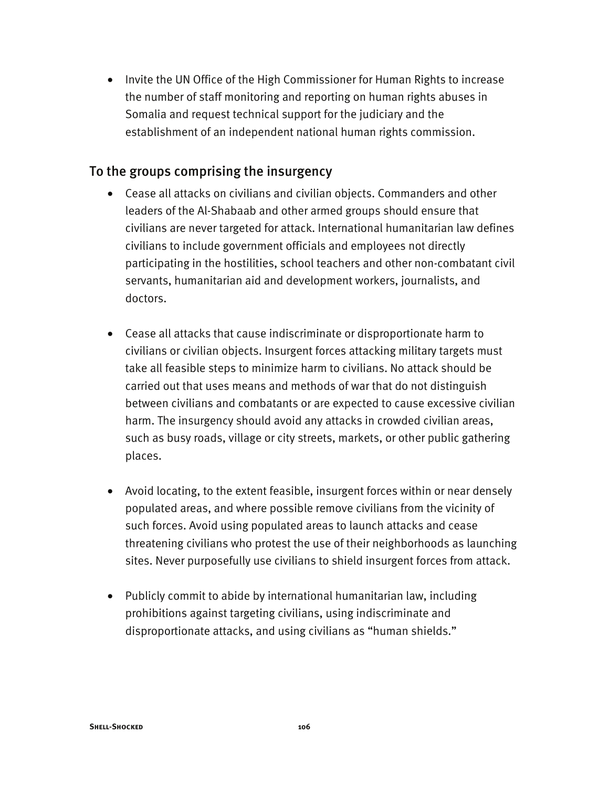• Invite the UN Office of the High Commissioner for Human Rights to increase the number of staff monitoring and reporting on human rights abuses in Somalia and request technical support for the judiciary and the establishment of an independent national human rights commission.

### To the groups comprising the insurgency

- Cease all attacks on civilians and civilian objects. Commanders and other leaders of the Al-Shabaab and other armed groups should ensure that civilians are never targeted for attack. International humanitarian law defines civilians to include government officials and employees not directly participating in the hostilities, school teachers and other non-combatant civil servants, humanitarian aid and development workers, journalists, and doctors.
- Cease all attacks that cause indiscriminate or disproportionate harm to civilians or civilian objects. Insurgent forces attacking military targets must take all feasible steps to minimize harm to civilians. No attack should be carried out that uses means and methods of war that do not distinguish between civilians and combatants or are expected to cause excessive civilian harm. The insurgency should avoid any attacks in crowded civilian areas, such as busy roads, village or city streets, markets, or other public gathering places.
- Avoid locating, to the extent feasible, insurgent forces within or near densely populated areas, and where possible remove civilians from the vicinity of such forces. Avoid using populated areas to launch attacks and cease threatening civilians who protest the use of their neighborhoods as launching sites. Never purposefully use civilians to shield insurgent forces from attack.
- Publicly commit to abide by international humanitarian law, including prohibitions against targeting civilians, using indiscriminate and disproportionate attacks, and using civilians as "human shields."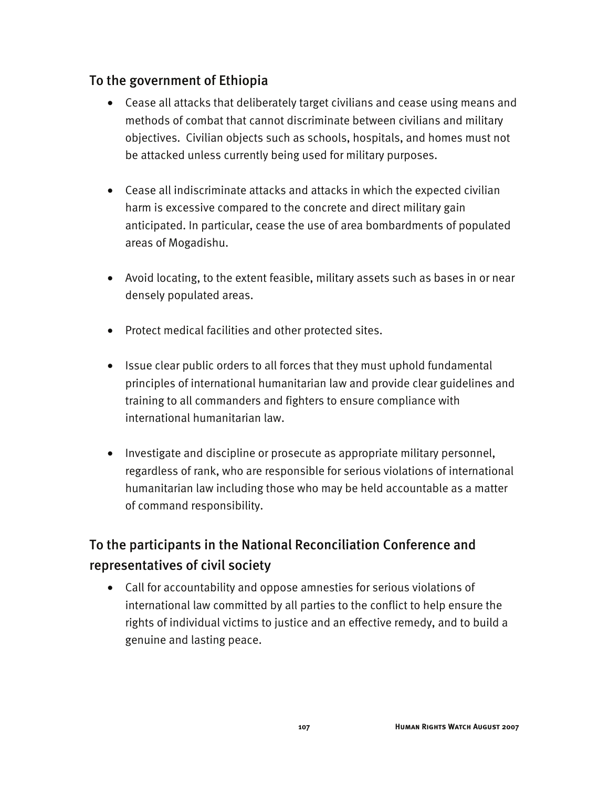## To the government of Ethiopia

- Cease all attacks that deliberately target civilians and cease using means and methods of combat that cannot discriminate between civilians and military objectives. Civilian objects such as schools, hospitals, and homes must not be attacked unless currently being used for military purposes.
- Cease all indiscriminate attacks and attacks in which the expected civilian harm is excessive compared to the concrete and direct military gain anticipated. In particular, cease the use of area bombardments of populated areas of Mogadishu.
- Avoid locating, to the extent feasible, military assets such as bases in or near densely populated areas.
- Protect medical facilities and other protected sites.
- Issue clear public orders to all forces that they must uphold fundamental principles of international humanitarian law and provide clear guidelines and training to all commanders and fighters to ensure compliance with international humanitarian law.
- Investigate and discipline or prosecute as appropriate military personnel, regardless of rank, who are responsible for serious violations of international humanitarian law including those who may be held accountable as a matter of command responsibility.

# To the participants in the National Reconciliation Conference and representatives of civil society

• Call for accountability and oppose amnesties for serious violations of international law committed by all parties to the conflict to help ensure the rights of individual victims to justice and an effective remedy, and to build a genuine and lasting peace.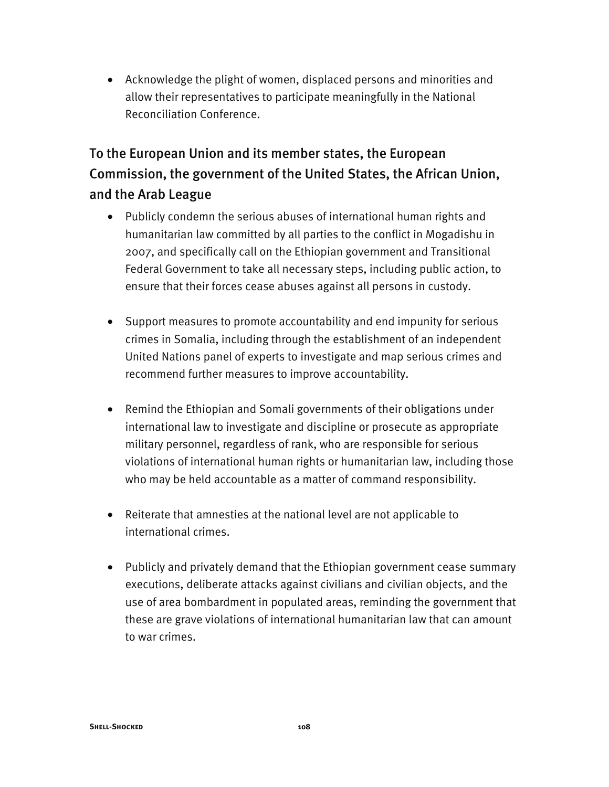• Acknowledge the plight of women, displaced persons and minorities and allow their representatives to participate meaningfully in the National Reconciliation Conference.

# To the European Union and its member states, the European Commission, the government of the United States, the African Union, and the Arab League

- Publicly condemn the serious abuses of international human rights and humanitarian law committed by all parties to the conflict in Mogadishu in 2007, and specifically call on the Ethiopian government and Transitional Federal Government to take all necessary steps, including public action, to ensure that their forces cease abuses against all persons in custody.
- Support measures to promote accountability and end impunity for serious crimes in Somalia, including through the establishment of an independent United Nations panel of experts to investigate and map serious crimes and recommend further measures to improve accountability.
- Remind the Ethiopian and Somali governments of their obligations under international law to investigate and discipline or prosecute as appropriate military personnel, regardless of rank, who are responsible for serious violations of international human rights or humanitarian law, including those who may be held accountable as a matter of command responsibility.
- Reiterate that amnesties at the national level are not applicable to international crimes.
- Publicly and privately demand that the Ethiopian government cease summary executions, deliberate attacks against civilians and civilian objects, and the use of area bombardment in populated areas, reminding the government that these are grave violations of international humanitarian law that can amount to war crimes.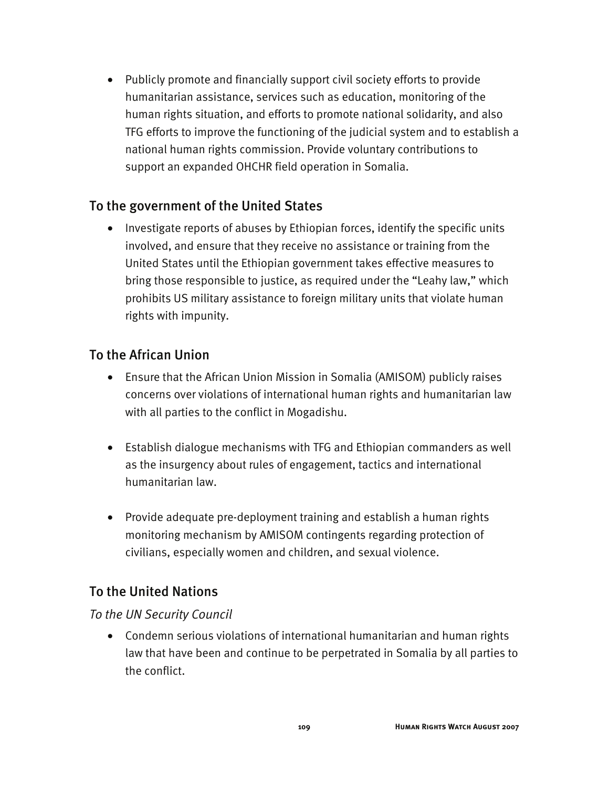• Publicly promote and financially support civil society efforts to provide humanitarian assistance, services such as education, monitoring of the human rights situation, and efforts to promote national solidarity, and also TFG efforts to improve the functioning of the judicial system and to establish a national human rights commission. Provide voluntary contributions to support an expanded OHCHR field operation in Somalia.

## To the government of the United States

• Investigate reports of abuses by Ethiopian forces, identify the specific units involved, and ensure that they receive no assistance or training from the United States until the Ethiopian government takes effective measures to bring those responsible to justice, as required under the "Leahy law," which prohibits US military assistance to foreign military units that violate human rights with impunity.

## To the African Union

- Ensure that the African Union Mission in Somalia (AMISOM) publicly raises concerns over violations of international human rights and humanitarian law with all parties to the conflict in Mogadishu.
- Establish dialogue mechanisms with TFG and Ethiopian commanders as well as the insurgency about rules of engagement, tactics and international humanitarian law.
- Provide adequate pre-deployment training and establish a human rights monitoring mechanism by AMISOM contingents regarding protection of civilians, especially women and children, and sexual violence.

## To the United Nations

#### *To the UN Security Council*

• Condemn serious violations of international humanitarian and human rights law that have been and continue to be perpetrated in Somalia by all parties to the conflict.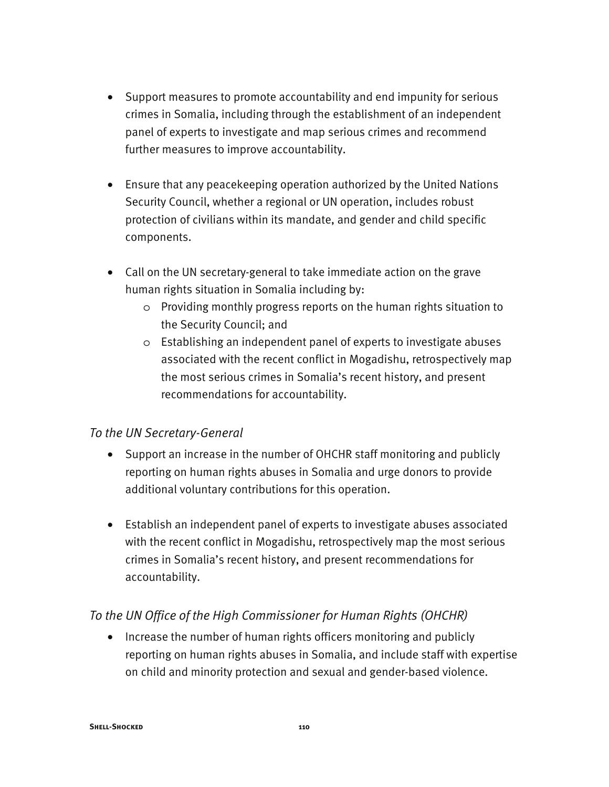- Support measures to promote accountability and end impunity for serious crimes in Somalia, including through the establishment of an independent panel of experts to investigate and map serious crimes and recommend further measures to improve accountability.
- Ensure that any peacekeeping operation authorized by the United Nations Security Council, whether a regional or UN operation, includes robust protection of civilians within its mandate, and gender and child specific components.
- Call on the UN secretary-general to take immediate action on the grave human rights situation in Somalia including by:
	- o Providing monthly progress reports on the human rights situation to the Security Council; and
	- o Establishing an independent panel of experts to investigate abuses associated with the recent conflict in Mogadishu, retrospectively map the most serious crimes in Somalia's recent history, and present recommendations for accountability.

#### *To the UN Secretary-General*

- Support an increase in the number of OHCHR staff monitoring and publicly reporting on human rights abuses in Somalia and urge donors to provide additional voluntary contributions for this operation.
- Establish an independent panel of experts to investigate abuses associated with the recent conflict in Mogadishu, retrospectively map the most serious crimes in Somalia's recent history, and present recommendations for accountability.

### *To the UN Office of the High Commissioner for Human Rights (OHCHR)*

• Increase the number of human rights officers monitoring and publicly reporting on human rights abuses in Somalia, and include staff with expertise on child and minority protection and sexual and gender-based violence.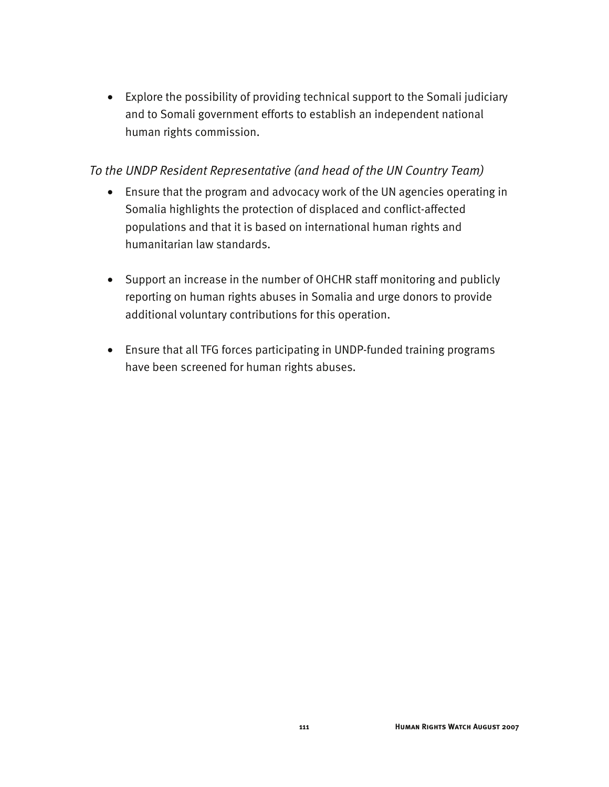• Explore the possibility of providing technical support to the Somali judiciary and to Somali government efforts to establish an independent national human rights commission.

#### *To the UNDP Resident Representative (and head of the UN Country Team)*

- Ensure that the program and advocacy work of the UN agencies operating in Somalia highlights the protection of displaced and conflict-affected populations and that it is based on international human rights and humanitarian law standards.
- Support an increase in the number of OHCHR staff monitoring and publicly reporting on human rights abuses in Somalia and urge donors to provide additional voluntary contributions for this operation.
- Ensure that all TFG forces participating in UNDP-funded training programs have been screened for human rights abuses.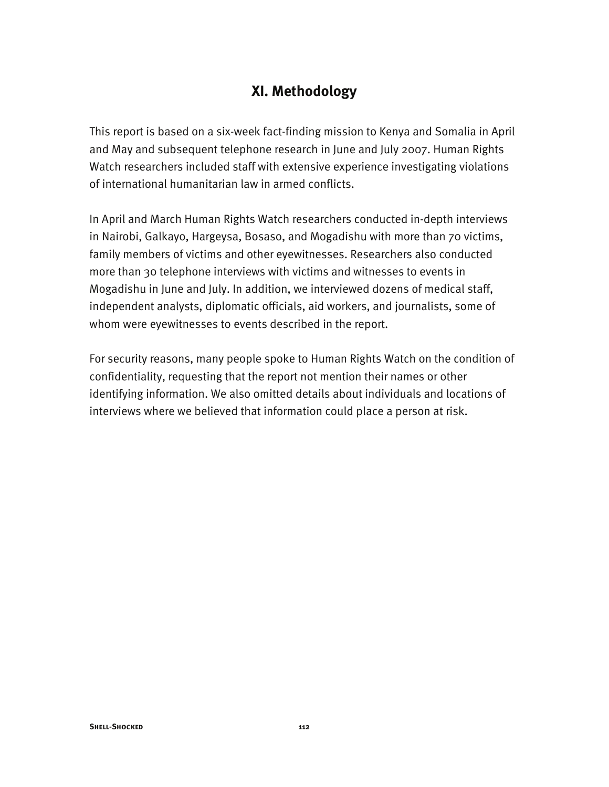## **XI. Methodology**

This report is based on a six-week fact-finding mission to Kenya and Somalia in April and May and subsequent telephone research in June and July 2007. Human Rights Watch researchers included staff with extensive experience investigating violations of international humanitarian law in armed conflicts.

In April and March Human Rights Watch researchers conducted in-depth interviews in Nairobi, Galkayo, Hargeysa, Bosaso, and Mogadishu with more than 70 victims, family members of victims and other eyewitnesses. Researchers also conducted more than 30 telephone interviews with victims and witnesses to events in Mogadishu in June and July. In addition, we interviewed dozens of medical staff, independent analysts, diplomatic officials, aid workers, and journalists, some of whom were eyewitnesses to events described in the report.

For security reasons, many people spoke to Human Rights Watch on the condition of confidentiality, requesting that the report not mention their names or other identifying information. We also omitted details about individuals and locations of interviews where we believed that information could place a person at risk.